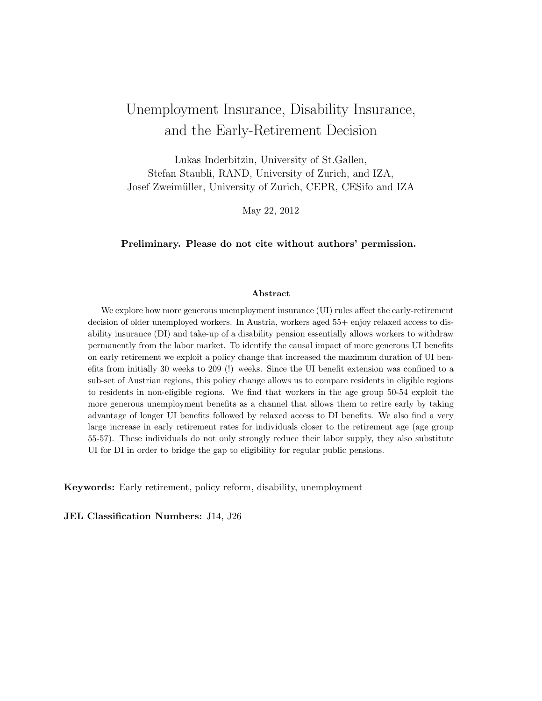# <span id="page-0-0"></span>Unemployment Insurance, Disability Insurance, and the Early-Retirement Decision

Lukas Inderbitzin, University of St.Gallen, Stefan Staubli, RAND, University of Zurich, and IZA, Josef Zweimüller, University of Zurich, CEPR, CESifo and IZA

May 22, 2012

Preliminary. Please do not cite without authors' permission.

#### Abstract

We explore how more generous unemployment insurance (UI) rules affect the early-retirement decision of older unemployed workers. In Austria, workers aged  $55+$  enjoy relaxed access to disability insurance (DI) and take-up of a disability pension essentially allows workers to withdraw permanently from the labor market. To identify the causal impact of more generous UI benefits on early retirement we exploit a policy change that increased the maximum duration of UI benefits from initially 30 weeks to 209 (!) weeks. Since the UI benefit extension was confined to a sub-set of Austrian regions, this policy change allows us to compare residents in eligible regions to residents in non-eligible regions. We find that workers in the age group 50-54 exploit the more generous unemployment benefits as a channel that allows them to retire early by taking advantage of longer UI benefits followed by relaxed access to DI benefits. We also find a very large increase in early retirement rates for individuals closer to the retirement age (age group 55-57). These individuals do not only strongly reduce their labor supply, they also substitute UI for DI in order to bridge the gap to eligibility for regular public pensions.

Keywords: Early retirement, policy reform, disability, unemployment

JEL Classification Numbers: J14, J26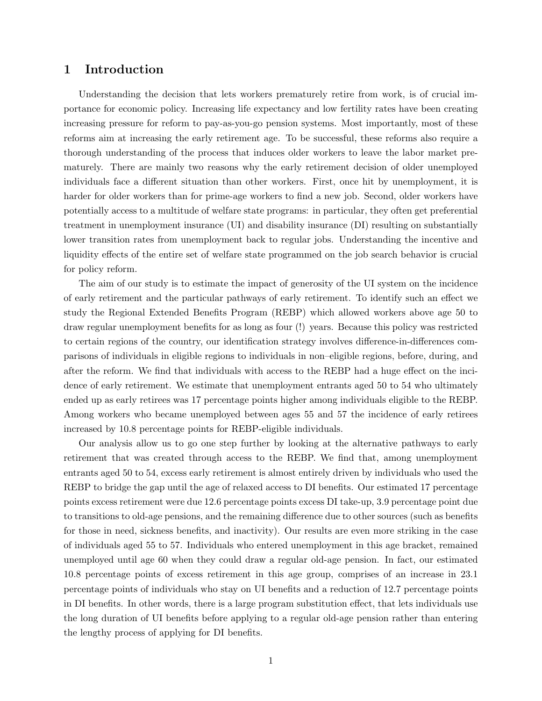# <span id="page-1-0"></span>1 Introduction

Understanding the decision that lets workers prematurely retire from work, is of crucial importance for economic policy. Increasing life expectancy and low fertility rates have been creating increasing pressure for reform to pay-as-you-go pension systems. Most importantly, most of these reforms aim at increasing the early retirement age. To be successful, these reforms also require a thorough understanding of the process that induces older workers to leave the labor market prematurely. There are mainly two reasons why the early retirement decision of older unemployed individuals face a different situation than other workers. First, once hit by unemployment, it is harder for older workers than for prime-age workers to find a new job. Second, older workers have potentially access to a multitude of welfare state programs: in particular, they often get preferential treatment in unemployment insurance (UI) and disability insurance (DI) resulting on substantially lower transition rates from unemployment back to regular jobs. Understanding the incentive and liquidity effects of the entire set of welfare state programmed on the job search behavior is crucial for policy reform.

The aim of our study is to estimate the impact of generosity of the UI system on the incidence of early retirement and the particular pathways of early retirement. To identify such an effect we study the Regional Extended Benefits Program (REBP) which allowed workers above age 50 to draw regular unemployment benefits for as long as four (!) years. Because this policy was restricted to certain regions of the country, our identification strategy involves difference-in-differences comparisons of individuals in eligible regions to individuals in non–eligible regions, before, during, and after the reform. We find that individuals with access to the REBP had a huge effect on the incidence of early retirement. We estimate that unemployment entrants aged 50 to 54 who ultimately ended up as early retirees was 17 percentage points higher among individuals eligible to the REBP. Among workers who became unemployed between ages 55 and 57 the incidence of early retirees increased by 10.8 percentage points for REBP-eligible individuals.

Our analysis allow us to go one step further by looking at the alternative pathways to early retirement that was created through access to the REBP. We find that, among unemployment entrants aged 50 to 54, excess early retirement is almost entirely driven by individuals who used the REBP to bridge the gap until the age of relaxed access to DI benefits. Our estimated 17 percentage points excess retirement were due 12.6 percentage points excess DI take-up, 3.9 percentage point due to transitions to old-age pensions, and the remaining difference due to other sources (such as benefits for those in need, sickness benefits, and inactivity). Our results are even more striking in the case of individuals aged 55 to 57. Individuals who entered unemployment in this age bracket, remained unemployed until age 60 when they could draw a regular old-age pension. In fact, our estimated 10.8 percentage points of excess retirement in this age group, comprises of an increase in 23.1 percentage points of individuals who stay on UI benefits and a reduction of 12.7 percentage points in DI benefits. In other words, there is a large program substitution effect, that lets individuals use the long duration of UI benefits before applying to a regular old-age pension rather than entering the lengthy process of applying for DI benefits.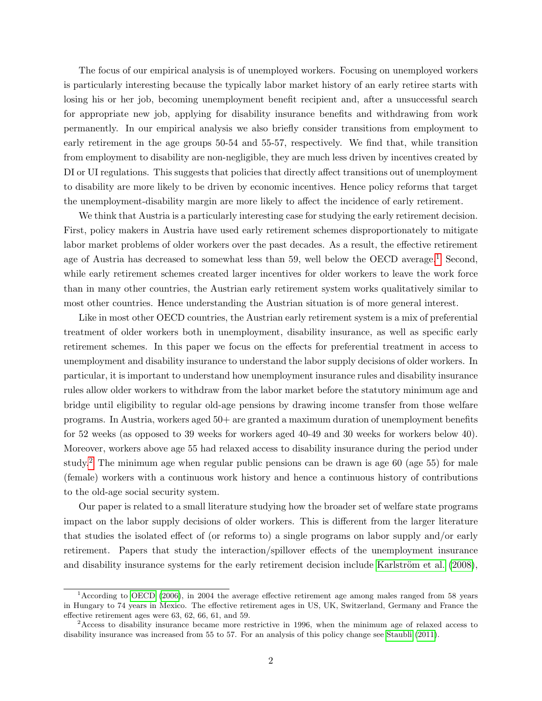The focus of our empirical analysis is of unemployed workers. Focusing on unemployed workers is particularly interesting because the typically labor market history of an early retiree starts with losing his or her job, becoming unemployment benefit recipient and, after a unsuccessful search for appropriate new job, applying for disability insurance benefits and withdrawing from work permanently. In our empirical analysis we also briefly consider transitions from employment to early retirement in the age groups 50-54 and 55-57, respectively. We find that, while transition from employment to disability are non-negligible, they are much less driven by incentives created by DI or UI regulations. This suggests that policies that directly affect transitions out of unemployment to disability are more likely to be driven by economic incentives. Hence policy reforms that target the unemployment-disability margin are more likely to affect the incidence of early retirement.

We think that Austria is a particularly interesting case for studying the early retirement decision. First, policy makers in Austria have used early retirement schemes disproportionately to mitigate labor market problems of older workers over the past decades. As a result, the effective retirement age of Austria has decreased to somewhat less than 59, well below the OECD average.<sup>[1](#page-0-0)</sup> Second, while early retirement schemes created larger incentives for older workers to leave the work force than in many other countries, the Austrian early retirement system works qualitatively similar to most other countries. Hence understanding the Austrian situation is of more general interest.

Like in most other OECD countries, the Austrian early retirement system is a mix of preferential treatment of older workers both in unemployment, disability insurance, as well as specific early retirement schemes. In this paper we focus on the effects for preferential treatment in access to unemployment and disability insurance to understand the labor supply decisions of older workers. In particular, it is important to understand how unemployment insurance rules and disability insurance rules allow older workers to withdraw from the labor market before the statutory minimum age and bridge until eligibility to regular old-age pensions by drawing income transfer from those welfare programs. In Austria, workers aged 50+ are granted a maximum duration of unemployment benefits for 52 weeks (as opposed to 39 weeks for workers aged 40-49 and 30 weeks for workers below 40). Moreover, workers above age 55 had relaxed access to disability insurance during the period under study.[2](#page-0-0) The minimum age when regular public pensions can be drawn is age 60 (age 55) for male (female) workers with a continuous work history and hence a continuous history of contributions to the old-age social security system.

Our paper is related to a small literature studying how the broader set of welfare state programs impact on the labor supply decisions of older workers. This is different from the larger literature that studies the isolated effect of (or reforms to) a single programs on labor supply and/or early retirement. Papers that study the interaction/spillover effects of the unemployment insurance and disability insurance systems for the early retirement decision include Karlström et al. [\(2008\)](#page-28-0),

<sup>1</sup>According to [OECD](#page-28-1) [\(2006\)](#page-28-1), in 2004 the average effective retirement age among males ranged from 58 years in Hungary to 74 years in Mexico. The effective retirement ages in US, UK, Switzerland, Germany and France the effective retirement ages were 63, 62, 66, 61, and 59.

<sup>&</sup>lt;sup>2</sup> Access to disability insurance became more restrictive in 1996, when the minimum age of relaxed access to disability insurance was increased from 55 to 57. For an analysis of this policy change see [Staubli](#page-29-0) [\(2011\)](#page-29-0).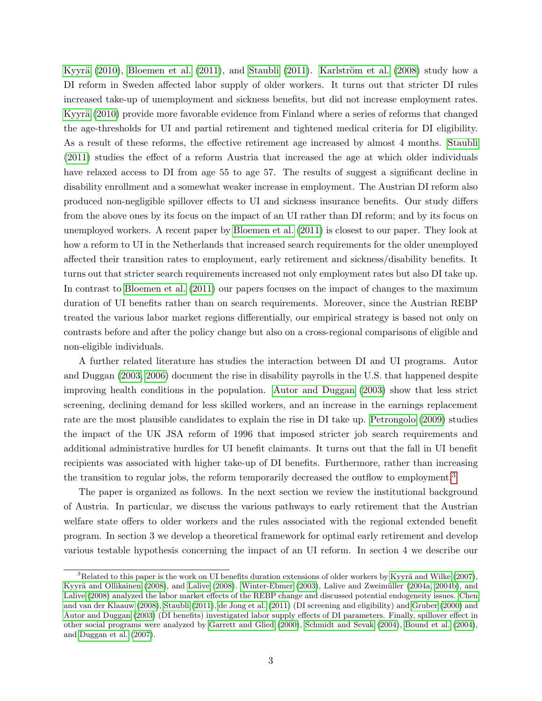Kyyrä [\(2010\)](#page-28-2), [Bloemen et al.](#page-27-0) [\(2011\)](#page-29-0), and [Staubli](#page-29-0) (2011). Karlström et al. [\(2008\)](#page-28-0) study how a DI reform in Sweden affected labor supply of older workers. It turns out that stricter DI rules increased take-up of unemployment and sickness benefits, but did not increase employment rates. Kyyrä [\(2010\)](#page-28-2) provide more favorable evidence from Finland where a series of reforms that changed the age-thresholds for UI and partial retirement and tightened medical criteria for DI eligibility. As a result of these reforms, the effective retirement age increased by almost 4 months. [Staubli](#page-29-0) [\(2011\)](#page-29-0) studies the effect of a reform Austria that increased the age at which older individuals have relaxed access to DI from age 55 to age 57. The results of suggest a significant decline in disability enrollment and a somewhat weaker increase in employment. The Austrian DI reform also produced non-negligible spillover effects to UI and sickness insurance benefits. Our study differs from the above ones by its focus on the impact of an UI rather than DI reform; and by its focus on unemployed workers. A recent paper by [Bloemen et al.](#page-27-0) [\(2011\)](#page-27-0) is closest to our paper. They look at how a reform to UI in the Netherlands that increased search requirements for the older unemployed affected their transition rates to employment, early retirement and sickness/disability benefits. It turns out that stricter search requirements increased not only employment rates but also DI take up. In contrast to [Bloemen et al.](#page-27-0) [\(2011\)](#page-27-0) our papers focuses on the impact of changes to the maximum duration of UI benefits rather than on search requirements. Moreover, since the Austrian REBP treated the various labor market regions differentially, our empirical strategy is based not only on contrasts before and after the policy change but also on a cross-regional comparisons of eligible and non-eligible individuals.

A further related literature has studies the interaction between DI and UI programs. Autor and Duggan [\(2003,](#page-27-1) [2006\)](#page-27-2) document the rise in disability payrolls in the U.S. that happened despite improving health conditions in the population. [Autor and Duggan](#page-27-1) [\(2003\)](#page-27-1) show that less strict screening, declining demand for less skilled workers, and an increase in the earnings replacement rate are the most plausible candidates to explain the rise in DI take up. [Petrongolo](#page-29-1) [\(2009\)](#page-29-1) studies the impact of the UK JSA reform of 1996 that imposed stricter job search requirements and additional administrative hurdles for UI benefit claimants. It turns out that the fall in UI benefit recipients was associated with higher take-up of DI benefits. Furthermore, rather than increasing the transition to regular jobs, the reform temporarily decreased the outflow to employment.<sup>[3](#page-0-0)</sup>

The paper is organized as follows. In the next section we review the institutional background of Austria. In particular, we discuss the various pathways to early retirement that the Austrian welfare state offers to older workers and the rules associated with the regional extended benefit program. In section 3 we develop a theoretical framework for optimal early retirement and develop various testable hypothesis concerning the impact of an UI reform. In section 4 we describe our

<sup>&</sup>lt;sup>3</sup>Related to this paper is the work on UI benefits duration extensions of older workers by Kyyrä and Wilke [\(2007\)](#page-28-3), Kyyrä and Ollikainen [\(2008\)](#page-28-5), and [Lalive](#page-28-5) (2008). [Winter-Ebmer](#page-29-2) [\(2003\)](#page-29-2), Lalive and Zweimüller [\(2004a,](#page-28-6) [2004b\)](#page-28-7), and [Lalive](#page-28-5) [\(2008\)](#page-28-5) analyzed the labor market effects of the REBP change and discussed potential endogeneity issues. [Chen](#page-27-3) [and van der Klaauw](#page-27-3) [\(2008\)](#page-27-3), [Staubli](#page-29-0) [\(2011\)](#page-29-0), [de Jong et al.](#page-27-4) [\(2011\)](#page-27-4) (DI screening and eligibility) and [Gruber](#page-27-5) [\(2000\)](#page-27-5) and [Autor and Duggan](#page-27-1) [\(2003\)](#page-27-1) (DI benefits) investigated labor supply effects of DI parameters. Finally, spillover effect in other social programs were analyzed by [Garrett and Glied](#page-27-6) [\(2000\)](#page-27-6), [Schmidt and Sevak](#page-29-3) [\(2004\)](#page-29-3), [Bound et al.](#page-27-7) [\(2004\)](#page-27-7), and [Duggan et al.](#page-27-8) [\(2007\)](#page-27-8).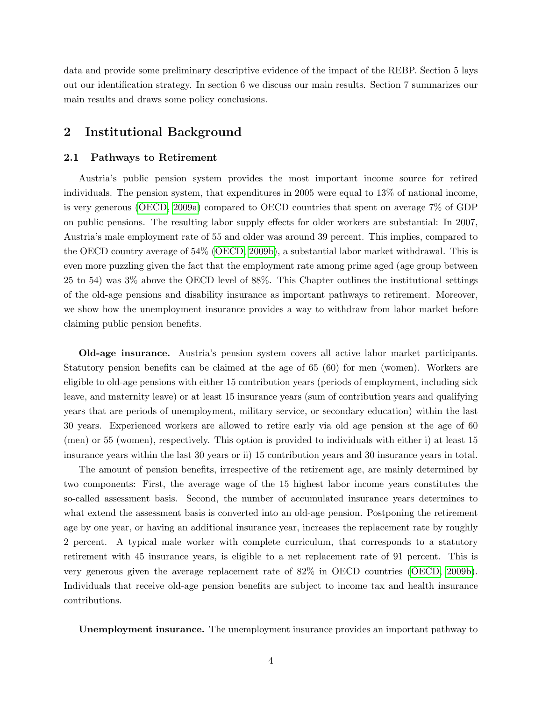data and provide some preliminary descriptive evidence of the impact of the REBP. Section 5 lays out our identification strategy. In section 6 we discuss our main results. Section 7 summarizes our main results and draws some policy conclusions.

# 2 Institutional Background

#### <span id="page-4-0"></span>2.1 Pathways to Retirement

Austria's public pension system provides the most important income source for retired individuals. The pension system, that expenditures in 2005 were equal to 13% of national income, is very generous [\(OECD, 2009a\)](#page-28-8) compared to OECD countries that spent on average 7% of GDP on public pensions. The resulting labor supply effects for older workers are substantial: In 2007, Austria's male employment rate of 55 and older was around 39 percent. This implies, compared to the OECD country average of 54% [\(OECD, 2009b\)](#page-28-9), a substantial labor market withdrawal. This is even more puzzling given the fact that the employment rate among prime aged (age group between 25 to 54) was 3% above the OECD level of 88%. This Chapter outlines the institutional settings of the old-age pensions and disability insurance as important pathways to retirement. Moreover, we show how the unemployment insurance provides a way to withdraw from labor market before claiming public pension benefits.

Old-age insurance. Austria's pension system covers all active labor market participants. Statutory pension benefits can be claimed at the age of 65 (60) for men (women). Workers are eligible to old-age pensions with either 15 contribution years (periods of employment, including sick leave, and maternity leave) or at least 15 insurance years (sum of contribution years and qualifying years that are periods of unemployment, military service, or secondary education) within the last 30 years. Experienced workers are allowed to retire early via old age pension at the age of 60 (men) or 55 (women), respectively. This option is provided to individuals with either i) at least 15 insurance years within the last 30 years or ii) 15 contribution years and 30 insurance years in total.

The amount of pension benefits, irrespective of the retirement age, are mainly determined by two components: First, the average wage of the 15 highest labor income years constitutes the so-called assessment basis. Second, the number of accumulated insurance years determines to what extend the assessment basis is converted into an old-age pension. Postponing the retirement age by one year, or having an additional insurance year, increases the replacement rate by roughly 2 percent. A typical male worker with complete curriculum, that corresponds to a statutory retirement with 45 insurance years, is eligible to a net replacement rate of 91 percent. This is very generous given the average replacement rate of 82% in OECD countries [\(OECD, 2009b\)](#page-28-9). Individuals that receive old-age pension benefits are subject to income tax and health insurance contributions.

Unemployment insurance. The unemployment insurance provides an important pathway to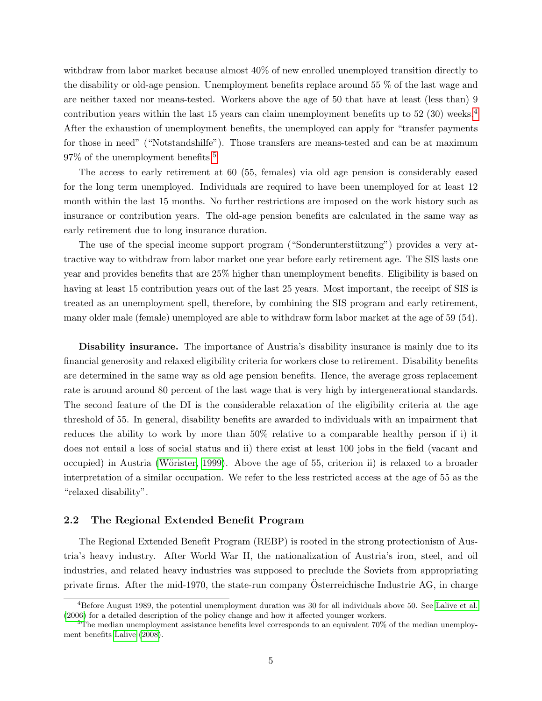withdraw from labor market because almost 40% of new enrolled unemployed transition directly to the disability or old-age pension. Unemployment benefits replace around 55 % of the last wage and are neither taxed nor means-tested. Workers above the age of 50 that have at least (less than) 9 contribution years within the last 15 years can claim unemployment benefits up to 52 (30) weeks.<sup>[4](#page-0-0)</sup> After the exhaustion of unemployment benefits, the unemployed can apply for "transfer payments for those in need" ("Notstandshilfe"). Those transfers are means-tested and can be at maximum 97% of the unemployment benefits.[5](#page-0-0)

The access to early retirement at 60 (55, females) via old age pension is considerably eased for the long term unemployed. Individuals are required to have been unemployed for at least 12 month within the last 15 months. No further restrictions are imposed on the work history such as insurance or contribution years. The old-age pension benefits are calculated in the same way as early retirement due to long insurance duration.

The use of the special income support program ("Sonderunterstützung") provides a very attractive way to withdraw from labor market one year before early retirement age. The SIS lasts one year and provides benefits that are 25% higher than unemployment benefits. Eligibility is based on having at least 15 contribution years out of the last 25 years. Most important, the receipt of SIS is treated as an unemployment spell, therefore, by combining the SIS program and early retirement, many older male (female) unemployed are able to withdraw form labor market at the age of 59 (54).

Disability insurance. The importance of Austria's disability insurance is mainly due to its financial generosity and relaxed eligibility criteria for workers close to retirement. Disability benefits are determined in the same way as old age pension benefits. Hence, the average gross replacement rate is around around 80 percent of the last wage that is very high by intergenerational standards. The second feature of the DI is the considerable relaxation of the eligibility criteria at the age threshold of 55. In general, disability benefits are awarded to individuals with an impairment that reduces the ability to work by more than 50% relative to a comparable healthy person if i) it does not entail a loss of social status and ii) there exist at least 100 jobs in the field (vacant and occupied) in Austria (Wörister, 1999). Above the age of 55, criterion ii) is relaxed to a broader interpretation of a similar occupation. We refer to the less restricted access at the age of 55 as the "relaxed disability".

### 2.2 The Regional Extended Benefit Program

The Regional Extended Benefit Program (REBP) is rooted in the strong protectionism of Austria's heavy industry. After World War II, the nationalization of Austria's iron, steel, and oil industries, and related heavy industries was supposed to preclude the Soviets from appropriating private firms. After the mid-1970, the state-run company Österreichische Industrie  $AG$ , in charge

 $4B$ efore August 1989, the potential unemployment duration was 30 for all individuals above 50. See [Lalive et al.](#page-28-10) [\(2006\)](#page-28-10) for a detailed description of the policy change and how it affected younger workers.

 $5$ The median unemployment assistance benefits level corresponds to an equivalent 70% of the median unemployment benefits [Lalive](#page-28-5) [\(2008\)](#page-28-5).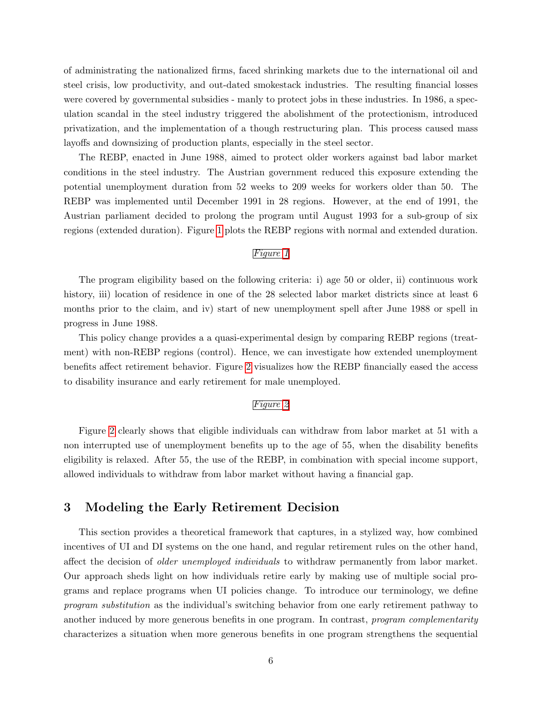of administrating the nationalized firms, faced shrinking markets due to the international oil and steel crisis, low productivity, and out-dated smokestack industries. The resulting financial losses were covered by governmental subsidies - manly to protect jobs in these industries. In 1986, a speculation scandal in the steel industry triggered the abolishment of the protectionism, introduced privatization, and the implementation of a though restructuring plan. This process caused mass layoffs and downsizing of production plants, especially in the steel sector.

The REBP, enacted in June 1988, aimed to protect older workers against bad labor market conditions in the steel industry. The Austrian government reduced this exposure extending the potential unemployment duration from 52 weeks to 209 weeks for workers older than 50. The REBP was implemented until December 1991 in 28 regions. However, at the end of 1991, the Austrian parliament decided to prolong the program until August 1993 for a sub-group of six regions (extended duration). Figure [1](#page-40-0) plots the REBP regions with normal and extended duration.

### Figure [1](#page-40-0)

The program eligibility based on the following criteria: i) age 50 or older, ii) continuous work history, iii) location of residence in one of the 28 selected labor market districts since at least 6 months prior to the claim, and iv) start of new unemployment spell after June 1988 or spell in progress in June 1988.

This policy change provides a a quasi-experimental design by comparing REBP regions (treatment) with non-REBP regions (control). Hence, we can investigate how extended unemployment benefits affect retirement behavior. Figure [2](#page-41-0) visualizes how the REBP financially eased the access to disability insurance and early retirement for male unemployed.

#### Figure [2](#page-41-0)

Figure [2](#page-41-0) clearly shows that eligible individuals can withdraw from labor market at 51 with a non interrupted use of unemployment benefits up to the age of 55, when the disability benefits eligibility is relaxed. After 55, the use of the REBP, in combination with special income support, allowed individuals to withdraw from labor market without having a financial gap.

# <span id="page-6-0"></span>3 Modeling the Early Retirement Decision

This section provides a theoretical framework that captures, in a stylized way, how combined incentives of UI and DI systems on the one hand, and regular retirement rules on the other hand, affect the decision of *older unemployed individuals* to withdraw permanently from labor market. Our approach sheds light on how individuals retire early by making use of multiple social programs and replace programs when UI policies change. To introduce our terminology, we define program substitution as the individual's switching behavior from one early retirement pathway to another induced by more generous benefits in one program. In contrast, *program complementarity* characterizes a situation when more generous benefits in one program strengthens the sequential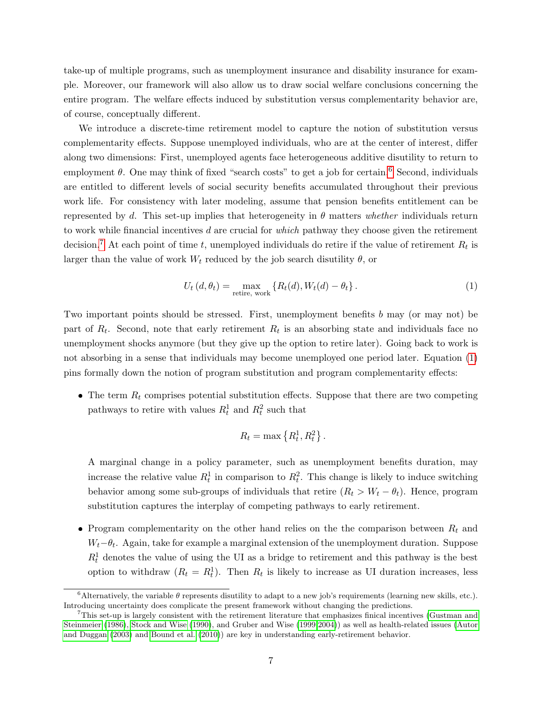take-up of multiple programs, such as unemployment insurance and disability insurance for example. Moreover, our framework will also allow us to draw social welfare conclusions concerning the entire program. The welfare effects induced by substitution versus complementarity behavior are, of course, conceptually different.

We introduce a discrete-time retirement model to capture the notion of substitution versus complementarity effects. Suppose unemployed individuals, who are at the center of interest, differ along two dimensions: First, unemployed agents face heterogeneous additive disutility to return to employment  $\theta$ . One may think of fixed "search costs" to get a job for certain.<sup>[6](#page-0-0)</sup> Second, individuals are entitled to different levels of social security benefits accumulated throughout their previous work life. For consistency with later modeling, assume that pension benefits entitlement can be represented by d. This set-up implies that heterogeneity in  $\theta$  matters whether individuals return to work while financial incentives d are crucial for which pathway they choose given the retirement decision.<sup>[7](#page-0-0)</sup> At each point of time t, unemployed individuals do retire if the value of retirement  $R_t$  is larger than the value of work  $W_t$  reduced by the job search disutility  $\theta$ , or

<span id="page-7-0"></span>
$$
U_t(d, \theta_t) = \max_{\text{retrie, work}} \left\{ R_t(d), W_t(d) - \theta_t \right\}.
$$
 (1)

Two important points should be stressed. First, unemployment benefits b may (or may not) be part of  $R_t$ . Second, note that early retirement  $R_t$  is an absorbing state and individuals face no unemployment shocks anymore (but they give up the option to retire later). Going back to work is not absorbing in a sense that individuals may become unemployed one period later. Equation [\(1\)](#page-7-0) pins formally down the notion of program substitution and program complementarity effects:

 $\bullet$  The term  $R_t$  comprises potential substitution effects. Suppose that there are two competing pathways to retire with values  $R_t^1$  and  $R_t^2$  such that

$$
R_t = \max\left\{R_t^1, R_t^2\right\}.
$$

A marginal change in a policy parameter, such as unemployment benefits duration, may increase the relative value  $R_t^1$  in comparison to  $R_t^2$ . This change is likely to induce switching behavior among some sub-groups of individuals that retire  $(R_t > W_t - \theta_t)$ . Hence, program substitution captures the interplay of competing pathways to early retirement.

• Program complementarity on the other hand relies on the the comparison between  $R_t$  and  $W_t$ − $\theta_t$ . Again, take for example a marginal extension of the unemployment duration. Suppose  $R_t^1$  denotes the value of using the UI as a bridge to retirement and this pathway is the best option to withdraw  $(R_t = R_t^1)$ . Then  $R_t$  is likely to increase as UI duration increases, less

<sup>&</sup>lt;sup>6</sup>Alternatively, the variable  $\theta$  represents disutility to adapt to a new job's requirements (learning new skills, etc.). Introducing uncertainty does complicate the present framework without changing the predictions.

 $<sup>7</sup>$ This set-up is largely consistent with the retirement literature that emphasizes finical incentives [\(Gustman and](#page-28-11)</sup> [Steinmeier](#page-28-11) [\(1986\)](#page-28-11), [Stock and Wise](#page-29-5) [\(1990\)](#page-29-5), and Gruber and Wise [\(1999,](#page-28-12)[2004\)](#page-28-13)) as well as health-related issues [\(Autor](#page-27-1) [and Duggan](#page-27-1) [\(2003\)](#page-27-1) and [Bound et al.](#page-27-9) [\(2010\)](#page-27-9)) are key in understanding early-retirement behavior.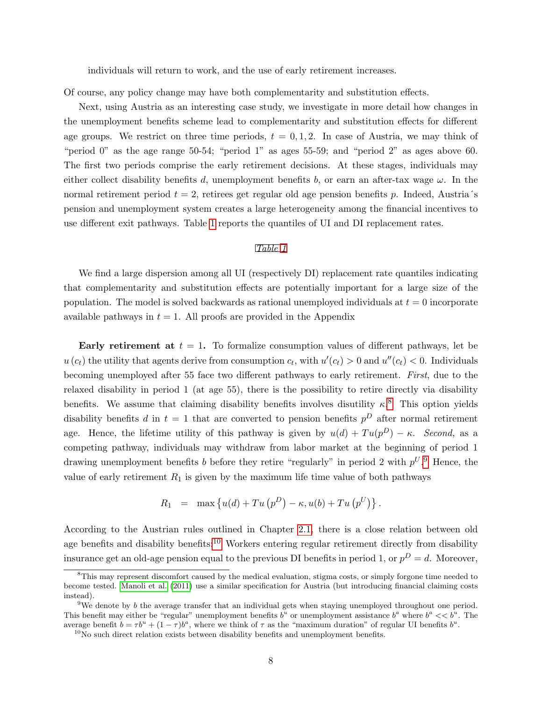individuals will return to work, and the use of early retirement increases.

Of course, any policy change may have both complementarity and substitution effects.

Next, using Austria as an interesting case study, we investigate in more detail how changes in the unemployment benefits scheme lead to complementarity and substitution effects for different age groups. We restrict on three time periods,  $t = 0, 1, 2$ . In case of Austria, we may think of "period 0" as the age range 50-54; "period 1" as ages 55-59; and "period 2" as ages above 60. The first two periods comprise the early retirement decisions. At these stages, individuals may either collect disability benefits d, unemployment benefits b, or earn an after-tax wage  $\omega$ . In the normal retirement period  $t = 2$ , retirees get regular old age pension benefits p. Indeed, Austria's pension and unemployment system creates a large heterogeneity among the financial incentives to use different exit pathways. Table [1](#page-42-0) reports the quantiles of UI and DI replacement rates.

#### Table [1](#page-42-0)

We find a large dispersion among all UI (respectively DI) replacement rate quantiles indicating that complementarity and substitution effects are potentially important for a large size of the population. The model is solved backwards as rational unemployed individuals at  $t = 0$  incorporate available pathways in  $t = 1$ . All proofs are provided in the Appendix

Early retirement at  $t = 1$ . To formalize consumption values of different pathways, let be  $u(c_t)$  the utility that agents derive from consumption  $c_t$ , with  $u'(c_t) > 0$  and  $u''(c_t) < 0$ . Individuals becoming unemployed after 55 face two different pathways to early retirement. First, due to the relaxed disability in period 1 (at age 55), there is the possibility to retire directly via disability benefits. We assume that claiming disability benefits involves disutility  $\kappa$ <sup>[8](#page-0-0)</sup>. This option yields disability benefits d in  $t = 1$  that are converted to pension benefits  $p<sup>D</sup>$  after normal retirement age. Hence, the lifetime utility of this pathway is given by  $u(d) + Tu(p^D) - \kappa$ . Second, as a competing pathway, individuals may withdraw from labor market at the beginning of period 1 drawing unemployment benefits b before they retire "regularly" in period 2 with  $p^{U}$ . Hence, the value of early retirement  $R_1$  is given by the maximum life time value of both pathways

$$
R_1 = \max \left\{ u(d) + Tu(p^D) - \kappa, u(b) + Tu(p^U) \right\}.
$$

According to the Austrian rules outlined in Chapter [2.1,](#page-4-0) there is a close relation between old age benefits and disability benefits:<sup>[10](#page-0-0)</sup> Workers entering regular retirement directly from disability insurance get an old-age pension equal to the previous DI benefits in period 1, or  $p^D = d$ . Moreover,

<sup>&</sup>lt;sup>8</sup>This may represent discomfort caused by the medical evaluation, stigma costs, or simply forgone time needed to become tested. [Manoli et al.](#page-28-14) [\(2011\)](#page-28-14) use a similar specification for Austria (but introducing financial claiming costs instead).

<sup>&</sup>lt;sup>9</sup>We denote by b the average transfer that an individual gets when staying unemployed throughout one period. This benefit may either be "regular" unemployment benefits  $b^u$  or unemployment assistance  $b^a$  where  $b^a \ll b^u$ . The average benefit  $b = \tau b^u + (1 - \tau) b^a$ , where we think of  $\tau$  as the "maximum duration" of regular UI benefits  $b^u$ .

 $10$ No such direct relation exists between disability benefits and unemployment benefits.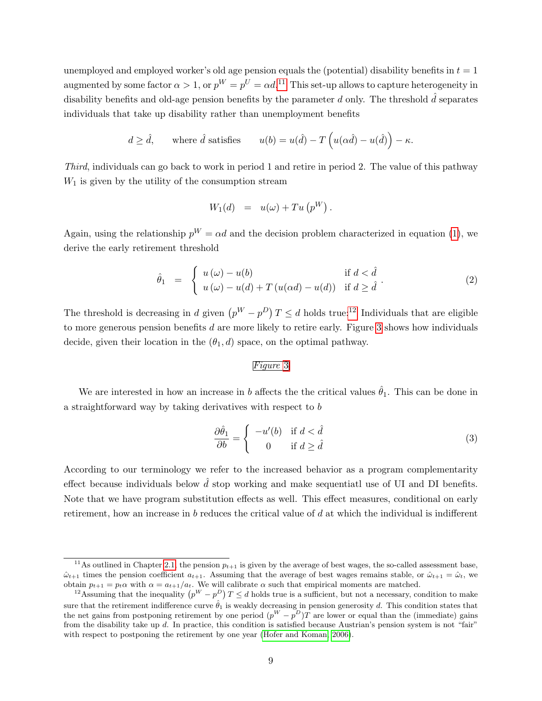unemployed and employed worker's old age pension equals the (potential) disability benefits in  $t = 1$ augmented by some factor  $\alpha > 1$ , or  $p^W = p^U = \alpha d.$ <sup>[11](#page-0-0)</sup> This set-up allows to capture heterogeneity in disability benefits and old-age pension benefits by the parameter d only. The threshold  $\hat{d}$  separates individuals that take up disability rather than unemployment benefits

$$
d \ge \hat{d}
$$
, where  $\hat{d}$  satisfies  $u(b) = u(\hat{d}) - T(u(\alpha \hat{d}) - u(\hat{d})) - \kappa$ .

Third, individuals can go back to work in period 1 and retire in period 2. The value of this pathway  $W_1$  is given by the utility of the consumption stream

$$
W_1(d) = u(\omega) + Tu(p^W).
$$

Again, using the relationship  $p^W = \alpha d$  and the decision problem characterized in equation [\(1\)](#page-7-0), we derive the early retirement threshold

<span id="page-9-1"></span>
$$
\hat{\theta}_1 = \begin{cases} u(\omega) - u(b) & \text{if } d < \hat{d} \\ u(\omega) - u(d) + T(u(\alpha d) - u(d)) & \text{if } d \ge \hat{d} \end{cases}
$$
\n(2)

The threshold is decreasing in d given  $(p^W - p^D)T \le d$  holds true:<sup>[12](#page-0-0)</sup> Individuals that are eligible to more generous pension benefits  $d$  are more likely to retire early. Figure [3](#page-43-0) shows how individuals decide, given their location in the  $(\theta_1, d)$  space, on the optimal pathway.

#### Figure [3](#page-43-0)

We are interested in how an increase in b affects the the critical values  $\hat{\theta}_1$ . This can be done in a straightforward way by taking derivatives with respect to b

<span id="page-9-0"></span>
$$
\frac{\partial \hat{\theta}_1}{\partial b} = \begin{cases} -u'(b) & \text{if } d < \hat{d} \\ 0 & \text{if } d \ge \hat{d} \end{cases}
$$
(3)

According to our terminology we refer to the increased behavior as a program complementarity effect because individuals below  $\hat{d}$  stop working and make sequentiatl use of UI and DI benefits. Note that we have program substitution effects as well. This effect measures, conditional on early retirement, how an increase in b reduces the critical value of d at which the individual is indifferent

<sup>&</sup>lt;sup>11</sup>As outlined in Chapter [2.1,](#page-4-0) the pension  $p_{t+1}$  is given by the average of best wages, the so-called assessment base,  $\hat{\omega}_{t+1}$  times the pension coefficient  $a_{t+1}$ . Assuming that the average of best wages remains stable, or  $\hat{\omega}_{t+1} = \hat{\omega}_t$ , we obtain  $p_{t+1} = p_t \alpha$  with  $\alpha = a_{t+1}/a_t$ . We will calibrate  $\alpha$  such that empirical moments are matched.

<sup>&</sup>lt;sup>12</sup>Assuming that the inequality  $(p^W - p^D)T \leq d$  holds true is a sufficient, but not a necessary, condition to make sure that the retirement indifference curve  $\hat{\theta}_1$  is weakly decreasing in pension generosity d. This condition states that the net gains from postponing retirement by one period  $(p^W - p^D)T$  are lower or equal than the (immediate) gains from the disability take up d. In practice, this condition is satisfied because Austrian's pension system is not "fair" with respect to postponing the retirement by one year [\(Hofer and Koman, 2006\)](#page-28-15).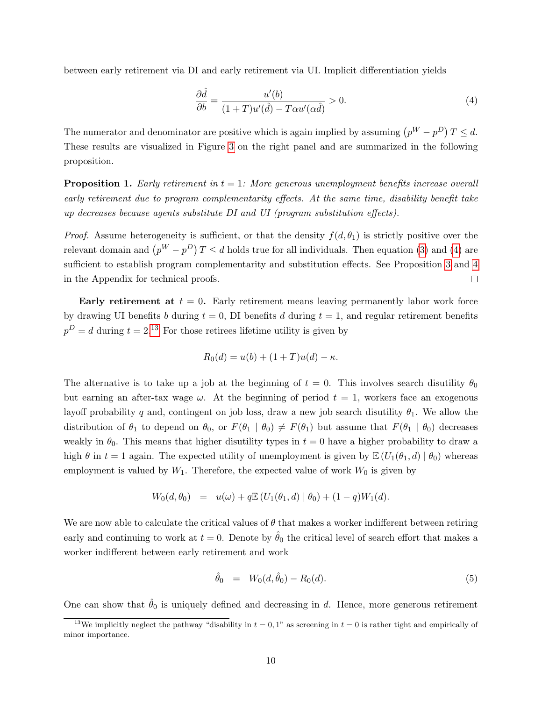between early retirement via DI and early retirement via UI. Implicit differentiation yields

<span id="page-10-0"></span>
$$
\frac{\partial \hat{d}}{\partial b} = \frac{u'(b)}{(1+T)u'(\hat{d}) - T\alpha u'(\alpha \hat{d})} > 0.
$$
\n(4)

The numerator and denominator are positive which is again implied by assuming  $(p^W - p^D)T \le d$ . These results are visualized in Figure [3](#page-43-0) on the right panel and are summarized in the following proposition.

<span id="page-10-1"></span>**Proposition 1.** Early retirement in  $t = 1$ : More generous unemployment benefits increase overall early retirement due to program complementarity effects. At the same time, disability benefit take up decreases because agents substitute DI and UI (program substitution effects).

*Proof.* Assume heterogeneity is sufficient, or that the density  $f(d, \theta_1)$  is strictly positive over the relevant domain and  $(p^W - p^D)T \le d$  holds true for all individuals. Then equation [\(3\)](#page-9-0) and [\(4\)](#page-10-0) are sufficient to establish program complementarity and substitution effects. See Proposition [3](#page-31-0) and [4](#page-32-0) in the Appendix for technical proofs.  $\Box$ 

Early retirement at  $t = 0$ . Early retirement means leaving permanently labor work force by drawing UI benefits b during  $t = 0$ , DI benefits d during  $t = 1$ , and regular retirement benefits  $p<sup>D</sup> = d$  during  $t = 2<sup>13</sup>$  $t = 2<sup>13</sup>$  $t = 2<sup>13</sup>$  For those retirees lifetime utility is given by

$$
R_0(d) = u(b) + (1+T)u(d) - \kappa.
$$

The alternative is to take up a job at the beginning of  $t = 0$ . This involves search disutility  $\theta_0$ but earning an after-tax wage  $\omega$ . At the beginning of period  $t = 1$ , workers face an exogenous layoff probability q and, contingent on job loss, draw a new job search disutility  $\theta_1$ . We allow the distribution of  $\theta_1$  to depend on  $\theta_0$ , or  $F(\theta_1 | \theta_0) \neq F(\theta_1)$  but assume that  $F(\theta_1 | \theta_0)$  decreases weakly in  $\theta_0$ . This means that higher disutility types in  $t = 0$  have a higher probability to draw a high  $\theta$  in  $t = 1$  again. The expected utility of unemployment is given by  $\mathbb{E}(U_1(\theta_1, d) | \theta_0)$  whereas employment is valued by  $W_1$ . Therefore, the expected value of work  $W_0$  is given by

$$
W_0(d, \theta_0) = u(\omega) + q \mathbb{E} (U_1(\theta_1, d) | \theta_0) + (1 - q)W_1(d).
$$

We are now able to calculate the critical values of  $\theta$  that makes a worker indifferent between retiring early and continuing to work at  $t = 0$ . Denote by  $\hat{\theta}_0$  the critical level of search effort that makes a worker indifferent between early retirement and work

<span id="page-10-2"></span>
$$
\hat{\theta}_0 = W_0(d, \hat{\theta}_0) - R_0(d). \tag{5}
$$

One can show that  $\theta_0$  is uniquely defined and decreasing in d. Hence, more generous retirement

<sup>&</sup>lt;sup>13</sup>We implicitly neglect the pathway "disability in  $t = 0, 1$ " as screening in  $t = 0$  is rather tight and empirically of minor importance.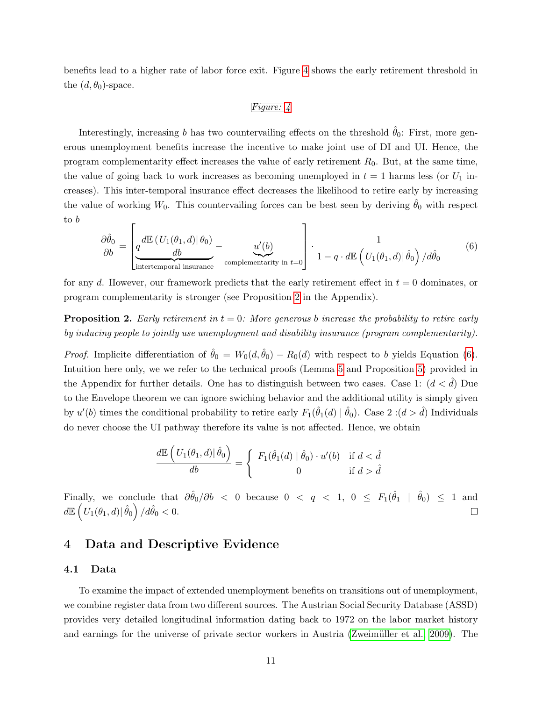benefits lead to a higher rate of labor force exit. Figure [4](#page-44-0) shows the early retirement threshold in the  $(d, \theta_0)$ -space.

#### Figure: [4](#page-44-0)

Interestingly, increasing b has two countervailing effects on the threshold  $\hat{\theta}_0$ : First, more generous unemployment benefits increase the incentive to make joint use of DI and UI. Hence, the program complementarity effect increases the value of early retirement  $R_0$ . But, at the same time, the value of going back to work increases as becoming unemployed in  $t = 1$  harms less (or  $U_1$  increases). This inter-temporal insurance effect decreases the likelihood to retire early by increasing the value of working  $W_0$ . This countervailing forces can be best seen by deriving  $\hat{\theta}_0$  with respect to b  $\Gamma$  $\overline{1}$ 

<span id="page-11-1"></span>
$$
\frac{\partial \hat{\theta}_0}{\partial b} = \left[ \underbrace{q \frac{d \mathbb{E} \left( U_1(\theta_1, d) | \theta_0 \right)}{d b}}_{\text{intertemporal insurance}} - \underbrace{u'(b)}_{\text{complementarity in } t=0} \right] \cdot \frac{1}{1 - q \cdot d \mathbb{E} \left( U_1(\theta_1, d) | \hat{\theta}_0 \right) / d \hat{\theta}_0} \tag{6}
$$

for any d. However, our framework predicts that the early retirement effect in  $t = 0$  dominates, or program complementarity is stronger (see Proposition [2](#page-11-0) in the Appendix).

<span id="page-11-0"></span>**Proposition 2.** Early retirement in  $t = 0$ : More generous b increase the probability to retire early by inducing people to jointly use unemployment and disability insurance (program complementarity).

*Proof.* Implicite differentiation of  $\hat{\theta}_0 = W_0(d, \hat{\theta}_0) - R_0(d)$  with respect to b yields Equation [\(6\)](#page-11-1). Intuition here only, we we refer to the technical proofs (Lemma [5](#page-33-0) and Proposition [5\)](#page-35-0) provided in the Appendix for further details. One has to distinguish between two cases. Case 1:  $(d < d)$  Due to the Envelope theorem we can ignore swiching behavior and the additional utility is simply given by  $u'(b)$  times the conditional probability to retire early  $F_1(\hat{\theta}_1(d) | \hat{\theta}_0)$ . Case 2: $(d > \hat{d})$  Individuals do never choose the UI pathway therefore its value is not affected. Hence, we obtain

$$
\frac{d\mathbb{E}\left(U_1(\theta_1,d)|\hat{\theta}_0\right)}{db} = \begin{cases} F_1(\hat{\theta}_1(d)|\hat{\theta}_0) \cdot u'(b) & \text{if } d < \hat{d} \\ 0 & \text{if } d > \hat{d} \end{cases}
$$

Finally, we conclude that  $\partial \hat{\theta}_0 / \partial b \leq 0$  because  $0 \leq q \leq 1$ ,  $0 \leq F_1(\hat{\theta}_1 \mid \hat{\theta}_0) \leq 1$  and  $d\mathbb{E}\left(\left.U_1(\theta_1,d)\right|\hat{\theta}_0\right)/d\hat{\theta}_0 < 0.$  $\Box$ 

# 4 Data and Descriptive Evidence

#### <span id="page-11-2"></span>4.1 Data

To examine the impact of extended unemployment benefits on transitions out of unemployment, we combine register data from two different sources. The Austrian Social Security Database (ASSD) provides very detailed longitudinal information dating back to 1972 on the labor market history and earnings for the universe of private sector workers in Austria (Zweimüller et al., 2009). The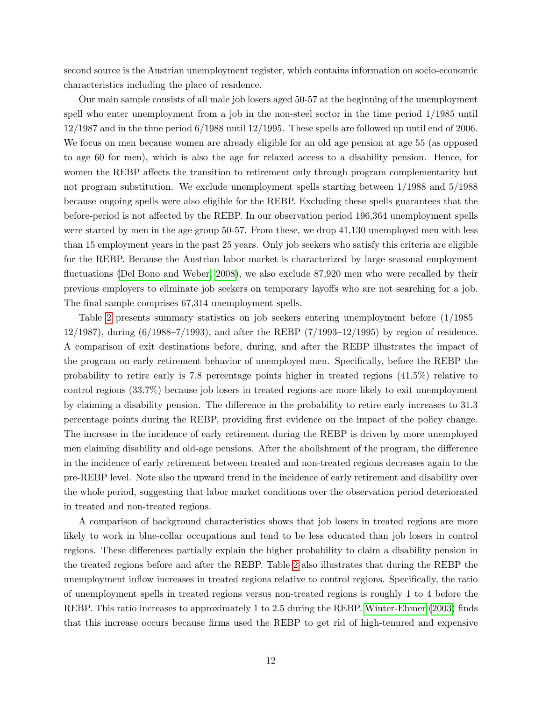second source is the Austrian unemployment register, which contains information on socio-economic characteristics including the place of residence.

Our main sample consists of all male job losers aged 50-57 at the beginning of the unemployment spell who enter unemployment from a job in the non-steel sector in the time period 1/1985 until 12/1987 and in the time period 6/1988 until 12/1995. These spells are followed up until end of 2006. We focus on men because women are already eligible for an old age pension at age 55 (as opposed to age 60 for men), which is also the age for relaxed access to a disability pension. Hence, for women the REBP affects the transition to retirement only through program complementarity but not program substitution. We exclude unemployment spells starting between 1/1988 and 5/1988 because ongoing spells were also eligible for the REBP. Excluding these spells guarantees that the before-period is not affected by the REBP. In our observation period 196,364 unemployment spells were started by men in the age group 50-57. From these, we drop 41,130 unemployed men with less than 15 employment years in the past 25 years. Only job seekers who satisfy this criteria are eligible for the REBP. Because the Austrian labor market is characterized by large seasonal employment fluctuations [\(Del Bono and Weber, 2008\)](#page-27-10), we also exclude 87,920 men who were recalled by their previous employers to eliminate job seekers on temporary layoffs who are not searching for a job. The final sample comprises 67,314 unemployment spells.

Table [2](#page-45-0) presents summary statistics on job seekers entering unemployment before (1/1985– 12/1987), during (6/1988–7/1993), and after the REBP (7/1993–12/1995) by region of residence. A comparison of exit destinations before, during, and after the REBP illustrates the impact of the program on early retirement behavior of unemployed men. Specifically, before the REBP the probability to retire early is 7.8 percentage points higher in treated regions (41.5%) relative to control regions (33.7%) because job losers in treated regions are more likely to exit unemployment by claiming a disability pension. The difference in the probability to retire early increases to 31.3 percentage points during the REBP, providing first evidence on the impact of the policy change. The increase in the incidence of early retirement during the REBP is driven by more unemployed men claiming disability and old-age pensions. After the abolishment of the program, the difference in the incidence of early retirement between treated and non-treated regions decreases again to the pre-REBP level. Note also the upward trend in the incidence of early retirement and disability over the whole period, suggesting that labor market conditions over the observation period deteriorated in treated and non-treated regions.

A comparison of background characteristics shows that job losers in treated regions are more likely to work in blue-collar occupations and tend to be less educated than job losers in control regions. These differences partially explain the higher probability to claim a disability pension in the treated regions before and after the REBP. Table [2](#page-45-0) also illustrates that during the REBP the unemployment inflow increases in treated regions relative to control regions. Specifically, the ratio of unemployment spells in treated regions versus non-treated regions is roughly 1 to 4 before the REBP. This ratio increases to approximately 1 to 2.5 during the REBP. [Winter-Ebmer](#page-29-2) [\(2003\)](#page-29-2) finds that this increase occurs because firms used the REBP to get rid of high-tenured and expensive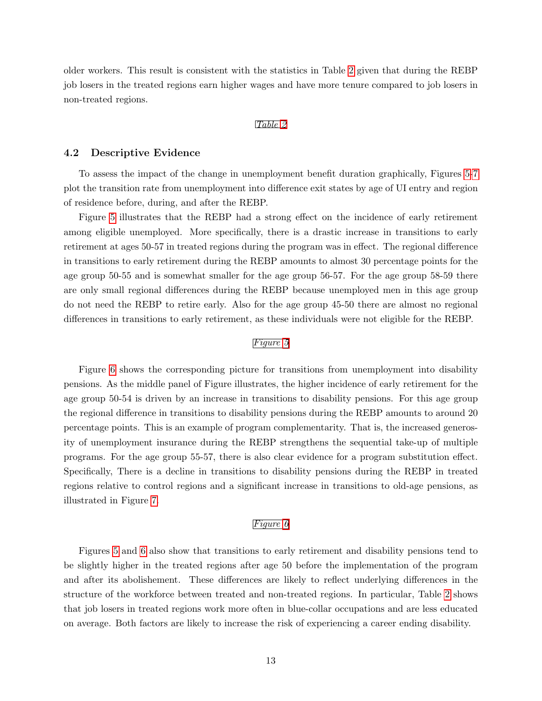older workers. This result is consistent with the statistics in Table [2](#page-45-0) given that during the REBP job losers in the treated regions earn higher wages and have more tenure compared to job losers in non-treated regions.

#### Table [2](#page-45-0)

### 4.2 Descriptive Evidence

To assess the impact of the change in unemployment benefit duration graphically, Figures [5-](#page-46-0)[7](#page-48-0) plot the transition rate from unemployment into difference exit states by age of UI entry and region of residence before, during, and after the REBP.

Figure [5](#page-46-0) illustrates that the REBP had a strong effect on the incidence of early retirement among eligible unemployed. More specifically, there is a drastic increase in transitions to early retirement at ages 50-57 in treated regions during the program was in effect. The regional difference in transitions to early retirement during the REBP amounts to almost 30 percentage points for the age group 50-55 and is somewhat smaller for the age group 56-57. For the age group 58-59 there are only small regional differences during the REBP because unemployed men in this age group do not need the REBP to retire early. Also for the age group 45-50 there are almost no regional differences in transitions to early retirement, as these individuals were not eligible for the REBP.

#### Figure [5](#page-46-0)

Figure [6](#page-47-0) shows the corresponding picture for transitions from unemployment into disability pensions. As the middle panel of Figure illustrates, the higher incidence of early retirement for the age group 50-54 is driven by an increase in transitions to disability pensions. For this age group the regional difference in transitions to disability pensions during the REBP amounts to around 20 percentage points. This is an example of program complementarity. That is, the increased generosity of unemployment insurance during the REBP strengthens the sequential take-up of multiple programs. For the age group 55-57, there is also clear evidence for a program substitution effect. Specifically, There is a decline in transitions to disability pensions during the REBP in treated regions relative to control regions and a significant increase in transitions to old-age pensions, as illustrated in Figure [7.](#page-48-0)

#### Figure [6](#page-47-0)

Figures [5](#page-46-0) and [6](#page-47-0) also show that transitions to early retirement and disability pensions tend to be slightly higher in the treated regions after age 50 before the implementation of the program and after its abolishement. These differences are likely to reflect underlying differences in the structure of the workforce between treated and non-treated regions. In particular, Table [2](#page-45-0) shows that job losers in treated regions work more often in blue-collar occupations and are less educated on average. Both factors are likely to increase the risk of experiencing a career ending disability.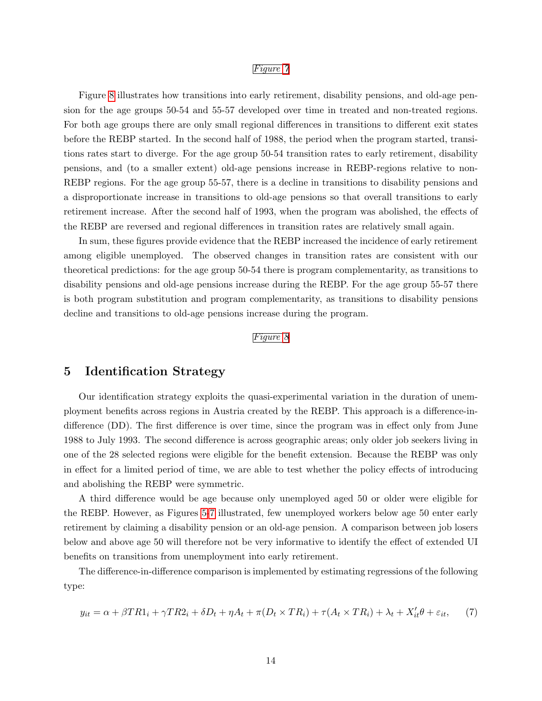#### Figure [7](#page-48-0)

Figure [8](#page-49-0) illustrates how transitions into early retirement, disability pensions, and old-age pension for the age groups 50-54 and 55-57 developed over time in treated and non-treated regions. For both age groups there are only small regional differences in transitions to different exit states before the REBP started. In the second half of 1988, the period when the program started, transitions rates start to diverge. For the age group 50-54 transition rates to early retirement, disability pensions, and (to a smaller extent) old-age pensions increase in REBP-regions relative to non-REBP regions. For the age group 55-57, there is a decline in transitions to disability pensions and a disproportionate increase in transitions to old-age pensions so that overall transitions to early retirement increase. After the second half of 1993, when the program was abolished, the effects of the REBP are reversed and regional differences in transition rates are relatively small again.

In sum, these figures provide evidence that the REBP increased the incidence of early retirement among eligible unemployed. The observed changes in transition rates are consistent with our theoretical predictions: for the age group 50-54 there is program complementarity, as transitions to disability pensions and old-age pensions increase during the REBP. For the age group 55-57 there is both program substitution and program complementarity, as transitions to disability pensions decline and transitions to old-age pensions increase during the program.

#### Figure [8](#page-49-0)

### 5 Identification Strategy

Our identification strategy exploits the quasi-experimental variation in the duration of unemployment benefits across regions in Austria created by the REBP. This approach is a difference-indifference (DD). The first difference is over time, since the program was in effect only from June 1988 to July 1993. The second difference is across geographic areas; only older job seekers living in one of the 28 selected regions were eligible for the benefit extension. Because the REBP was only in effect for a limited period of time, we are able to test whether the policy effects of introducing and abolishing the REBP were symmetric.

A third difference would be age because only unemployed aged 50 or older were eligible for the REBP. However, as Figures [5](#page-46-0)[-7](#page-48-0) illustrated, few unemployed workers below age 50 enter early retirement by claiming a disability pension or an old-age pension. A comparison between job losers below and above age 50 will therefore not be very informative to identify the effect of extended UI benefits on transitions from unemployment into early retirement.

The difference-in-difference comparison is implemented by estimating regressions of the following type:

<span id="page-14-0"></span>
$$
y_{it} = \alpha + \beta TR1_i + \gamma TR2_i + \delta D_t + \eta A_t + \pi (D_t \times TR_i) + \tau (A_t \times TR_i) + \lambda_t + X'_{it} \theta + \varepsilon_{it}, \tag{7}
$$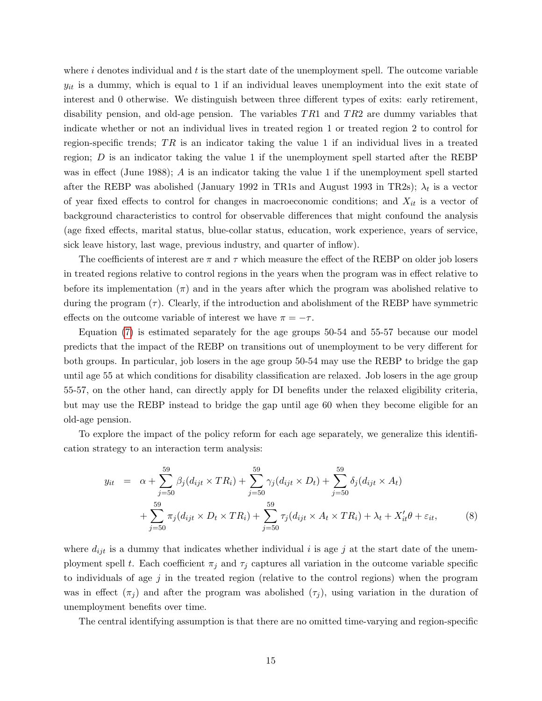where  $i$  denotes individual and  $t$  is the start date of the unemployment spell. The outcome variable  $y_{it}$  is a dummy, which is equal to 1 if an individual leaves unemployment into the exit state of interest and 0 otherwise. We distinguish between three different types of exits: early retirement, disability pension, and old-age pension. The variables  $TR1$  and  $TR2$  are dummy variables that indicate whether or not an individual lives in treated region 1 or treated region 2 to control for region-specific trends;  $TR$  is an indicator taking the value 1 if an individual lives in a treated region;  $D$  is an indicator taking the value 1 if the unemployment spell started after the REBP was in effect (June 1988); A is an indicator taking the value 1 if the unemployment spell started after the REBP was abolished (January 1992 in TR1s and August 1993 in TR2s);  $\lambda_t$  is a vector of year fixed effects to control for changes in macroeconomic conditions; and  $X_{it}$  is a vector of background characteristics to control for observable differences that might confound the analysis (age fixed effects, marital status, blue-collar status, education, work experience, years of service, sick leave history, last wage, previous industry, and quarter of inflow).

The coefficients of interest are  $\pi$  and  $\tau$  which measure the effect of the REBP on older job losers in treated regions relative to control regions in the years when the program was in effect relative to before its implementation  $(\pi)$  and in the years after which the program was abolished relative to during the program  $(\tau)$ . Clearly, if the introduction and abolishment of the REBP have symmetric effects on the outcome variable of interest we have  $\pi = -\tau$ .

Equation [\(7\)](#page-14-0) is estimated separately for the age groups 50-54 and 55-57 because our model predicts that the impact of the REBP on transitions out of unemployment to be very different for both groups. In particular, job losers in the age group 50-54 may use the REBP to bridge the gap until age 55 at which conditions for disability classification are relaxed. Job losers in the age group 55-57, on the other hand, can directly apply for DI benefits under the relaxed eligibility criteria, but may use the REBP instead to bridge the gap until age 60 when they become eligible for an old-age pension.

To explore the impact of the policy reform for each age separately, we generalize this identification strategy to an interaction term analysis:

<span id="page-15-0"></span>
$$
y_{it} = \alpha + \sum_{j=50}^{59} \beta_j (d_{ijt} \times TR_i) + \sum_{j=50}^{59} \gamma_j (d_{ijt} \times D_t) + \sum_{j=50}^{59} \delta_j (d_{ijt} \times A_t) + \sum_{j=50}^{59} \pi_j (d_{ijt} \times D_t \times TR_i) + \sum_{j=50}^{59} \tau_j (d_{ijt} \times A_t \times TR_i) + \lambda_t + X'_{it} \theta + \varepsilon_{it},
$$
(8)

where  $d_{ijt}$  is a dummy that indicates whether individual i is age j at the start date of the unemployment spell t. Each coefficient  $\pi_j$  and  $\tau_j$  captures all variation in the outcome variable specific to individuals of age  $j$  in the treated region (relative to the control regions) when the program was in effect  $(\pi_j)$  and after the program was abolished  $(\tau_j)$ , using variation in the duration of unemployment benefits over time.

The central identifying assumption is that there are no omitted time-varying and region-specific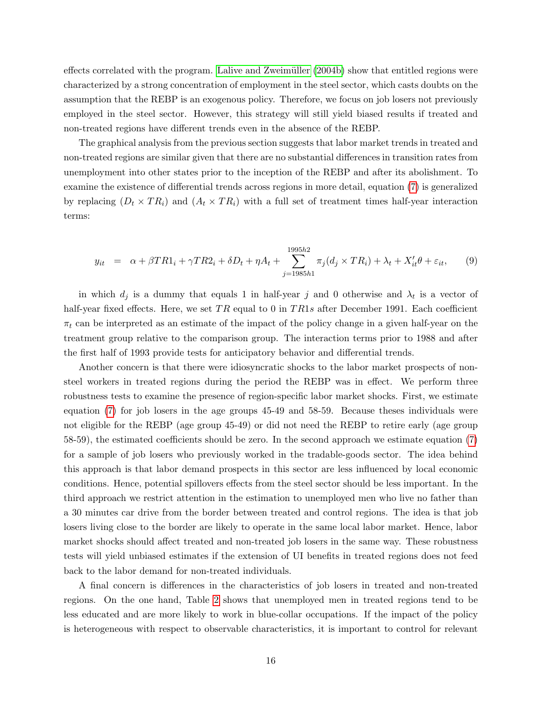effects correlated with the program. Lalive and Zweimüller [\(2004b\)](#page-28-7) show that entitled regions were characterized by a strong concentration of employment in the steel sector, which casts doubts on the assumption that the REBP is an exogenous policy. Therefore, we focus on job losers not previously employed in the steel sector. However, this strategy will still yield biased results if treated and non-treated regions have different trends even in the absence of the REBP.

The graphical analysis from the previous section suggests that labor market trends in treated and non-treated regions are similar given that there are no substantial differences in transition rates from unemployment into other states prior to the inception of the REBP and after its abolishment. To examine the existence of differential trends across regions in more detail, equation [\(7\)](#page-14-0) is generalized by replacing  $(D_t \times TR_i)$  and  $(A_t \times TR_i)$  with a full set of treatment times half-year interaction terms:

<span id="page-16-0"></span>
$$
y_{it} = \alpha + \beta TR1_i + \gamma TR2_i + \delta D_t + \eta A_t + \sum_{j=1985h1}^{1995h2} \pi_j (d_j \times TR_i) + \lambda_t + X_{it}'\theta + \varepsilon_{it}, \qquad (9)
$$

in which  $d_j$  is a dummy that equals 1 in half-year j and 0 otherwise and  $\lambda_t$  is a vector of half-year fixed effects. Here, we set TR equal to 0 in TR1s after December 1991. Each coefficient  $\pi_t$  can be interpreted as an estimate of the impact of the policy change in a given half-year on the treatment group relative to the comparison group. The interaction terms prior to 1988 and after the first half of 1993 provide tests for anticipatory behavior and differential trends.

Another concern is that there were idiosyncratic shocks to the labor market prospects of nonsteel workers in treated regions during the period the REBP was in effect. We perform three robustness tests to examine the presence of region-specific labor market shocks. First, we estimate equation [\(7\)](#page-14-0) for job losers in the age groups 45-49 and 58-59. Because theses individuals were not eligible for the REBP (age group 45-49) or did not need the REBP to retire early (age group 58-59), the estimated coefficients should be zero. In the second approach we estimate equation [\(7\)](#page-14-0) for a sample of job losers who previously worked in the tradable-goods sector. The idea behind this approach is that labor demand prospects in this sector are less influenced by local economic conditions. Hence, potential spillovers effects from the steel sector should be less important. In the third approach we restrict attention in the estimation to unemployed men who live no father than a 30 minutes car drive from the border between treated and control regions. The idea is that job losers living close to the border are likely to operate in the same local labor market. Hence, labor market shocks should affect treated and non-treated job losers in the same way. These robustness tests will yield unbiased estimates if the extension of UI benefits in treated regions does not feed back to the labor demand for non-treated individuals.

A final concern is differences in the characteristics of job losers in treated and non-treated regions. On the one hand, Table [2](#page-45-0) shows that unemployed men in treated regions tend to be less educated and are more likely to work in blue-collar occupations. If the impact of the policy is heterogeneous with respect to observable characteristics, it is important to control for relevant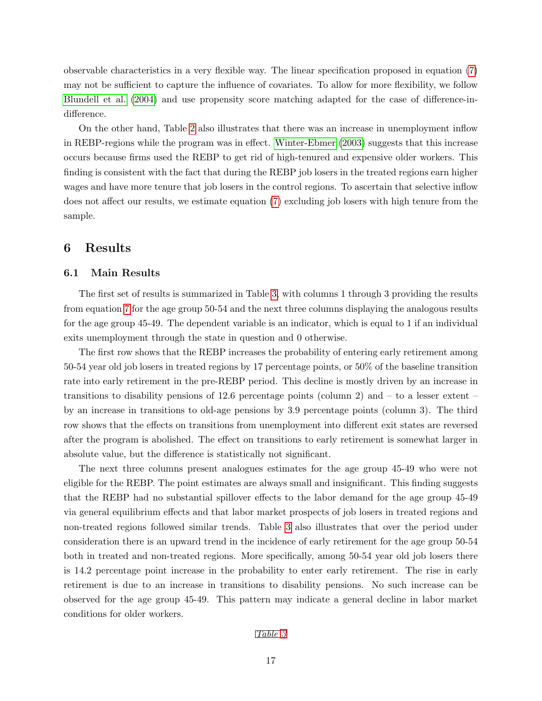observable characteristics in a very flexible way. The linear specification proposed in equation [\(7\)](#page-14-0) may not be sufficient to capture the influence of covariates. To allow for more flexibility, we follow [Blundell et al.](#page-27-11) [\(2004\)](#page-27-11) and use propensity score matching adapted for the case of difference-indifference.

On the other hand, Table [2](#page-45-0) also illustrates that there was an increase in unemployment inflow in REBP-regions while the program was in effect. [Winter-Ebmer](#page-29-2) [\(2003\)](#page-29-2) suggests that this increase occurs because firms used the REBP to get rid of high-tenured and expensive older workers. This finding is consistent with the fact that during the REBP job losers in the treated regions earn higher wages and have more tenure that job losers in the control regions. To ascertain that selective inflow does not affect our results, we estimate equation [\(7\)](#page-14-0) excluding job losers with high tenure from the sample.

# 6 Results

### <span id="page-17-0"></span>6.1 Main Results

The first set of results is summarized in Table [3,](#page-50-0) with columns 1 through 3 providing the results from equation [7](#page-14-0) for the age group 50-54 and the next three columns displaying the analogous results for the age group 45-49. The dependent variable is an indicator, which is equal to 1 if an individual exits unemployment through the state in question and 0 otherwise.

The first row shows that the REBP increases the probability of entering early retirement among 50-54 year old job losers in treated regions by 17 percentage points, or 50% of the baseline transition rate into early retirement in the pre-REBP period. This decline is mostly driven by an increase in transitions to disability pensions of 12.6 percentage points (column 2) and – to a lesser extent – by an increase in transitions to old-age pensions by 3.9 percentage points (column 3). The third row shows that the effects on transitions from unemployment into different exit states are reversed after the program is abolished. The effect on transitions to early retirement is somewhat larger in absolute value, but the difference is statistically not significant.

The next three columns present analogues estimates for the age group 45-49 who were not eligible for the REBP. The point estimates are always small and insignificant. This finding suggests that the REBP had no substantial spillover effects to the labor demand for the age group 45-49 via general equilibrium effects and that labor market prospects of job losers in treated regions and non-treated regions followed similar trends. Table [3](#page-50-0) also illustrates that over the period under consideration there is an upward trend in the incidence of early retirement for the age group 50-54 both in treated and non-treated regions. More specifically, among 50-54 year old job losers there is 14.2 percentage point increase in the probability to enter early retirement. The rise in early retirement is due to an increase in transitions to disability pensions. No such increase can be observed for the age group 45-49. This pattern may indicate a general decline in labor market conditions for older workers.

#### Table [3](#page-50-0)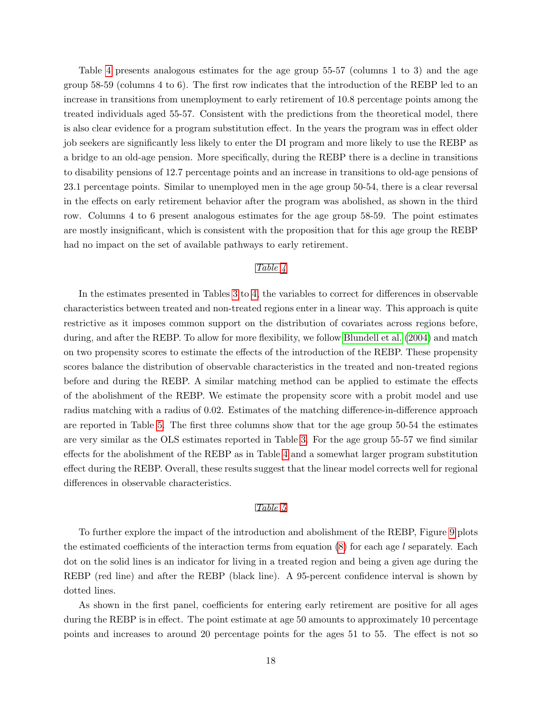Table [4](#page-51-0) presents analogous estimates for the age group 55-57 (columns 1 to 3) and the age group 58-59 (columns 4 to 6). The first row indicates that the introduction of the REBP led to an increase in transitions from unemployment to early retirement of 10.8 percentage points among the treated individuals aged 55-57. Consistent with the predictions from the theoretical model, there is also clear evidence for a program substitution effect. In the years the program was in effect older job seekers are significantly less likely to enter the DI program and more likely to use the REBP as a bridge to an old-age pension. More specifically, during the REBP there is a decline in transitions to disability pensions of 12.7 percentage points and an increase in transitions to old-age pensions of 23.1 percentage points. Similar to unemployed men in the age group 50-54, there is a clear reversal in the effects on early retirement behavior after the program was abolished, as shown in the third row. Columns 4 to 6 present analogous estimates for the age group 58-59. The point estimates are mostly insignificant, which is consistent with the proposition that for this age group the REBP had no impact on the set of available pathways to early retirement.

### Table [4](#page-51-0)

In the estimates presented in Tables [3](#page-50-0) to [4,](#page-51-0) the variables to correct for differences in observable characteristics between treated and non-treated regions enter in a linear way. This approach is quite restrictive as it imposes common support on the distribution of covariates across regions before, during, and after the REBP. To allow for more flexibility, we follow [Blundell et al.](#page-27-11) [\(2004\)](#page-27-11) and match on two propensity scores to estimate the effects of the introduction of the REBP. These propensity scores balance the distribution of observable characteristics in the treated and non-treated regions before and during the REBP. A similar matching method can be applied to estimate the effects of the abolishment of the REBP. We estimate the propensity score with a probit model and use radius matching with a radius of 0.02. Estimates of the matching difference-in-difference approach are reported in Table [5.](#page-52-0) The first three columns show that tor the age group 50-54 the estimates are very similar as the OLS estimates reported in Table [3.](#page-50-0) For the age group 55-57 we find similar effects for the abolishment of the REBP as in Table [4](#page-51-0) and a somewhat larger program substitution effect during the REBP. Overall, these results suggest that the linear model corrects well for regional differences in observable characteristics.

### Table [5](#page-52-0)

To further explore the impact of the introduction and abolishment of the REBP, Figure [9](#page-53-0) plots the estimated coefficients of the interaction terms from equation [\(8\)](#page-15-0) for each age l separately. Each dot on the solid lines is an indicator for living in a treated region and being a given age during the REBP (red line) and after the REBP (black line). A 95-percent confidence interval is shown by dotted lines.

As shown in the first panel, coefficients for entering early retirement are positive for all ages during the REBP is in effect. The point estimate at age 50 amounts to approximately 10 percentage points and increases to around 20 percentage points for the ages 51 to 55. The effect is not so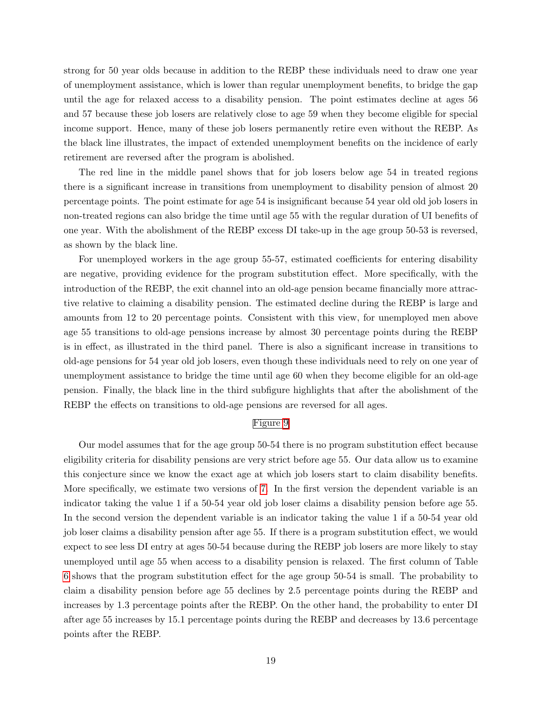strong for 50 year olds because in addition to the REBP these individuals need to draw one year of unemployment assistance, which is lower than regular unemployment benefits, to bridge the gap until the age for relaxed access to a disability pension. The point estimates decline at ages 56 and 57 because these job losers are relatively close to age 59 when they become eligible for special income support. Hence, many of these job losers permanently retire even without the REBP. As the black line illustrates, the impact of extended unemployment benefits on the incidence of early retirement are reversed after the program is abolished.

The red line in the middle panel shows that for job losers below age 54 in treated regions there is a significant increase in transitions from unemployment to disability pension of almost 20 percentage points. The point estimate for age 54 is insignificant because 54 year old old job losers in non-treated regions can also bridge the time until age 55 with the regular duration of UI benefits of one year. With the abolishment of the REBP excess DI take-up in the age group 50-53 is reversed, as shown by the black line.

For unemployed workers in the age group 55-57, estimated coefficients for entering disability are negative, providing evidence for the program substitution effect. More specifically, with the introduction of the REBP, the exit channel into an old-age pension became financially more attractive relative to claiming a disability pension. The estimated decline during the REBP is large and amounts from 12 to 20 percentage points. Consistent with this view, for unemployed men above age 55 transitions to old-age pensions increase by almost 30 percentage points during the REBP is in effect, as illustrated in the third panel. There is also a significant increase in transitions to old-age pensions for 54 year old job losers, even though these individuals need to rely on one year of unemployment assistance to bridge the time until age 60 when they become eligible for an old-age pension. Finally, the black line in the third subfigure highlights that after the abolishment of the REBP the effects on transitions to old-age pensions are reversed for all ages.

#### Figure [9](#page-53-0)

Our model assumes that for the age group 50-54 there is no program substitution effect because eligibility criteria for disability pensions are very strict before age 55. Our data allow us to examine this conjecture since we know the exact age at which job losers start to claim disability benefits. More specifically, we estimate two versions of [7.](#page-14-0) In the first version the dependent variable is an indicator taking the value 1 if a 50-54 year old job loser claims a disability pension before age 55. In the second version the dependent variable is an indicator taking the value 1 if a 50-54 year old job loser claims a disability pension after age 55. If there is a program substitution effect, we would expect to see less DI entry at ages 50-54 because during the REBP job losers are more likely to stay unemployed until age 55 when access to a disability pension is relaxed. The first column of Table [6](#page-54-0) shows that the program substitution effect for the age group 50-54 is small. The probability to claim a disability pension before age 55 declines by 2.5 percentage points during the REBP and increases by 1.3 percentage points after the REBP. On the other hand, the probability to enter DI after age 55 increases by 15.1 percentage points during the REBP and decreases by 13.6 percentage points after the REBP.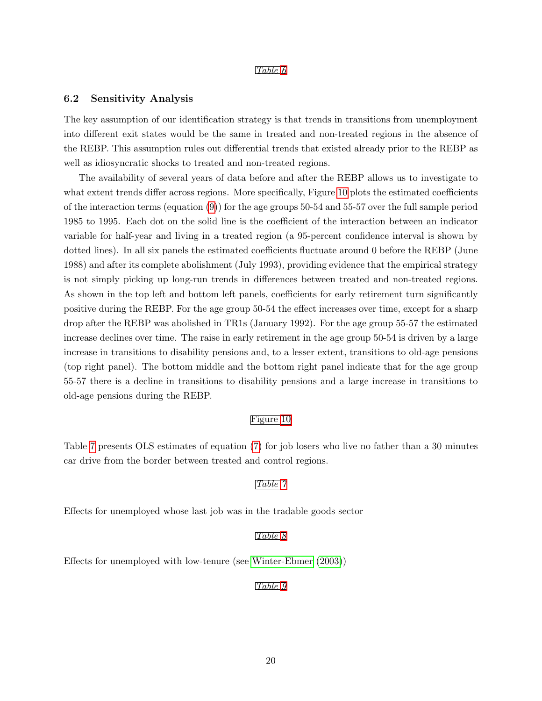#### Table [6](#page-54-0)

#### <span id="page-20-0"></span>6.2 Sensitivity Analysis

The key assumption of our identification strategy is that trends in transitions from unemployment into different exit states would be the same in treated and non-treated regions in the absence of the REBP. This assumption rules out differential trends that existed already prior to the REBP as well as idiosyncratic shocks to treated and non-treated regions.

The availability of several years of data before and after the REBP allows us to investigate to what extent trends differ across regions. More specifically, Figure [10](#page-55-0) plots the estimated coefficients of the interaction terms (equation  $(9)$ ) for the age groups 50-54 and 55-57 over the full sample period 1985 to 1995. Each dot on the solid line is the coefficient of the interaction between an indicator variable for half-year and living in a treated region (a 95-percent confidence interval is shown by dotted lines). In all six panels the estimated coefficients fluctuate around 0 before the REBP (June 1988) and after its complete abolishment (July 1993), providing evidence that the empirical strategy is not simply picking up long-run trends in differences between treated and non-treated regions. As shown in the top left and bottom left panels, coefficients for early retirement turn significantly positive during the REBP. For the age group 50-54 the effect increases over time, except for a sharp drop after the REBP was abolished in TR1s (January 1992). For the age group 55-57 the estimated increase declines over time. The raise in early retirement in the age group 50-54 is driven by a large increase in transitions to disability pensions and, to a lesser extent, transitions to old-age pensions (top right panel). The bottom middle and the bottom right panel indicate that for the age group 55-57 there is a decline in transitions to disability pensions and a large increase in transitions to old-age pensions during the REBP.

### Figure [10](#page-55-0)

Table [7](#page-56-0) presents OLS estimates of equation [\(7\)](#page-14-0) for job losers who live no father than a 30 minutes car drive from the border between treated and control regions.

### Table [7](#page-56-0)

Effects for unemployed whose last job was in the tradable goods sector

#### Table [8](#page-57-0)

Effects for unemployed with low-tenure (see [Winter-Ebmer](#page-29-2) [\(2003\)](#page-29-2))

#### Table [9](#page-58-0)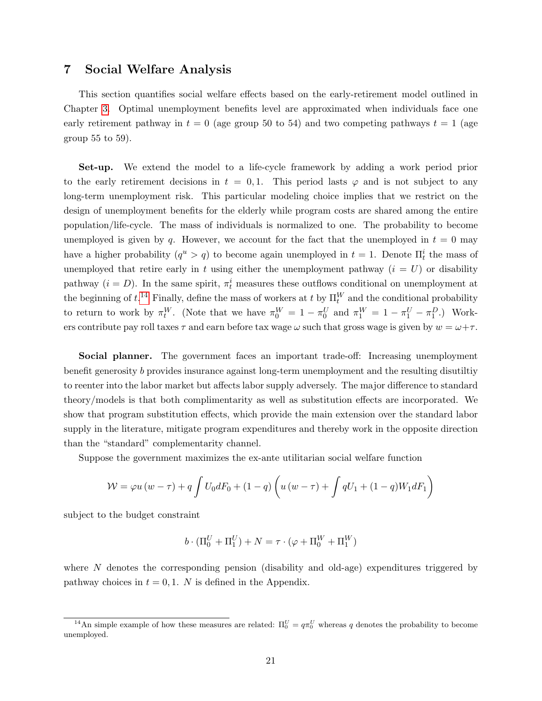## <span id="page-21-0"></span>7 Social Welfare Analysis

This section quantifies social welfare effects based on the early-retirement model outlined in Chapter [3.](#page-6-0) Optimal unemployment benefits level are approximated when individuals face one early retirement pathway in  $t = 0$  (age group 50 to 54) and two competing pathways  $t = 1$  (age group 55 to 59).

Set-up. We extend the model to a life-cycle framework by adding a work period prior to the early retirement decisions in  $t = 0, 1$ . This period lasts  $\varphi$  and is not subject to any long-term unemployment risk. This particular modeling choice implies that we restrict on the design of unemployment benefits for the elderly while program costs are shared among the entire population/life-cycle. The mass of individuals is normalized to one. The probability to become unemployed is given by q. However, we account for the fact that the unemployed in  $t = 0$  may have a higher probability  $(q^u > q)$  to become again unemployed in  $t = 1$ . Denote  $\Pi_t^i$  the mass of unemployed that retire early in t using either the unemployment pathway  $(i = U)$  or disability pathway  $(i = D)$ . In the same spirit,  $\pi_t^i$  measures these outflows conditional on unemployment at the beginning of  $t.^{14}$  $t.^{14}$  $t.^{14}$  Finally, define the mass of workers at t by  $\Pi_t^W$  and the conditional probability to return to work by  $\pi_t^W$ . (Note that we have  $\pi_0^W = 1 - \pi_0^U$  and  $\pi_1^W = 1 - \pi_1^U - \pi_1^D$ .) Workers contribute pay roll taxes  $\tau$  and earn before tax wage  $\omega$  such that gross wage is given by  $w = \omega + \tau$ .

Social planner. The government faces an important trade-off: Increasing unemployment benefit generosity b provides insurance against long-term unemployment and the resulting disutiltiy to reenter into the labor market but affects labor supply adversely. The major difference to standard theory/models is that both complimentarity as well as substitution effects are incorporated. We show that program substitution effects, which provide the main extension over the standard labor supply in the literature, mitigate program expenditures and thereby work in the opposite direction than the "standard" complementarity channel.

Suppose the government maximizes the ex-ante utilitarian social welfare function

$$
W = \varphi u (w - \tau) + q \int U_0 dF_0 + (1 - q) \left( u (w - \tau) + \int qU_1 + (1 - q)W_1 dF_1 \right)
$$

subject to the budget constraint

$$
b \cdot (\Pi_0^U + \Pi_1^U) + N = \tau \cdot (\varphi + \Pi_0^W + \Pi_1^W)
$$

where  $N$  denotes the corresponding pension (disability and old-age) expenditures triggered by pathway choices in  $t = 0, 1$ . N is defined in the Appendix.

<sup>&</sup>lt;sup>14</sup>An simple example of how these measures are related:  $\Pi_0^U = q\pi_0^U$  whereas q denotes the probability to become unemployed.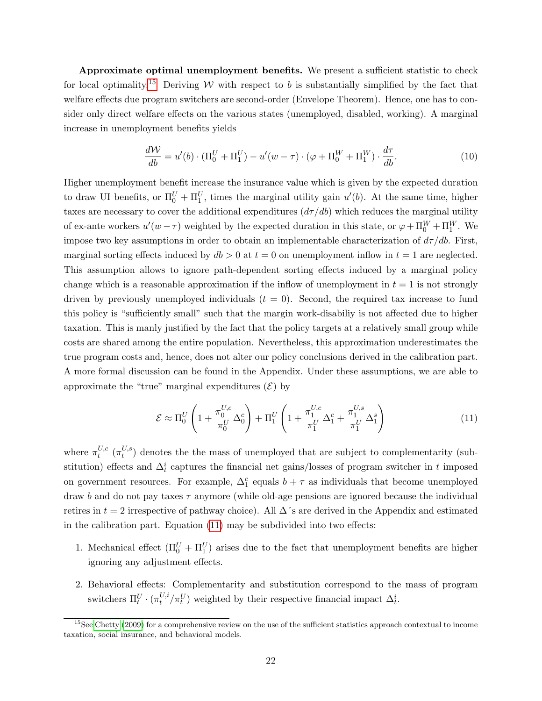Approximate optimal unemployment benefits. We present a sufficient statistic to check for local optimality.<sup>[15](#page-0-0)</sup> Deriving W with respect to b is substantially simplified by the fact that welfare effects due program switchers are second-order (Envelope Theorem). Hence, one has to consider only direct welfare effects on the various states (unemployed, disabled, working). A marginal increase in unemployment benefits yields

<span id="page-22-1"></span>
$$
\frac{d\mathcal{W}}{db} = u'(b) \cdot (\Pi_0^U + \Pi_1^U) - u'(w - \tau) \cdot (\varphi + \Pi_0^W + \Pi_1^W) \cdot \frac{d\tau}{db}.\tag{10}
$$

Higher unemployment benefit increase the insurance value which is given by the expected duration to draw UI benefits, or  $\Pi_0^U + \Pi_1^U$ , times the marginal utility gain  $u'(b)$ . At the same time, higher taxes are necessary to cover the additional expenditures  $(d\tau / db)$  which reduces the marginal utility of ex-ante workers  $u'(w - \tau)$  weighted by the expected duration in this state, or  $\varphi + \Pi_0^W + \Pi_1^W$ . We impose two key assumptions in order to obtain an implementable characterization of  $d\tau /db$ . First, marginal sorting effects induced by  $db > 0$  at  $t = 0$  on unemployment inflow in  $t = 1$  are neglected. This assumption allows to ignore path-dependent sorting effects induced by a marginal policy change which is a reasonable approximation if the inflow of unemployment in  $t = 1$  is not strongly driven by previously unemployed individuals  $(t = 0)$ . Second, the required tax increase to fund this policy is "sufficiently small" such that the margin work-disabiliy is not affected due to higher taxation. This is manly justified by the fact that the policy targets at a relatively small group while costs are shared among the entire population. Nevertheless, this approximation underestimates the true program costs and, hence, does not alter our policy conclusions derived in the calibration part. A more formal discussion can be found in the Appendix. Under these assumptions, we are able to approximate the "true" marginal expenditures  $(\mathcal{E})$  by

<span id="page-22-0"></span>
$$
\mathcal{E} \approx \Pi_0^U \left( 1 + \frac{\pi_0^{U,c}}{\pi_0^U} \Delta_0^c \right) + \Pi_1^U \left( 1 + \frac{\pi_1^{U,c}}{\pi_1^U} \Delta_1^c + \frac{\pi_1^{U,s}}{\pi_1^U} \Delta_1^s \right) \tag{11}
$$

where  $\pi_t^{U,c}$  $_{t}^{U,c}\ (\pi_{t}^{U,s}% ,\pi_{t}^{U,c},\pi_{t}^{U,s})_{t}^{V,c}$  $t^{(0,s)}$  denotes the the mass of unemployed that are subject to complementarity (substitution) effects and  $\Delta_t^i$  captures the financial net gains/losses of program switcher in t imposed on government resources. For example,  $\Delta_1^c$  equals  $b + \tau$  as individuals that become unemployed draw b and do not pay taxes  $\tau$  anymore (while old-age pensions are ignored because the individual retires in  $t = 2$  irrespective of pathway choice). All  $\Delta$ 's are derived in the Appendix and estimated in the calibration part. Equation [\(11\)](#page-22-0) may be subdivided into two effects:

- 1. Mechanical effect  $(\Pi_0^U + \Pi_1^U)$  arises due to the fact that unemployment benefits are higher ignoring any adjustment effects.
- 2. Behavioral effects: Complementarity and substitution correspond to the mass of program switchers  $\Pi_t^U \cdot (\pi_t^{U,i})$  $t^{U,i}_t / \pi_t^U$ ) weighted by their respective financial impact  $\Delta_t^i$ .

 $15$ See [Chetty](#page-27-12) [\(2009\)](#page-27-12) for a comprehensive review on the use of the sufficient statistics approach contextual to income taxation, social insurance, and behavioral models.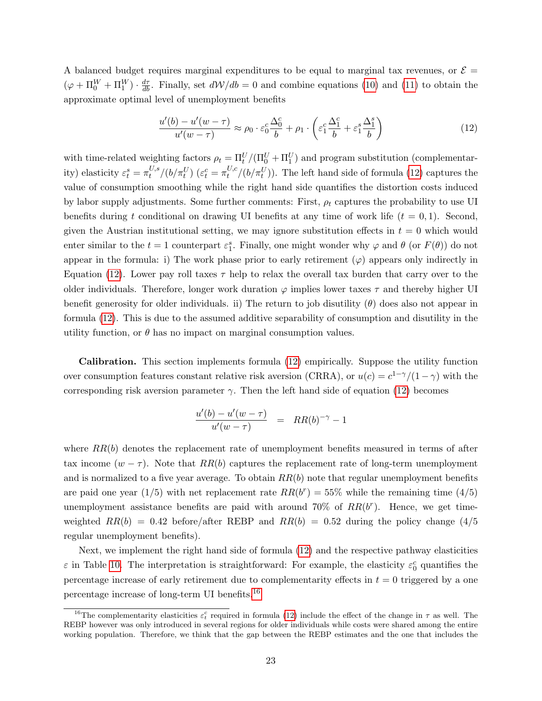A balanced budget requires marginal expenditures to be equal to marginal tax revenues, or  $\mathcal{E} =$  $(\varphi + \Pi_0^W + \Pi_1^W) \cdot \frac{d\tau}{db}$ . Finally, set  $d\mathcal{W}/db = 0$  and combine equations [\(10\)](#page-22-1) and [\(11\)](#page-22-0) to obtain the approximate optimal level of unemployment benefits

<span id="page-23-0"></span>
$$
\frac{u'(b) - u'(w - \tau)}{u'(w - \tau)} \approx \rho_0 \cdot \varepsilon_0^c \frac{\Delta_0^c}{b} + \rho_1 \cdot \left(\varepsilon_1^c \frac{\Delta_1^c}{b} + \varepsilon_1^s \frac{\Delta_1^s}{b}\right)
$$
(12)

with time-related weighting factors  $\rho_t = \Pi_t^U/(\Pi_0^U + \Pi_1^U)$  and program substitution (complementarity) elasticity  $\varepsilon_t^s = \pi_t^{U,s}$  $t^{U,s}/(b/\pi_t^U)$   $(\varepsilon_t^c = \pi_t^{U,c})$  $t^{U,c}_t/(b/\pi_t^U)$ ). The left hand side of formula [\(12\)](#page-23-0) captures the value of consumption smoothing while the right hand side quantifies the distortion costs induced by labor supply adjustments. Some further comments: First,  $\rho_t$  captures the probability to use UI benefits during t conditional on drawing UI benefits at any time of work life  $(t = 0, 1)$ . Second, given the Austrian institutional setting, we may ignore substitution effects in  $t = 0$  which would enter similar to the  $t = 1$  counterpart  $\varepsilon_1^s$ . Finally, one might wonder why  $\varphi$  and  $\theta$  (or  $F(\theta)$ ) do not appear in the formula: i) The work phase prior to early retirement  $(\varphi)$  appears only indirectly in Equation [\(12\)](#page-23-0). Lower pay roll taxes  $\tau$  help to relax the overall tax burden that carry over to the older individuals. Therefore, longer work duration  $\varphi$  implies lower taxes  $\tau$  and thereby higher UI benefit generosity for older individuals. ii) The return to job disutility  $(\theta)$  does also not appear in formula [\(12\)](#page-23-0). This is due to the assumed additive separability of consumption and disutility in the utility function, or  $\theta$  has no impact on marginal consumption values.

Calibration. This section implements formula [\(12\)](#page-23-0) empirically. Suppose the utility function over consumption features constant relative risk aversion (CRRA), or  $u(c) = c^{1-\gamma}/(1-\gamma)$  with the corresponding risk aversion parameter  $\gamma$ . Then the left hand side of equation [\(12\)](#page-23-0) becomes

$$
\frac{u'(b) - u'(w - \tau)}{u'(w - \tau)} = RR(b)^{-\gamma} - 1
$$

where  $RR(b)$  denotes the replacement rate of unemployment benefits measured in terms of after tax income  $(w - \tau)$ . Note that  $RR(b)$  captures the replacement rate of long-term unemployment and is normalized to a five year average. To obtain  $RR(b)$  note that regular unemployment benefits are paid one year (1/5) with net replacement rate  $RR(b^r) = 55\%$  while the remaining time (4/5) unemployment assistance benefits are paid with around 70% of  $RR(b^r)$ . Hence, we get timeweighted  $RR(b) = 0.42$  before/after REBP and  $RR(b) = 0.52$  during the policy change (4/5) regular unemployment benefits).

Next, we implement the right hand side of formula [\(12\)](#page-23-0) and the respective pathway elasticities  $\varepsilon$  in Table [10.](#page-59-0) The interpretation is straightforward: For example, the elasticity  $\varepsilon_0^c$  quantifies the percentage increase of early retirement due to complementarity effects in  $t = 0$  triggered by a one percentage increase of long-term UI benefits.[16](#page-0-0)

<sup>&</sup>lt;sup>16</sup>The complementarity elasticities  $\varepsilon_t^c$  required in formula [\(12\)](#page-23-0) include the effect of the change in  $\tau$  as well. The REBP however was only introduced in several regions for older individuals while costs were shared among the entire working population. Therefore, we think that the gap between the REBP estimates and the one that includes the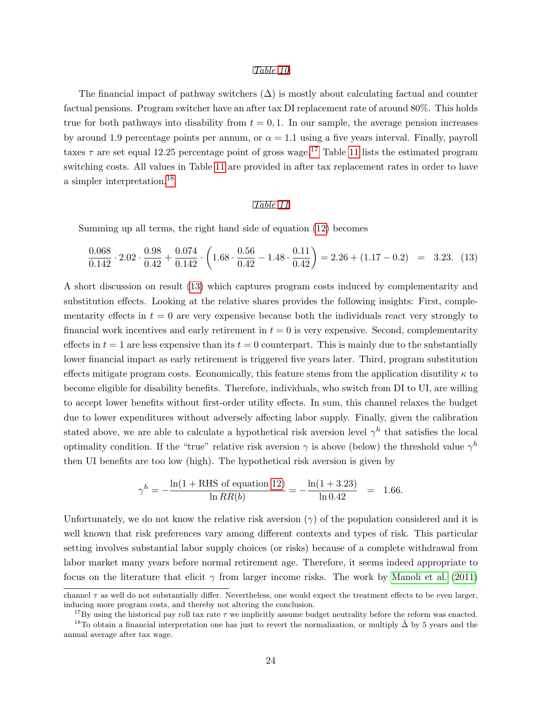#### Table [10](#page-59-0)

The financial impact of pathway switchers  $(\Delta)$  is mostly about calculating factual and counter factual pensions. Program switcher have an after tax DI replacement rate of around 80%. This holds true for both pathways into disability from  $t = 0, 1$ . In our sample, the average pension increases by around 1.9 percentage points per annum, or  $\alpha = 1.1$  using a five years interval. Finally, payroll taxes  $\tau$  are set equal 12.25 percentage point of gross wage.<sup>[17](#page-0-0)</sup> Table [11](#page-60-0) lists the estimated program switching costs. All values in Table [11](#page-60-0) are provided in after tax replacement rates in order to have a simpler interpretation.[18](#page-0-0)

#### Table [11](#page-60-0)

Summing up all terms, the right hand side of equation [\(12\)](#page-23-0) becomes

<span id="page-24-0"></span>
$$
\frac{0.068}{0.142} \cdot 2.02 \cdot \frac{0.98}{0.42} + \frac{0.074}{0.142} \cdot \left(1.68 \cdot \frac{0.56}{0.42} - 1.48 \cdot \frac{0.11}{0.42}\right) = 2.26 + (1.17 - 0.2) = 3.23. (13)
$$

A short discussion on result [\(13\)](#page-24-0) which captures program costs induced by complementarity and substitution effects. Looking at the relative shares provides the following insights: First, complementarity effects in  $t = 0$  are very expensive because both the individuals react very strongly to financial work incentives and early retirement in  $t = 0$  is very expensive. Second, complementarity effects in  $t = 1$  are less expensive than its  $t = 0$  counterpart. This is mainly due to the substantially lower financial impact as early retirement is triggered five years later. Third, program substitution effects mitigate program costs. Economically, this feature stems from the application disutility  $\kappa$  to become eligible for disability benefits. Therefore, individuals, who switch from DI to UI, are willing to accept lower benefits without first-order utility effects. In sum, this channel relaxes the budget due to lower expenditures without adversely affecting labor supply. Finally, given the calibration stated above, we are able to calculate a hypothetical risk aversion level  $\gamma^h$  that satisfies the local optimality condition. If the "true" relative risk aversion  $\gamma$  is above (below) the threshold value  $\gamma^h$ then UI benefits are too low (high). The hypothetical risk aversion is given by

$$
\gamma^h = -\frac{\ln(1 + \text{RHS of equation 12})}{\ln RR(b)} = -\frac{\ln(1 + 3.23)}{\ln 0.42} = 1.66.
$$

Unfortunately, we do not know the relative risk aversion  $(\gamma)$  of the population considered and it is well known that risk preferences vary among different contexts and types of risk. This particular setting involves substantial labor supply choices (or risks) because of a complete withdrawal from labor market many years before normal retirement age. Therefore, it seems indeed appropriate to focus on the literature that elicit  $\gamma$  from larger income risks. The work by [Manoli et al.](#page-28-14) [\(2011\)](#page-28-14)

channel  $\tau$  as well do not substantially differ. Nevertheless, one would expect the treatment effects to be even larger, inducing more program costs, and thereby not altering the conclusion.

<sup>&</sup>lt;sup>17</sup>By using the historical pay roll tax rate  $\tau$  we implicitly assume budget neutrality before the reform was enacted.

<sup>&</sup>lt;sup>18</sup>To obtain a financial interpretation one has just to revert the normalization, or multiply  $\hat{\Delta}$  by 5 years and the annual average after tax wage.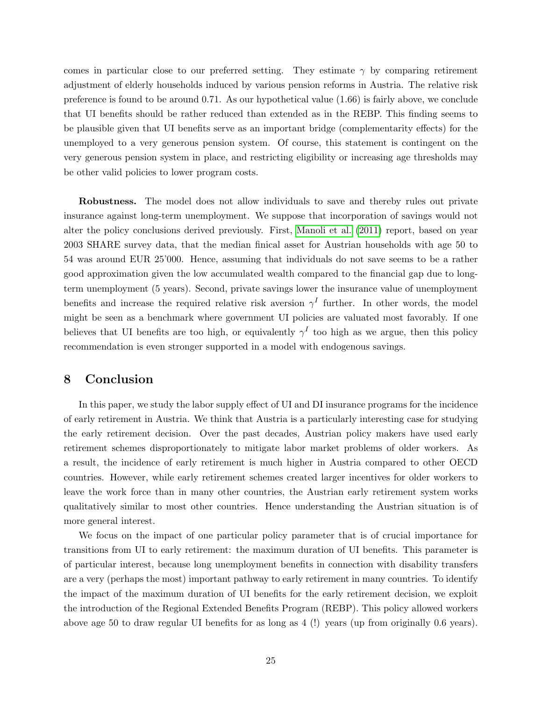comes in particular close to our preferred setting. They estimate  $\gamma$  by comparing retirement adjustment of elderly households induced by various pension reforms in Austria. The relative risk preference is found to be around 0.71. As our hypothetical value (1.66) is fairly above, we conclude that UI benefits should be rather reduced than extended as in the REBP. This finding seems to be plausible given that UI benefits serve as an important bridge (complementarity effects) for the unemployed to a very generous pension system. Of course, this statement is contingent on the very generous pension system in place, and restricting eligibility or increasing age thresholds may be other valid policies to lower program costs.

Robustness. The model does not allow individuals to save and thereby rules out private insurance against long-term unemployment. We suppose that incorporation of savings would not alter the policy conclusions derived previously. First, [Manoli et al.](#page-28-14) [\(2011\)](#page-28-14) report, based on year 2003 SHARE survey data, that the median finical asset for Austrian households with age 50 to 54 was around EUR 25'000. Hence, assuming that individuals do not save seems to be a rather good approximation given the low accumulated wealth compared to the financial gap due to longterm unemployment (5 years). Second, private savings lower the insurance value of unemployment benefits and increase the required relative risk aversion  $\gamma^I$  further. In other words, the model might be seen as a benchmark where government UI policies are valuated most favorably. If one believes that UI benefits are too high, or equivalently  $\gamma^I$  too high as we argue, then this policy recommendation is even stronger supported in a model with endogenous savings.

# 8 Conclusion

In this paper, we study the labor supply effect of UI and DI insurance programs for the incidence of early retirement in Austria. We think that Austria is a particularly interesting case for studying the early retirement decision. Over the past decades, Austrian policy makers have used early retirement schemes disproportionately to mitigate labor market problems of older workers. As a result, the incidence of early retirement is much higher in Austria compared to other OECD countries. However, while early retirement schemes created larger incentives for older workers to leave the work force than in many other countries, the Austrian early retirement system works qualitatively similar to most other countries. Hence understanding the Austrian situation is of more general interest.

We focus on the impact of one particular policy parameter that is of crucial importance for transitions from UI to early retirement: the maximum duration of UI benefits. This parameter is of particular interest, because long unemployment benefits in connection with disability transfers are a very (perhaps the most) important pathway to early retirement in many countries. To identify the impact of the maximum duration of UI benefits for the early retirement decision, we exploit the introduction of the Regional Extended Benefits Program (REBP). This policy allowed workers above age 50 to draw regular UI benefits for as long as 4 (!) years (up from originally 0.6 years).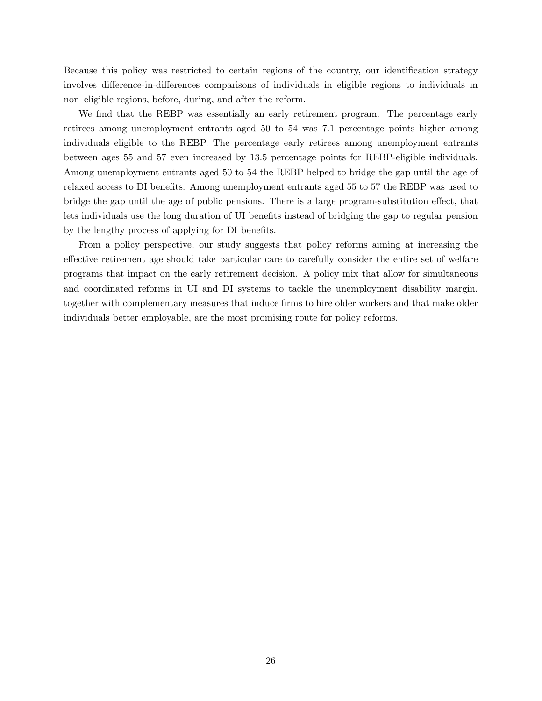Because this policy was restricted to certain regions of the country, our identification strategy involves difference-in-differences comparisons of individuals in eligible regions to individuals in non–eligible regions, before, during, and after the reform.

We find that the REBP was essentially an early retirement program. The percentage early retirees among unemployment entrants aged 50 to 54 was 7.1 percentage points higher among individuals eligible to the REBP. The percentage early retirees among unemployment entrants between ages 55 and 57 even increased by 13.5 percentage points for REBP-eligible individuals. Among unemployment entrants aged 50 to 54 the REBP helped to bridge the gap until the age of relaxed access to DI benefits. Among unemployment entrants aged 55 to 57 the REBP was used to bridge the gap until the age of public pensions. There is a large program-substitution effect, that lets individuals use the long duration of UI benefits instead of bridging the gap to regular pension by the lengthy process of applying for DI benefits.

From a policy perspective, our study suggests that policy reforms aiming at increasing the effective retirement age should take particular care to carefully consider the entire set of welfare programs that impact on the early retirement decision. A policy mix that allow for simultaneous and coordinated reforms in UI and DI systems to tackle the unemployment disability margin, together with complementary measures that induce firms to hire older workers and that make older individuals better employable, are the most promising route for policy reforms.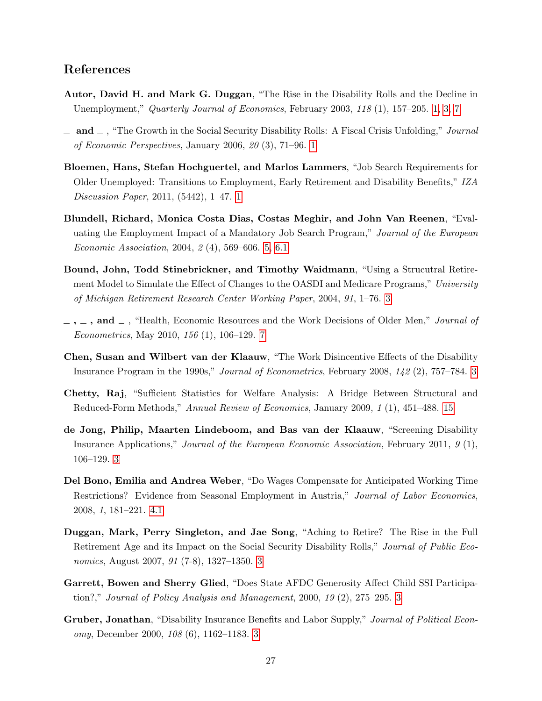# References

- <span id="page-27-1"></span>Autor, David H. and Mark G. Duggan, "The Rise in the Disability Rolls and the Decline in Unemployment," Quarterly Journal of Economics, February 2003, 118 (1), 157–205. [1, 3,](#page-1-0) [7](#page-6-0)
- <span id="page-27-2"></span> $\Box$  and  $\Box$ , "The Growth in the Social Security Disability Rolls: A Fiscal Crisis Unfolding," Journal of Economic Perspectives, January 2006, 20 (3), 71–96. [1](#page-1-0)
- <span id="page-27-0"></span>Bloemen, Hans, Stefan Hochguertel, and Marlos Lammers, "Job Search Requirements for Older Unemployed: Transitions to Employment, Early Retirement and Disability Benefits," IZA Discussion Paper, 2011, (5442), 1–47. [1](#page-1-0)
- <span id="page-27-11"></span>Blundell, Richard, Monica Costa Dias, Costas Meghir, and John Van Reenen, "Evaluating the Employment Impact of a Mandatory Job Search Program," Journal of the European Economic Association, 2004, 2 (4), 569–606. [5,](#page-16-0) [6.1](#page-17-0)
- <span id="page-27-7"></span>Bound, John, Todd Stinebrickner, and Timothy Waidmann, "Using a Strucutral Retirement Model to Simulate the Effect of Changes to the OASDI and Medicare Programs," University of Michigan Retirement Research Center Working Paper, 2004, 91, 1–76. [3](#page-1-0)
- <span id="page-27-9"></span> $\ldots$ , and  $\ldots$ , "Health, Economic Resources and the Work Decisions of Older Men," *Journal of* Econometrics, May 2010, 156 (1), 106–129. [7](#page-6-0)
- <span id="page-27-3"></span>Chen, Susan and Wilbert van der Klaauw, "The Work Disincentive Effects of the Disability Insurance Program in the 1990s," Journal of Econometrics, February 2008, 142 (2), 757–784. [3](#page-1-0)
- <span id="page-27-12"></span>Chetty, Raj, "Sufficient Statistics for Welfare Analysis: A Bridge Between Structural and Reduced-Form Methods," Annual Review of Economics, January 2009, 1 (1), 451–488. [15](#page-21-0)
- <span id="page-27-4"></span>de Jong, Philip, Maarten Lindeboom, and Bas van der Klaauw, "Screening Disability Insurance Applications," Journal of the European Economic Association, February 2011, 9 (1), 106–129. [3](#page-1-0)
- <span id="page-27-10"></span>Del Bono, Emilia and Andrea Weber, "Do Wages Compensate for Anticipated Working Time Restrictions? Evidence from Seasonal Employment in Austria," Journal of Labor Economics, 2008, 1, 181–221. [4.1](#page-11-2)
- <span id="page-27-8"></span>Duggan, Mark, Perry Singleton, and Jae Song, "Aching to Retire? The Rise in the Full Retirement Age and its Impact on the Social Security Disability Rolls," Journal of Public Economics, August 2007, 91 (7-8), 1327–1350. [3](#page-1-0)
- <span id="page-27-6"></span>Garrett, Bowen and Sherry Glied, "Does State AFDC Generosity Affect Child SSI Participation?," Journal of Policy Analysis and Management, 2000, 19 (2), 275–295. [3](#page-1-0)
- <span id="page-27-5"></span>Gruber, Jonathan, "Disability Insurance Benefits and Labor Supply," Journal of Political Economy, December 2000, 108 (6), 1162–1183. [3](#page-1-0)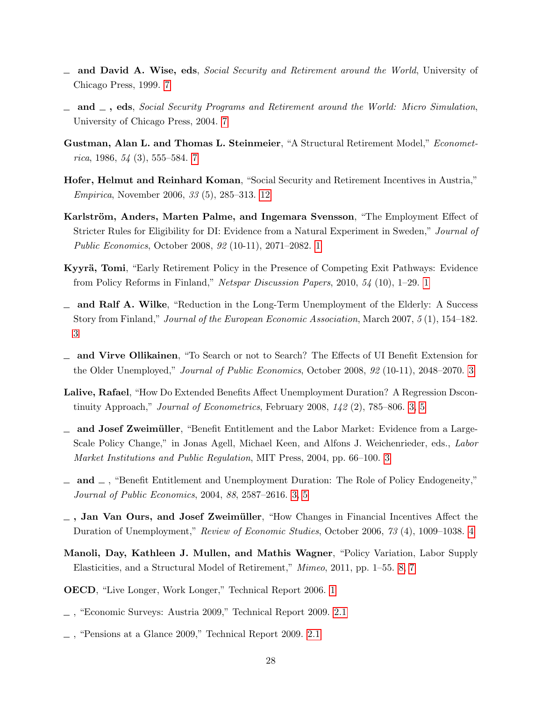- <span id="page-28-12"></span> $\Box$  and David A. Wise, eds, *Social Security and Retirement around the World*, University of Chicago Press, 1999. [7](#page-6-0)
- <span id="page-28-13"></span> $\Box$  and  $\Box$ , eds, Social Security Programs and Retirement around the World: Micro Simulation, University of Chicago Press, 2004. [7](#page-6-0)
- <span id="page-28-11"></span>Gustman, Alan L. and Thomas L. Steinmeier, "A Structural Retirement Model," Econometrica, 1986,  $54$  (3), 555–584. [7](#page-6-0)
- <span id="page-28-15"></span>Hofer, Helmut and Reinhard Koman, "Social Security and Retirement Incentives in Austria," Empirica, November 2006, 33 (5), 285–313. [12](#page-9-1)
- <span id="page-28-0"></span>Karlström, Anders, Marten Palme, and Ingemara Svensson, "The Employment Effect of Stricter Rules for Eligibility for DI: Evidence from a Natural Experiment in Sweden," Journal of Public Economics, October 2008, 92 (10-11), 2071–2082. [1](#page-1-0)
- <span id="page-28-2"></span>Kyyrä, Tomi, "Early Retirement Policy in the Presence of Competing Exit Pathways: Evidence from Policy Reforms in Finland," Netspar Discussion Papers, 2010, 54 (10), 1–29. [1](#page-1-0)
- <span id="page-28-3"></span> $\Box$  and Ralf A. Wilke, "Reduction in the Long-Term Unemployment of the Elderly: A Success Story from Finland," Journal of the European Economic Association, March 2007, 5 (1), 154–182. [3](#page-1-0)
- <span id="page-28-4"></span>and Virve Ollikainen, "To Search or not to Search? The Effects of UI Benefit Extension for the Older Unemployed," Journal of Public Economics, October 2008, 92 (10-11), 2048–2070. [3](#page-1-0)
- <span id="page-28-5"></span>Lalive, Rafael, "How Do Extended Benefits Affect Unemployment Duration? A Regression Dscontinuity Approach," Journal of Econometrics, February 2008,  $142$  (2), 785–806. [3,](#page-1-0) [5](#page-4-0)
- <span id="page-28-6"></span> $\Box$  and Josef Zweimüller, "Benefit Entitlement and the Labor Market: Evidence from a Large-Scale Policy Change," in Jonas Agell, Michael Keen, and Alfons J. Weichenrieder, eds., Labor Market Institutions and Public Regulation, MIT Press, 2004, pp. 66–100. [3](#page-1-0)
- <span id="page-28-7"></span> $\Box$  and  $\Box$ , "Benefit Entitlement and Unemployment Duration: The Role of Policy Endogeneity," Journal of Public Economics, 2004, 88, 2587–2616. [3,](#page-1-0) [5](#page-15-0)
- <span id="page-28-10"></span> $-$ , Jan Van Ours, and Josef Zweimüller, "How Changes in Financial Incentives Affect the Duration of Unemployment," Review of Economic Studies, October 2006, 73 (4), 1009–1038. [4](#page-4-0)
- <span id="page-28-14"></span>Manoli, Day, Kathleen J. Mullen, and Mathis Wagner, "Policy Variation, Labor Supply Elasticities, and a Structural Model of Retirement," Mimeo, 2011, pp. 1–55. [8,](#page-7-0) [7](#page-24-0)
- <span id="page-28-1"></span>OECD, "Live Longer, Work Longer," Technical Report 2006. [1](#page-1-0)
- <span id="page-28-8"></span>, "Economic Surveys: Austria 2009," Technical Report 2009. [2.1](#page-4-0)
- <span id="page-28-9"></span>, "Pensions at a Glance 2009," Technical Report 2009. [2.1](#page-4-0)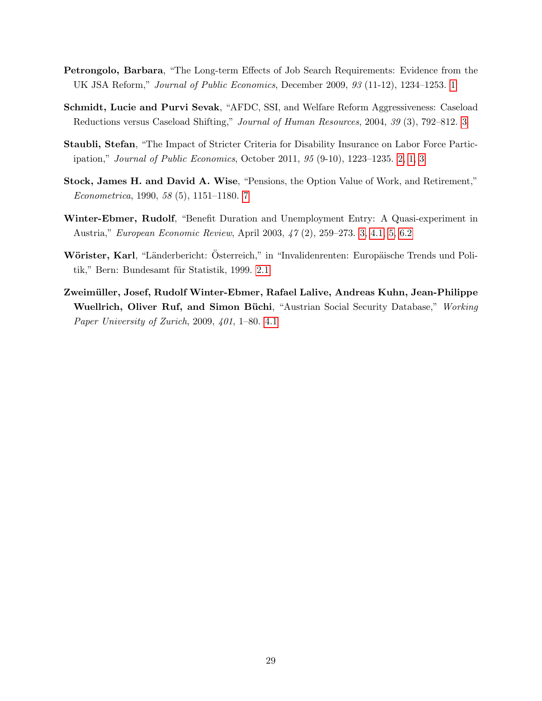- <span id="page-29-1"></span>Petrongolo, Barbara, "The Long-term Effects of Job Search Requirements: Evidence from the UK JSA Reform," Journal of Public Economics, December 2009, 93 (11-12), 1234–1253. [1](#page-1-0)
- <span id="page-29-3"></span>Schmidt, Lucie and Purvi Sevak, "AFDC, SSI, and Welfare Reform Aggressiveness: Caseload Reductions versus Caseload Shifting," Journal of Human Resources, 2004, 39 (3), 792–812. [3](#page-1-0)
- <span id="page-29-0"></span>Staubli, Stefan, "The Impact of Stricter Criteria for Disability Insurance on Labor Force Participation," Journal of Public Economics, October 2011, 95 (9-10), 1223–1235. [2, 1, 3](#page-1-0)
- <span id="page-29-5"></span>Stock, James H. and David A. Wise, "Pensions, the Option Value of Work, and Retirement," Econometrica, 1990, 58 (5), 1151–1180. [7](#page-6-0)
- <span id="page-29-2"></span>Winter-Ebmer, Rudolf, "Benefit Duration and Unemployment Entry: A Quasi-experiment in Austria," European Economic Review, April 2003, 47 (2), 259–273. [3,](#page-1-0) [4.1,](#page-11-2) [5,](#page-16-0) [6.2](#page-20-0)
- <span id="page-29-4"></span>Wörister, Karl, "Länderbericht: Österreich," in "Invalidenrenten: Europäische Trends und Poli-tik," Bern: Bundesamt für Statistik, 1999. [2.1](#page-4-0)
- <span id="page-29-6"></span>Zweimüller, Josef, Rudolf Winter-Ebmer, Rafael Lalive, Andreas Kuhn, Jean-Philippe Wuellrich, Oliver Ruf, and Simon Büchi, "Austrian Social Security Database," Working Paper University of Zurich, 2009, 401, 1–80. [4.1](#page-11-2)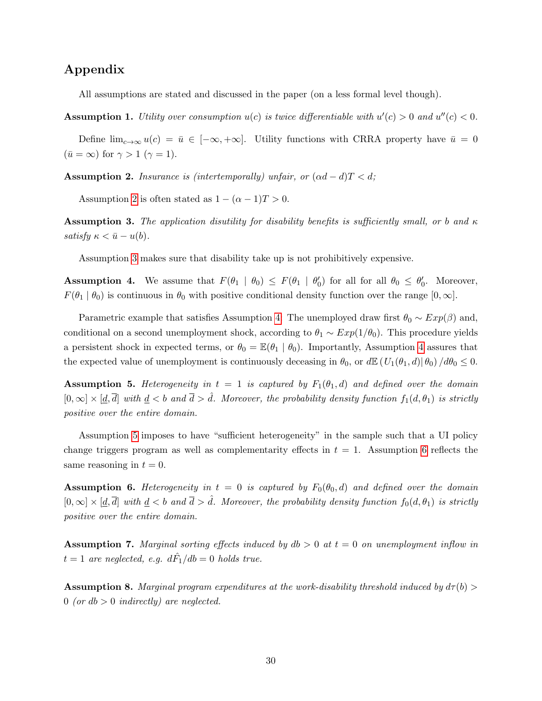# Appendix

All assumptions are stated and discussed in the paper (on a less formal level though).

<span id="page-30-5"></span>**Assumption 1.** Utility over consumption  $u(c)$  is twice differentiable with  $u'(c) > 0$  and  $u''(c) < 0$ .

Define  $\lim_{c\to\infty}u(c) = \bar{u} \in [-\infty, +\infty]$ . Utility functions with CRRA property have  $\bar{u} = 0$  $(\bar{u} = \infty)$  for  $\gamma > 1$   $(\gamma = 1)$ .

<span id="page-30-0"></span>**Assumption 2.** Insurance is (intertemporally) unfair, or  $(\alpha d - d)T < d$ ;

Assumption [2](#page-30-0) is often stated as  $1 - (\alpha - 1)T > 0$ .

<span id="page-30-1"></span>**Assumption 3.** The application disutility for disability benefits is sufficiently small, or b and  $\kappa$ satisfy  $\kappa < \bar{u} - u(b)$ .

Assumption [3](#page-30-1) makes sure that disability take up is not prohibitively expensive.

<span id="page-30-2"></span>**Assumption 4.** We assume that  $F(\theta_1 | \theta_0) \leq F(\theta_1 | \theta'_0)$  for all for all  $\theta_0 \leq \theta'_0$ . Moreover,  $F(\theta_1 | \theta_0)$  is continuous in  $\theta_0$  with positive conditional density function over the range  $[0, \infty]$ .

Parametric example that satisfies Assumption [4:](#page-30-2) The unemployed draw first  $\theta_0 \sim Exp(\beta)$  and, conditional on a second unemployment shock, according to  $\theta_1 \sim Exp(1/\theta_0)$ . This procedure yields a persistent shock in expected terms, or  $\theta_0 = \mathbb{E}(\theta_1 \mid \theta_0)$ . Importantly, Assumption [4](#page-30-2) assures that the expected value of unemployment is continuously deceasing in  $\theta_0$ , or  $d\mathbb{E} (U_1(\theta_1, d)|\theta_0) / d\theta_0 \leq 0$ .

<span id="page-30-3"></span>**Assumption 5.** Heterogeneity in  $t = 1$  is captured by  $F_1(\theta_1, d)$  and defined over the domain  $[0,\infty] \times [\underline{d},\overline{d}]$  with  $\underline{d} < b$  and  $\overline{d} > \hat{d}$ . Moreover, the probability density function  $f_1(d,\theta_1)$  is strictly positive over the entire domain.

Assumption [5](#page-30-3) imposes to have "sufficient heterogeneity" in the sample such that a UI policy change triggers program as well as complementarity effects in  $t = 1$ . Assumption [6](#page-30-4) reflects the same reasoning in  $t = 0$ .

<span id="page-30-4"></span>**Assumption 6.** Heterogeneity in  $t = 0$  is captured by  $F_0(\theta_0, d)$  and defined over the domain  $[0,\infty] \times [\underline{d},\overline{d}]$  with  $\underline{d} < b$  and  $\overline{d} > \hat{d}$ . Moreover, the probability density function  $f_0(d,\theta_1)$  is strictly positive over the entire domain.

<span id="page-30-7"></span>**Assumption 7.** Marginal sorting effects induced by  $db > 0$  at  $t = 0$  on unemployment inflow in  $t=1$  are neglected, e.g.  $d\hat{F_1}/db=0$  holds true.

<span id="page-30-6"></span>**Assumption 8.** Marginal program expenditures at the work-disability threshold induced by  $d\tau(b)$ 0 (or  $db > 0$  indirectly) are neglected.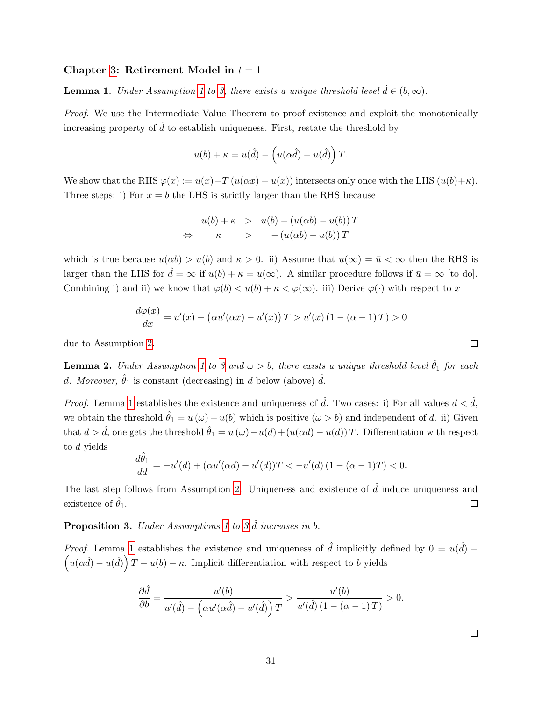### Chapter [3:](#page-6-0) Retirement Model in  $t = 1$

<span id="page-31-1"></span>**Lemma [1](#page-30-5).** Under Assumption 1 to [3,](#page-30-1) there exists a unique threshold level  $\hat{d} \in (b, \infty)$ .

Proof. We use the Intermediate Value Theorem to proof existence and exploit the monotonically increasing property of  $\hat{d}$  to establish uniqueness. First, restate the threshold by

$$
u(b) + \kappa = u(\hat{d}) - \left(u(\alpha \hat{d}) - u(\hat{d})\right)T.
$$

We show that the RHS  $\varphi(x) := u(x) - T(u(\alpha x) - u(x))$  intersects only once with the LHS  $(u(b) + \kappa)$ . Three steps: i) For  $x = b$  the LHS is strictly larger than the RHS because

$$
u(b) + \kappa > u(b) - (u(\alpha b) - u(b))T
$$
  
\n
$$
\Leftrightarrow \kappa > - (u(\alpha b) - u(b))T
$$

which is true because  $u(\alpha b) > u(b)$  and  $\kappa > 0$ . ii) Assume that  $u(\infty) = \bar{u} < \infty$  then the RHS is larger than the LHS for  $\hat{d} = \infty$  if  $u(b) + \kappa = u(\infty)$ . A similar procedure follows if  $\bar{u} = \infty$  [to do]. Combining i) and ii) we know that  $\varphi(b) < u(b) + \kappa < \varphi(\infty)$ . iii) Derive  $\varphi(\cdot)$  with respect to x

$$
\frac{d\varphi(x)}{dx} = u'(x) - (\alpha u'(\alpha x) - u'(x))T > u'(x) (1 - (\alpha - 1)T) > 0
$$

due to Assumption [2.](#page-30-0)

<span id="page-31-2"></span>**Lemma 2.** Under Assumption [1](#page-30-5) to [3](#page-30-1) and  $\omega > b$ , there exists a unique threshold level  $\hat{\theta}_1$  for each d. Moreover,  $\hat{\theta}_1$  is constant (decreasing) in d below (above)  $\hat{d}$ .

*Proof.* Lemma [1](#page-31-1) establishes the existence and uniqueness of  $\hat{d}$ . Two cases: i) For all values  $d < \hat{d}$ , we obtain the threshold  $\hat{\theta}_1 = u(\omega) - u(b)$  which is positive  $(\omega > b)$  and independent of d. ii) Given that  $d > \hat{d}$ , one gets the threshold  $\hat{\theta}_1 = u(\omega) - u(d) + (u(\alpha d) - u(d))T$ . Differentiation with respect to d yields

$$
\frac{d\hat{\theta}_1}{dd} = -u'(d) + (\alpha u'(\alpha d) - u'(d))T < -u'(d)(1 - (\alpha - 1)T) < 0.
$$

The last step follows from Assumption [2.](#page-30-0) Uniqueness and existence of  $\hat{d}$  induce uniqueness and existence of  $\hat{\theta}_1$ .  $\Box$ 

# <span id="page-31-0"></span>**Proposition [3](#page-30-1).** Under Assumptions [1](#page-30-5) to 3  $\hat{d}$  increases in b.

*Proof.* Lemma [1](#page-31-1) establishes the existence and uniqueness of  $\hat{d}$  implicitly defined by  $0 = u(\hat{d}) - \left(u(\alpha \hat{d}) - u(\hat{d})\right)T - u(b) - \kappa$ . Implicit differentiation with respect to b vields  $u(\alpha \hat{d}) - u(\hat{d})$   $T - u(b) - \kappa$ . Implicit differentiation with respect to b yields

$$
\frac{\partial \hat{d}}{\partial b} = \frac{u'(b)}{u'(\hat{d}) - \left(\alpha u'(\alpha \hat{d}) - u'(\hat{d})\right)T} > \frac{u'(b)}{u'(\hat{d})\left(1 - (\alpha - 1)T\right)} > 0.
$$

 $\Box$ 

 $\Box$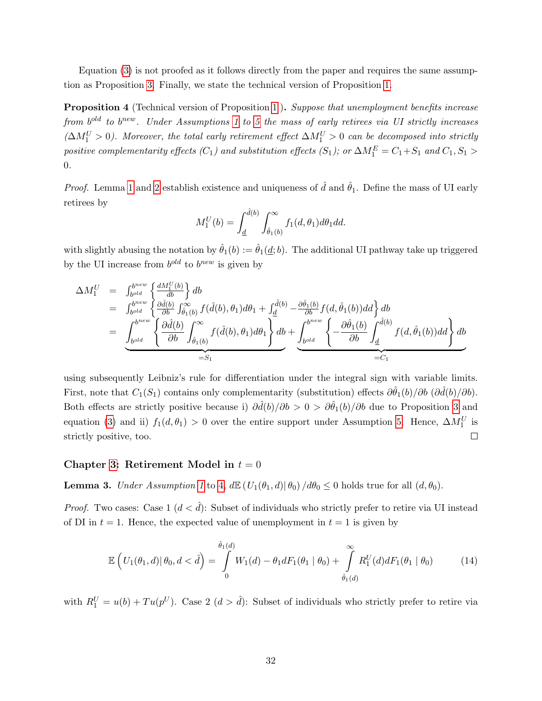Equation [\(3\)](#page-9-0) is not proofed as it follows directly from the paper and requires the same assumption as Proposition [3.](#page-31-0) Finally, we state the technical version of Proposition [1.](#page-10-1)

<span id="page-32-0"></span>**Proposition 4** (Technical version of Proposition [1](#page-10-1)). Suppose that unemployment benefits increase from  $b^{old}$  to  $b^{new}$ . Under Assumptions [1](#page-30-5) to [5](#page-30-3) the mass of early retirees via UI strictly increases  $(\Delta M_1^U > 0)$ . Moreover, the total early retirement effect  $\Delta M_1^U > 0$  can be decomposed into strictly positive complementarity effects  $(C_1)$  and substitution effects  $(S_1)$ ; or  $\Delta M_1^E = C_1 + S_1$  and  $C_1, S_1 >$ 0.

*Proof.* Lemma [1](#page-31-1) and [2](#page-31-2) establish existence and uniqueness of  $\hat{d}$  and  $\hat{\theta}_1$ . Define the mass of UI early retirees by

$$
M_1^U(b) = \int_{\underline{d}}^{\hat{d}(b)} \int_{\hat{\theta}_1(b)}^{\infty} f_1(d, \theta_1) d\theta_1 dd.
$$

with slightly abusing the notation by  $\hat{\theta}_1(b) := \hat{\theta}_1(d; b)$ . The additional UI pathway take up triggered by the UI increase from  $b^{old}$  to  $b^{new}$  is given by

$$
\Delta M_1^U = \int_{b^{old}}^{b^{new}} \left\{ \frac{dM_1^U(b)}{db} \right\} db
$$
  
\n
$$
= \int_{b^{old}}^{b^{new}} \left\{ \frac{\partial \hat{d}(b)}{\partial b} \int_{\hat{\theta}_1(b)}^{\infty} f(\hat{d}(b), \theta_1) d\theta_1 + \int_{\underline{d}}^{\hat{d}(b)} -\frac{\partial \hat{\theta}_1(b)}{\partial b} f(d, \hat{\theta}_1(b)) dd \right\} db
$$
  
\n
$$
= \underbrace{\int_{b^{old}}^{b^{new}} \left\{ \frac{\partial \hat{d}(b)}{\partial b} \int_{\hat{\theta}_1(b)}^{\infty} f(\hat{d}(b), \theta_1) d\theta_1 \right\} db}_{=:S_1} + \underbrace{\int_{b^{old}}^{b^{new}} \left\{ -\frac{\partial \hat{\theta}_1(b)}{\partial b} \int_{\underline{d}}^{\hat{d}(b)} f(d, \hat{\theta}_1(b)) dd \right\} db}_{=:C_1}
$$

using subsequently Leibniz's rule for differentiation under the integral sign with variable limits. First, note that  $C_1(S_1)$  contains only complementarity (substitution) effects  $\partial \hat{\theta}_1(b)/\partial b$  ( $\partial \hat{d}(b)/\partial b$ ). Both effects are strictly positive because i)  $\partial \hat{d}(b)/\partial b > 0 > \partial \hat{\theta}_1(b)/\partial b$  due to Proposition [3](#page-31-0) and equation [\(3\)](#page-9-0) and ii)  $f_1(d, \theta_1) > 0$  over the entire support under Assumption [5.](#page-30-3) Hence,  $\Delta M_1^U$  is strictly positive, too.  $\Box$ 

#### Chapter [3:](#page-6-0) Retirement Model in  $t = 0$

<span id="page-32-1"></span>**Lemma 3.** Under Assumption [1](#page-30-5) to [4,](#page-30-2)  $d\mathbb{E}(U_1(\theta_1, d)|\theta_0) / d\theta_0 \leq 0$  holds true for all  $(d, \theta_0)$ .

*Proof.* Two cases: Case 1  $(d < \hat{d})$ : Subset of individuals who strictly prefer to retire via UI instead of DI in  $t = 1$ . Hence, the expected value of unemployment in  $t = 1$  is given by

<span id="page-32-2"></span>
$$
\mathbb{E}\left(U_1(\theta_1,d)|\,\theta_0,d<\hat{d}\right)=\int\limits_{0}^{\hat{\theta}_1(d)}W_1(d)-\theta_1 dF_1(\theta_1\mid\theta_0)+\int\limits_{\hat{\theta}_1(d)}^{\infty}R_1^U(d)dF_1(\theta_1\mid\theta_0)\qquad\qquad(14)
$$

with  $R_1^U = u(b) + Tu(p^U)$ . Case 2  $(d > \hat{d})$ : Subset of individuals who strictly prefer to retire via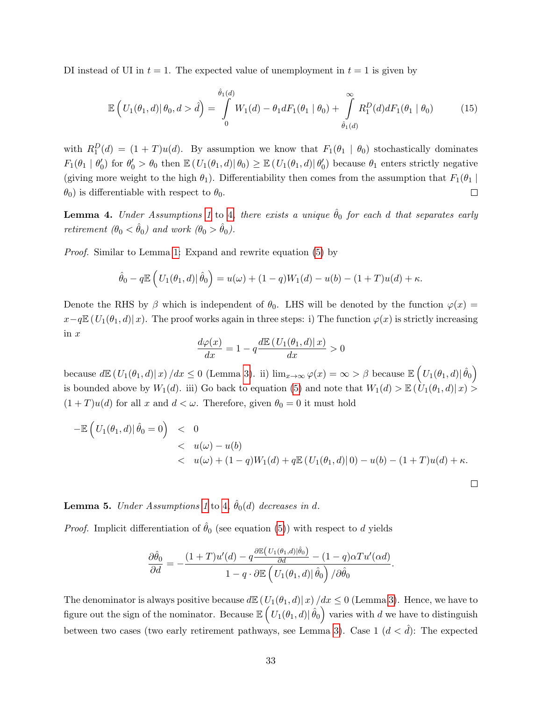DI instead of UI in  $t = 1$ . The expected value of unemployment in  $t = 1$  is given by

<span id="page-33-1"></span>
$$
\mathbb{E}\left(U_1(\theta_1, d) | \theta_0, d > \hat{d}\right) = \int_0^{\hat{\theta}_1(d)} W_1(d) - \theta_1 dF_1(\theta_1 | \theta_0) + \int_{\hat{\theta}_1(d)}^{\infty} R_1^D(d) dF_1(\theta_1 | \theta_0)
$$
(15)

with  $R_1^D(d) = (1+T)u(d)$ . By assumption we know that  $F_1(\theta_1 \mid \theta_0)$  stochastically dominates  $F_1(\theta_1 \mid \theta'_0)$  for  $\theta'_0 > \theta_0$  then  $\mathbb{E}\left(U_1(\theta_1, d) \mid \theta_0\right) \geq \mathbb{E}\left(U_1(\theta_1, d) \mid \theta'_0\right)$  because  $\theta_1$  enters strictly negative (giving more weight to the high  $\theta_1$ ). Differentiability then comes from the assumption that  $F_1(\theta_1 |$  $\theta_0$ ) is differentiable with respect to  $\theta_0$ .  $\Box$ 

**Lemma [4](#page-30-2).** Under Assumptions [1](#page-30-5) to 4, there exists a unique  $\hat{\theta}_0$  for each d that separates early retirement  $(\theta_0 < \hat{\theta}_0)$  and work  $(\theta_0 > \hat{\theta}_0)$ .

Proof. Similar to Lemma [1:](#page-31-1) Expand and rewrite equation [\(5\)](#page-10-2) by

$$
\hat{\theta}_0 - q \mathbb{E} \left( U_1(\theta_1, d) | \hat{\theta}_0 \right) = u(\omega) + (1 - q) W_1(d) - u(b) - (1 + T) u(d) + \kappa.
$$

Denote the RHS by  $\beta$  which is independent of  $\theta_0$ . LHS will be denoted by the function  $\varphi(x)$  =  $x-q\mathbb{E}\left(U_1(\theta_1,d)|x\right)$ . The proof works again in three steps: i) The function  $\varphi(x)$  is strictly increasing in  $x$ 

$$
\frac{d\varphi(x)}{dx} = 1 - q \frac{d\mathbb{E}\left(U_1(\theta_1, d)|x\right)}{dx} > 0
$$

because  $d\mathbb{E}\left(U_1(\theta_1,d)|x\right)/dx \leq 0$  (Lemma [3\)](#page-32-1). ii)  $\lim_{x\to\infty}\varphi(x)=\infty > \beta$  because  $\mathbb{E}\left(U_1(\theta_1,d)|\hat{\theta}_0\right)$ is bounded above by  $W_1(d)$ . iii) Go back to equation [\(5\)](#page-10-2) and note that  $W_1(d) > \mathbb{E}(\hat{U}_1(\theta_1, d) | x)$  $(1+T)u(d)$  for all x and  $d < \omega$ . Therefore, given  $\theta_0 = 0$  it must hold

$$
-\mathbb{E}\left(U_1(\theta_1, d)|\hat{\theta}_0 = 0\right) < 0
$$
  
<  $u(\omega) - u(b)$   
<  $u(\omega) + (1 - q)W_1(d) + q\mathbb{E}\left(U_1(\theta_1, d)|0\right) - u(b) - (1 + T)u(d) + \kappa.$ 

 $\Box$ 

<span id="page-33-0"></span>**Lemma 5.** Under Assumptions [1](#page-30-5) to [4](#page-30-2),  $\hat{\theta}_0(d)$  decreases in d.

*Proof.* Implicit differentiation of  $\hat{\theta}_0$  (see equation [\(5\)](#page-10-2)) with respect to d yields

$$
\frac{\partial \hat{\theta}_0}{\partial d} = -\frac{(1+T)u'(d) - q\frac{\partial \mathbb{E}\left(U_1(\theta_1, d)|\hat{\theta}_0\right)}{\partial d} - (1-q)\alpha Tu'(\alpha d)}{1-q \cdot \partial \mathbb{E}\left(U_1(\theta_1, d)|\hat{\theta}_0\right)/\partial \hat{\theta}_0}.
$$

The denominator is always positive because  $d\mathbb{E} (U_1(\theta_1, d)|x)/dx \leq 0$  (Lemma [3\)](#page-32-1). Hence, we have to figure out the sign of the nominator. Because  $\mathbb{E}\left(U_1(\theta_1,d)|\,\hat{\theta}_0\right)$  varies with  $d$  we have to distinguish between two cases (two early retirement pathways, see Lemma [3\)](#page-32-1). Case 1  $(d < \hat{d})$ : The expected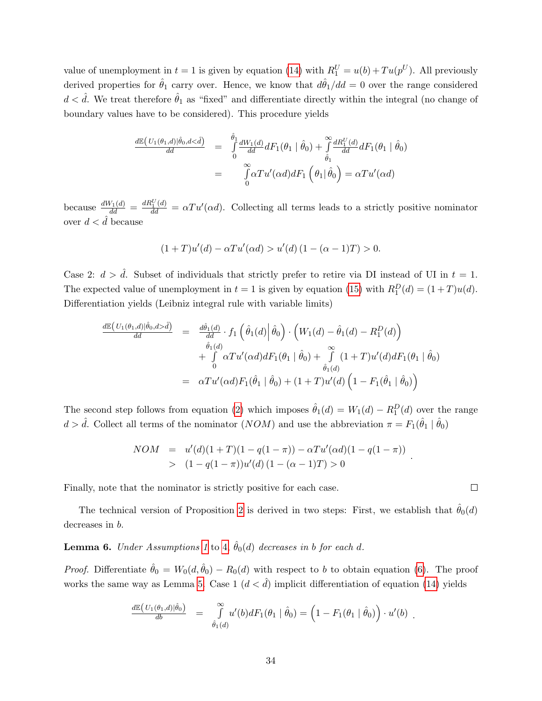value of unemployment in  $t = 1$  is given by equation [\(14\)](#page-32-2) with  $R_1^U = u(b) + Tu(p^U)$ . All previously derived properties for  $\hat{\theta}_1$  carry over. Hence, we know that  $d\hat{\theta}_1/dd = 0$  over the range considered  $d < \hat{d}$ . We treat therefore  $\hat{\theta}_1$  as "fixed" and differentiate directly within the integral (no change of boundary values have to be considered). This procedure yields

$$
\frac{d\mathbb{E}\left(U_{1}(\theta_{1},d)|\hat{\theta}_{0},d<\hat{d}\right)}{dd} = \int_{0}^{\hat{\theta}_{1}} \frac{dW_{1}(d)}{dd} dF_{1}(\theta_{1} \mid \hat{\theta}_{0}) + \int_{\hat{\theta}_{1}}^{\infty} \frac{dR_{1}^{U}(d)}{dd} dF_{1}(\theta_{1} \mid \hat{\theta}_{0})
$$
\n
$$
= \int_{0}^{\infty} \alpha T u'(\alpha d) dF_{1}(\theta_{1} \mid \hat{\theta}_{0}) = \alpha T u'(\alpha d)
$$

because  $\frac{dW_1(d)}{dd} = \frac{dR_1^U(d)}{dd} = \alpha T u'(\alpha d)$ . Collecting all terms leads to a strictly positive nominator over  $d < \hat{d}$  because

$$
(1+T)u'(d) - \alpha Tu'(\alpha d) > u'(d) (1 - (\alpha - 1)T) > 0.
$$

Case 2:  $d > \hat{d}$ . Subset of individuals that strictly prefer to retire via DI instead of UI in  $t = 1$ . The expected value of unemployment in  $t = 1$  is given by equation [\(15\)](#page-33-1) with  $R_1^D(d) = (1 + T)u(d)$ . Differentiation yields (Leibniz integral rule with variable limits)

$$
\frac{d\mathbb{E}\left(U_{1}(\theta_{1},d)|\hat{\theta}_{0},d> \hat{d}\right)}{d\theta} = \frac{d\hat{\theta}_{1}(d)}{d\theta} \cdot f_{1}\left(\hat{\theta}_{1}(d)\middle|\hat{\theta}_{0}\right) \cdot \left(W_{1}(d) - \hat{\theta}_{1}(d) - R_{1}^{D}(d)\right) \n+ \int_{0}^{\hat{\theta}_{1}(d)} \alpha T u'(\alpha d) dF_{1}(\theta_{1} \mid \hat{\theta}_{0}) + \int_{\hat{\theta}_{1}(d)}^{\infty} (1+T) u'(d) dF_{1}(\theta_{1} \mid \hat{\theta}_{0}) \n= \alpha T u'(\alpha d) F_{1}(\hat{\theta}_{1} \mid \hat{\theta}_{0}) + (1+T) u'(d) \left(1 - F_{1}(\hat{\theta}_{1} \mid \hat{\theta}_{0})\right)
$$

The second step follows from equation [\(2\)](#page-9-1) which imposes  $\hat{\theta}_1(d) = W_1(d) - R_1^D(d)$  over the range  $d > \hat{d}$ . Collect all terms of the nominator  $(NOM)$  and use the abbreviation  $\pi = F_1(\hat{\theta}_1 | \hat{\theta}_0)$ 

$$
NOM = u'(d)(1+T)(1-q(1-\pi)) - \alpha Tu'(\alpha d)(1-q(1-\pi))
$$
  
> 
$$
(1-q(1-\pi))u'(d)(1-(\alpha-1)T) > 0
$$

Finally, note that the nominator is strictly positive for each case.

 $\Box$ 

.

The technical version of Proposition [2](#page-11-0) is derived in two steps: First, we establish that  $\hat{\theta}_0(d)$ decreases in b.

**Lemma 6.** Under Assumptions [1](#page-30-5) to [4,](#page-30-2)  $\hat{\theta}_0(d)$  decreases in b for each d.

*Proof.* Differentiate  $\hat{\theta}_0 = W_0(d, \hat{\theta}_0) - R_0(d)$  with respect to b to obtain equation [\(6\)](#page-11-1). The proof works the same way as Lemma [5.](#page-33-0) Case 1  $(d < d)$  implicit differentiation of equation [\(14\)](#page-32-2) yields

$$
\frac{d\mathbb{E}( U_1(\theta_1,d) | \hat{\theta}_0 )}{db} = \int_{\hat{\theta}_1(d)}^{\infty} u'(b) dF_1(\theta_1 | \hat{\theta}_0 ) = (1 - F_1(\theta_1 | \hat{\theta}_0)) \cdot u'(b) .
$$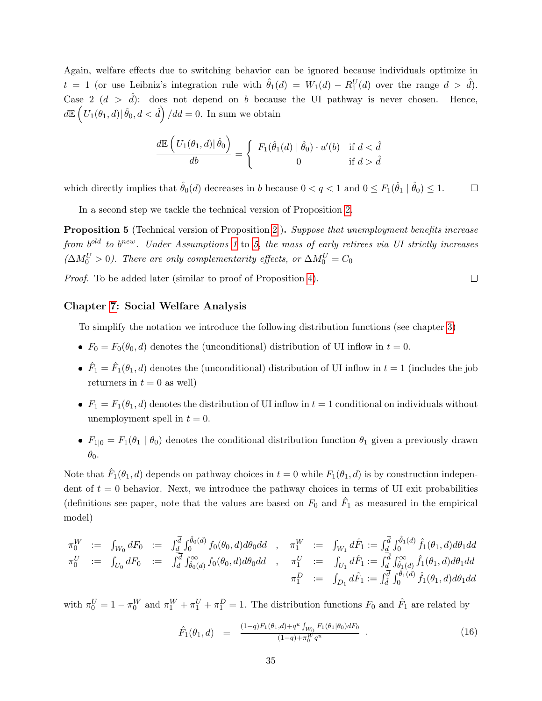Again, welfare effects due to switching behavior can be ignored because individuals optimize in  $t = 1$  (or use Leibniz's integration rule with  $\hat{\theta}_1(d) = W_1(d) - R_1^U(d)$  over the range  $d > \hat{d}$ ). Case 2  $(d > \hat{d})$ : does not depend on b because the UI pathway is never chosen. Hence,  $d\mathbb{E}\left(U_1(\theta_1, d)|\,\hat{\theta}_0, d < \hat{d}\right)/d d = 0.$  In sum we obtain

$$
\frac{d\mathbb{E}\left(U_1(\theta_1,d)|\,\hat{\theta}_0\right)}{db} = \left\{\begin{array}{cl} F_1(\hat{\theta}_1(d)|\,\hat{\theta}_0)\cdot u'(b) & \text{if } d < \hat{d} \\ 0 & \text{if } d > \hat{d} \end{array}\right.
$$

which directly implies that  $\hat{\theta}_0(d)$  decreases in b because  $0 < q < 1$  and  $0 \le F_1(\hat{\theta}_1 | \hat{\theta}_0) \le 1$ .  $\Box$ 

In a second step we tackle the technical version of Proposition [2.](#page-11-0)

<span id="page-35-0"></span>**Proposition 5** (Technical version of Proposition [2](#page-11-0)). Suppose that unemployment benefits increase from  $b^{old}$  to  $b^{new}$ . Under Assumptions [1](#page-30-5) to [5](#page-30-3), the mass of early retirees via UI strictly increases  $(\Delta M_0^U > 0)$ . There are only complementarity effects, or  $\Delta M_0^U = C_0$ 

 $\Box$ 

Proof. To be added later (similar to proof of Proposition [4\)](#page-32-0).

### Chapter [7:](#page-21-0) Social Welfare Analysis

To simplify the notation we introduce the following distribution functions (see chapter [3\)](#page-6-0)

- $F_0 = F_0(\theta_0, d)$  denotes the (unconditional) distribution of UI inflow in  $t = 0$ .
- $\hat{F}_1 = \hat{F}_1(\theta_1, d)$  denotes the (unconditional) distribution of UI inflow in  $t = 1$  (includes the job returners in  $t = 0$  as well)
- F<sub>1</sub> =  $F_1(\theta_1, d)$  denotes the distribution of UI inflow in  $t = 1$  conditional on individuals without unemployment spell in  $t = 0$ .
- $F_{1|0} = F_1(\theta_1 | \theta_0)$  denotes the conditional distribution function  $\theta_1$  given a previously drawn  $\theta_0$ .

Note that  $\hat{F}_1(\theta_1, d)$  depends on pathway choices in  $t = 0$  while  $F_1(\theta_1, d)$  is by construction independent of  $t = 0$  behavior. Next, we introduce the pathway choices in terms of UI exit probabilities (definitions see paper, note that the values are based on  $F_0$  and  $\hat{F}_1$  as measured in the empirical model)

$$
\begin{array}{rcl}\n\pi_0^W & := & \int_{W_0} dF_0 & := & \int_{\underline{d}} \int_0^{\overline{d}} \int_0^{\hat{\theta}_0(d)} f_0(\theta_0, d) d\theta_0 d\, d & ,\n\pi_1^W & := & \int_{W_1} d\hat{F}_1 := \int_{\underline{d}} \int_0^{\overline{d}} \int_0^{\hat{\theta}_1(d)} \hat{f}_1(\theta_1, d) d\theta_1 d\, d \\
\pi_0^U & := & \int_{U_0} \overline{d} F_0 & := & \int_{\underline{d}} \int_{\hat{\theta}_0(d)} \hat{f}_0(\theta_0, d) d\theta_0 d\, d & ,\n\pi_1^U & := & \int_{U_1} d\hat{F}_1 := \int_{\underline{d}} \int_{\hat{\theta}_1(d)} \hat{f}_1(\theta_1, d) d\theta_1 d\, d \\
\pi_1^D & := & \int_{D_1} d\hat{F}_1 := \int_{\hat{d}} \int_0^{\hat{\theta}_1(d)} \hat{f}_1(\theta_1, d) d\theta_1 d\, d \\
\end{array}
$$

with  $\pi_0^U = 1 - \pi_0^W$  and  $\pi_1^W + \pi_1^U + \pi_1^D = 1$ . The distribution functions  $F_0$  and  $\hat{F}_1$  are related by

<span id="page-35-1"></span>
$$
\hat{F}_1(\theta_1, d) = \frac{(1-q)F_1(\theta_1, d) + q^u \int_{W_0} F_1(\theta_1 | \theta_0) dF_0}{(1-q) + \pi_0^W q^u} \ . \tag{16}
$$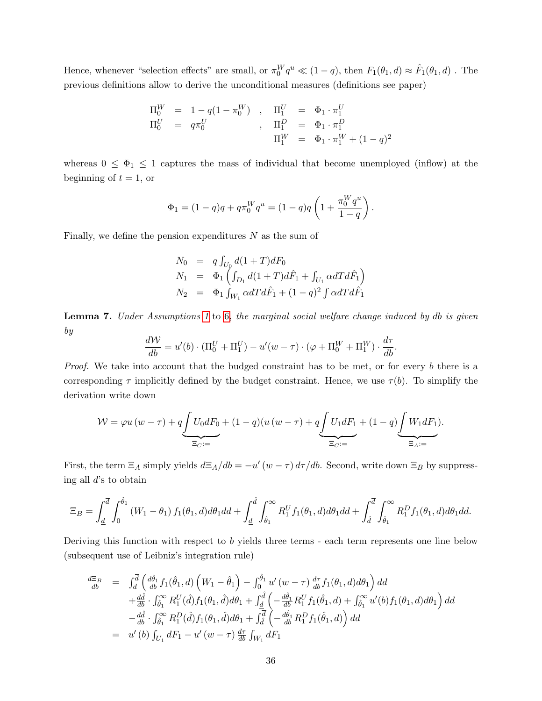Hence, whenever "selection effects" are small, or  $\pi_0^W q^u \ll (1-q)$ , then  $F_1(\theta_1, d) \approx \hat{F}_1(\theta_1, d)$ . The previous definitions allow to derive the unconditional measures (definitions see paper)

$$
\begin{array}{rclcrcl} \Pi_0^W & = & 1 - q(1-\pi_0^W) & , & \Pi_1^U & = & \Phi_1 \cdot \pi_1^U \\ \Pi_0^U & = & q \pi_0^U & , & \Pi_1^D & = & \Phi_1 \cdot \pi_1^D \\ & & & & \Pi_1^W & = & \Phi_1 \cdot \pi_1^W + (1-q)^2 \end{array}
$$

whereas  $0 \leq \Phi_1 \leq 1$  captures the mass of individual that become unemployed (inflow) at the beginning of  $t = 1$ , or

$$
\Phi_1 = (1-q)q + q\pi_0^W q^u = (1-q)q \left(1 + \frac{\pi_0^W q^u}{1-q}\right).
$$

Finally, we define the pension expenditures  $N$  as the sum of

$$
N_0 = q \int_{U_0} d(1+T)dF_0
$$
  
\n
$$
N_1 = \Phi_1 \left( \int_{D_1} d(1+T)d\hat{F}_1 + \int_{U_1} \alpha dT d\hat{F}_1 \right)
$$
  
\n
$$
N_2 = \Phi_1 \int_{W_1} \alpha dT d\hat{F}_1 + (1-q)^2 \int \alpha dT d\hat{F}_1
$$

<span id="page-36-0"></span>Lemma 7. Under Assumptions [1](#page-30-5) to [6,](#page-30-4) the marginal social welfare change induced by db is given by

$$
\frac{d\mathcal{W}}{db} = u'(b) \cdot (\Pi_0^U + \Pi_1^U) - u'(w - \tau) \cdot (\varphi + \Pi_0^W + \Pi_1^W) \cdot \frac{d\tau}{db}.
$$

Proof. We take into account that the budged constraint has to be met, or for every b there is a corresponding  $\tau$  implicitly defined by the budget constraint. Hence, we use  $\tau(b)$ . To simplify the derivation write down

$$
W = \varphi u(w - \tau) + q \underbrace{\int U_0 dF_0}_{\Xi_C :=} + (1 - q)(u(w - \tau) + q \underbrace{\int U_1 dF_1}_{\Xi_C :=} + (1 - q) \underbrace{\int W_1 dF_1}_{\Xi_A :=}.
$$

First, the term  $\Xi_A$  simply yields  $d\Xi_A/db = -u'(w - \tau) d\tau/db$ . Second, write down  $\Xi_B$  by suppressing all d's to obtain

$$
\Xi_B = \int_{\underline{d}}^{\overline{d}} \int_0^{\hat{\theta}_1} (W_1 - \theta_1) f_1(\theta_1, d) d\theta_1 dd + \int_{\underline{d}}^{\hat{d}} \int_{\hat{\theta}_1}^{\infty} R_1^U f_1(\theta_1, d) d\theta_1 dd + \int_{\hat{d}}^{\overline{d}} \int_{\hat{\theta}_1}^{\infty} R_1^D f_1(\theta_1, d) d\theta_1 dd.
$$

Deriving this function with respect to b yields three terms - each term represents one line below (subsequent use of Leibniz's integration rule)

$$
\frac{d\Xi_B}{db} = \int_{\underline{d}}^{\overline{d}} \left( \frac{d\hat{\theta}_1}{db} f_1(\hat{\theta}_1, d) \left( W_1 - \hat{\theta}_1 \right) - \int_0^{\hat{\theta}_1} u' \left( w - \tau \right) \frac{d\tau}{db} f_1(\theta_1, d) d\theta_1 \right) dd \n+ \frac{d\hat{d}}{db} \cdot \int_{\hat{\theta}_1}^{\infty} R_1^U(\hat{d}) f_1(\theta_1, \hat{d}) d\theta_1 + \int_{\underline{d}}^{\hat{d}} \left( -\frac{d\hat{\theta}_1}{db} R_1^U f_1(\hat{\theta}_1, d) + \int_{\hat{\theta}_1}^{\infty} u'(b) f_1(\theta_1, d) d\theta_1 \right) dd \n- \frac{d\hat{d}}{db} \cdot \int_{\hat{\theta}_1}^{\infty} R_1^D(\hat{d}) f_1(\theta_1, \hat{d}) d\theta_1 + \int_{\hat{d}}^{\overline{d}} \left( -\frac{d\hat{\theta}_1}{db} R_1^D f_1(\hat{\theta}_1, d) \right) dd \n= u'(b) \int_{U_1} dF_1 - u'(w - \tau) \frac{d\tau}{db} \int_{W_1} dF_1
$$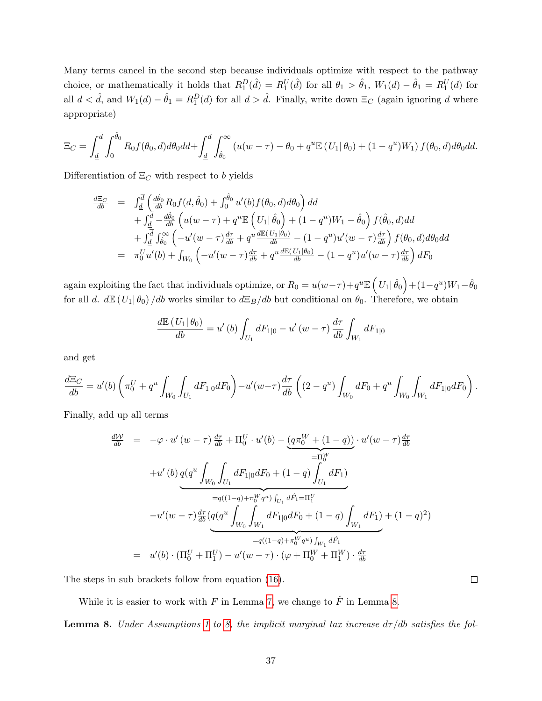Many terms cancel in the second step because individuals optimize with respect to the pathway choice, or mathematically it holds that  $R_1^D(\hat{d}) = R_1^U(\hat{d})$  for all  $\theta_1 > \hat{\theta}_1$ ,  $W_1(d) - \hat{\theta}_1 = R_1^U(d)$  for all  $d < \hat{d}$ , and  $W_1(d) - \hat{\theta}_1 = R_1^D(d)$  for all  $d > \hat{d}$ . Finally, write down  $\Xi_C$  (again ignoring d where appropriate)

$$
\Xi_C = \int_{\underline{d}}^{\overline{d}} \int_0^{\hat{\theta}_0} R_0 f(\theta_0, d) d\theta_0 dd + \int_{\underline{d}}^{\overline{d}} \int_{\hat{\theta}_0}^{\infty} \left( u(w - \tau) - \theta_0 + q^u \mathbb{E} \left( U_1 | \theta_0 \right) + (1 - q^u) W_1 \right) f(\theta_0, d) d\theta_0 dd.
$$

Differentiation of  $\Xi_C$  with respect to b yields

$$
\frac{d\Xi_{C}}{db} = \int_{\underline{d}}^{\overline{d}} \left( \frac{d\hat{\theta}_{0}}{db} R_{0} f(d, \hat{\theta}_{0}) + \int_{0}^{\hat{\theta}_{0}} u'(b) f(\theta_{0}, d) d\theta_{0} \right) dd \n+ \int_{\underline{d}}^{\overline{d}} -\frac{d\hat{\theta}_{0}}{db} \left( u(w - \tau) + q^{u} \mathbb{E} \left( U_{1} | \hat{\theta}_{0} \right) + (1 - q^{u}) W_{1} - \hat{\theta}_{0} \right) f(\hat{\theta}_{0}, d) dd \n+ \int_{\underline{d}}^{\overline{d}} \int_{\hat{\theta}_{0}}^{\infty} \left( -u'(w - \tau) \frac{d\tau}{db} + q^{u} \frac{d\mathbb{E} (U_{1} | \theta_{0})}{db} - (1 - q^{u}) u'(w - \tau) \frac{d\tau}{db} \right) f(\theta_{0}, d) d\theta_{0} dd \n= \pi_{0}^{U} u'(b) + \int_{W_{0}} \left( -u'(w - \tau) \frac{d\tau}{db} + q^{u} \frac{d\mathbb{E} (U_{1} | \theta_{0})}{db} - (1 - q^{u}) u'(w - \tau) \frac{d\tau}{db} \right) dF_{0}
$$

 $\text{again exploiting the fact that individuals optimize, or } R_0 = u(w-\tau) + q^u \mathbb{E}\left(U_1 | \, \hat{\theta}_0 \right) + (1-q^u) W_1 - \hat{\theta}_0$ for all d.  $dE(U_1|\theta_0)/db$  works similar to  $d\Xi_B/db$  but conditional on  $\theta_0$ . Therefore, we obtain

$$
\frac{d\mathbb{E}(U_1|\theta_0)}{db} = u'(b)\int_{U_1} dF_{1|0} - u'(w-\tau)\frac{d\tau}{db}\int_{W_1} dF_{1|0}
$$

and get

$$
\frac{d\Xi_C}{db} = u'(b) \left( \pi_0^U + q^u \int_{W_0} \int_{U_1} dF_{1|0} dF_0 \right) - u'(w - \tau) \frac{d\tau}{db} \left( (2 - q^u) \int_{W_0} dF_0 + q^u \int_{W_0} \int_{W_1} dF_{1|0} dF_0 \right).
$$

Finally, add up all terms

$$
\frac{dW}{db} = -\varphi \cdot u'(w - \tau) \frac{d\tau}{db} + \Pi_0^U \cdot u'(b) - \underbrace{(q\pi_0^W + (1 - q))}_{= \Pi_0^W} \cdot u'(w - \tau) \frac{d\tau}{db}
$$
\n
$$
+ u'(b) q(q^u) \int_{W_0} \int_{U_1} dF_{1|0} dF_0 + (1 - q) \int_{U_1} dF_1)
$$
\n
$$
= q((1 - q) + \pi_0^W q^u) \int_{U_1} d\hat{F}_1 = \Pi_1^U
$$
\n
$$
- u'(w - \tau) \frac{d\tau}{db} \underbrace{(q(q^u) \int_{W_0} \int_{W_1} dF_{1|0} dF_0 + (1 - q) \int_{W_1} dF_1)}_{= q((1 - q) + \pi_0^W q^u) \int_{W_1} d\hat{F}_1}
$$
\n
$$
= u'(b) \cdot (\Pi_0^U + \Pi_1^U) - u'(w - \tau) \cdot (\varphi + \Pi_0^W + \Pi_1^W) \cdot \frac{d\tau}{db}
$$

The steps in sub brackets follow from equation [\(16\)](#page-35-1).

While it is easier to work with  $F$  in Lemma [7,](#page-36-0) we change to  $\hat{F}$  in Lemma [8.](#page-37-0)

<span id="page-37-0"></span>**Lemma 8.** Under Assumptions [1](#page-30-5) to [8,](#page-30-6) the implicit marginal tax increase  $d\tau/db$  satisfies the fol-

 $\Box$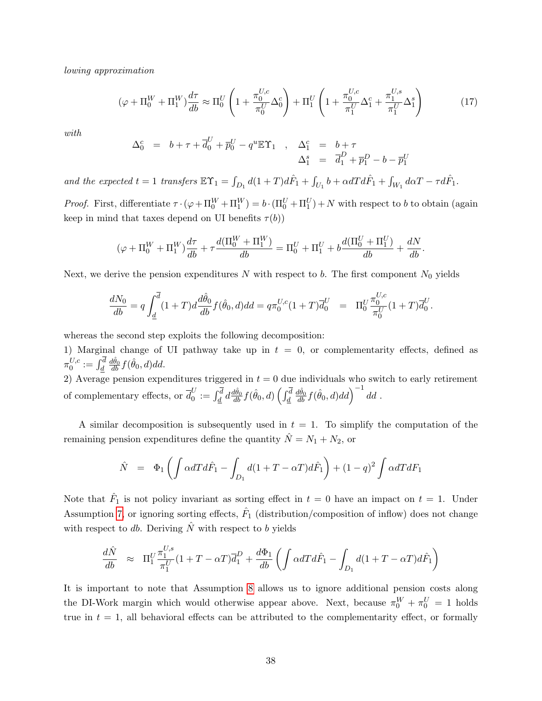lowing approximation

<span id="page-38-0"></span>
$$
(\varphi + \Pi_0^W + \Pi_1^W) \frac{d\tau}{db} \approx \Pi_0^U \left( 1 + \frac{\pi_0^{U,c}}{\pi_0^U} \Delta_0^c \right) + \Pi_1^U \left( 1 + \frac{\pi_0^{U,c}}{\pi_1^U} \Delta_1^c + \frac{\pi_1^{U,s}}{\pi_1^U} \Delta_1^s \right) \tag{17}
$$

with

$$
\Delta_0^c = b + \tau + \overline{d}_0^U + \overline{p}_0^U - q^u \mathbb{E} \Upsilon_1 , \quad \Delta_1^c = b + \tau
$$
  

$$
\Delta_1^s = \overline{d}_1^D + \overline{p}_1^D - b - \overline{p}_1^U
$$

and the expected  $t = 1$  transfers  $\mathbb{E} \Upsilon_1 = \int_{D_1} d(1+T) d\hat{F}_1 + \int_{U_1} b + \alpha dT d\hat{F}_1 + \int_{W_1} d\alpha T - \tau d\hat{F}_1$ .

*Proof.* First, differentiate  $\tau \cdot (\varphi + \Pi_0^W + \Pi_1^W) = b \cdot (\Pi_0^U + \Pi_1^U) + N$  with respect to b to obtain (again keep in mind that taxes depend on UI benefits  $\tau(b)$ )

$$
(\varphi + \Pi_0^W + \Pi_1^W) \frac{d\tau}{db} + \tau \frac{d(\Pi_0^W + \Pi_1^W)}{db} = \Pi_0^U + \Pi_1^U + b \frac{d(\Pi_0^U + \Pi_1^U)}{db} + \frac{dN}{db}.
$$

Next, we derive the pension expenditures  $N$  with respect to  $b$ . The first component  $N_0$  yields

$$
\frac{dN_0}{db} = q \int_{\underline{d}}^{\overline{d}} (1+T) d \frac{d\hat{\theta}_0}{db} f(\hat{\theta}_0, d) dd = q \pi_0^{U, c} (1+T) \overline{d}_0^U = \Pi_0^U \frac{\pi_0^{U, c}}{\pi_0^U} (1+T) \overline{d}_0^U.
$$

whereas the second step exploits the following decomposition:

1) Marginal change of UI pathway take up in  $t = 0$ , or complementarity effects, defined as  $\pi_0^{U,c}$  $_0^{U,c}:=\int_{\underline{d}}^d$  $\frac{d\hat{\theta}_0}{db} f(\hat{\theta}_0, d)dd.$ 

2) Average pension expenditures triggered in  $t = 0$  due individuals who switch to early retirement of complementary effects, or  $\bar{d}_0^U$  $\frac{dU}{d}:=\int_{\underline{d}}^{\overline{d}}d\frac{d\hat{\theta}_0}{db}f(\hat{\theta}_0,d)\left(\int_{\underline{d}}^{\overline{d}}$  $\left(\frac{d\hat{\theta}_0}{db}f(\hat{\theta}_0,d)dd\right)^{-1}dd$  .

A similar decomposition is subsequently used in  $t = 1$ . To simplify the computation of the remaining pension expenditures define the quantity  $\hat{N} = N_1 + N_2$ , or

$$
\hat{N} = \Phi_1 \left( \int \alpha dT d\hat{F}_1 - \int_{D_1} d(1 + T - \alpha T) d\hat{F}_1 \right) + (1 - q)^2 \int \alpha dT dF_1
$$

Note that  $\hat{F}_1$  is not policy invariant as sorting effect in  $t=0$  have an impact on  $t=1$ . Under Assumption [7,](#page-30-7) or ignoring sorting effects,  $\hat{F}_1$  (distribution/composition of inflow) does not change with respect to db. Deriving  $\hat{N}$  with respect to b yields

$$
\frac{d\hat{N}}{db} \approx \Pi_1^U \frac{\pi_1^{U,s}}{\pi_1^U} (1 + T - \alpha T) \overline{d}_1^D + \frac{d\Phi_1}{db} \left( \int \alpha dT d\hat{F}_1 - \int_{D_1} d(1 + T - \alpha T) d\hat{F}_1 \right)
$$

It is important to note that Assumption [8](#page-30-6) allows us to ignore additional pension costs along the DI-Work margin which would otherwise appear above. Next, because  $\pi_0^W + \pi_0^U = 1$  holds true in  $t = 1$ , all behavioral effects can be attributed to the complementarity effect, or formally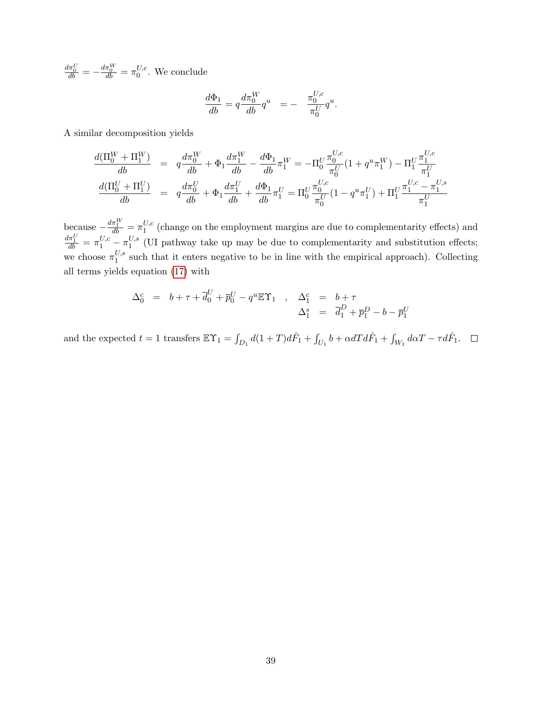$\frac{d\pi_0^U}{db}=-\frac{d\pi_0^W}{db}=\pi_0^{U,c}$  $\int_0^{U,c}$ . We conclude

$$
\frac{d\Phi_1}{db} = q \frac{d\pi_0^W}{db} q^u = - \frac{\pi_0^{U,c}}{\pi_0^U} q^u.
$$

A similar decomposition yields

$$
\begin{array}{rcl} \frac{d(\Pi_{0}^{W}+\Pi_{1}^{W})}{db} & = & q\frac{d\pi_{0}^{W}}{db}+\Phi_{1}\frac{d\pi_{1}^{W}}{db}-\frac{d\Phi_{1}}{db}\pi_{1}^{W}=-\Pi_{0}^{U}\frac{\pi_{0}^{U,c}}{\pi_{0}^{U}}(1+q^{u}\pi_{1}^{W})-\Pi_{1}^{U}\frac{\pi_{1}^{U,c}}{\pi_{1}^{U}}\\ \frac{d(\Pi_{0}^{U}+\Pi_{1}^{U})}{db} & = & q\frac{d\pi_{0}^{U}}{db}+\Phi_{1}\frac{d\pi_{1}^{U}}{db}+\frac{d\Phi_{1}}{db}\pi_{1}^{U}=\Pi_{0}^{U}\frac{\pi_{0}^{U,c}}{\pi_{0}^{U}}(1-q^{u}\pi_{1}^{U})+\Pi_{1}^{U}\frac{\pi_{1}^{U,c}-\pi_{1}^{U,s}}{\pi_{1}^{U}} \end{array}
$$

because  $-\frac{d\pi_1^W}{db} = \pi_1^{U,c}$  $\frac{0}{1}$ <sup>c</sup> (change on the employment margins are due to complementarity effects) and  $\frac{d\pi_1^U}{db} = \pi_1^{U,c} - \pi_1^{U,s}$  $_{1}^{\nu,s}$  (UI pathway take up may be due to complementarity and substitution effects; we choose  $\pi_1^{U,s}$  $\frac{0.5}{1}$  such that it enters negative to be in line with the empirical approach). Collecting all terms yields equation [\(17\)](#page-38-0) with

$$
\Delta_0^c = b + \tau + \overline{d}_0^U + \overline{p}_0^U - q^u \mathbb{E} \Upsilon_1 , \quad \Delta_1^c = b + \tau \n\Delta_1^s = \overline{d}_1^D + \overline{p}_1^D - b - \overline{p}_1^U
$$

and the expected  $t = 1$  transfers  $\mathbb{E} \Upsilon_1 = \int_{D_1} d(1+T) d\hat{F}_1 + \int_{U_1} b + \alpha dT d\hat{F}_1 + \int_{W_1} d\alpha T - \tau d\hat{F}_1$ .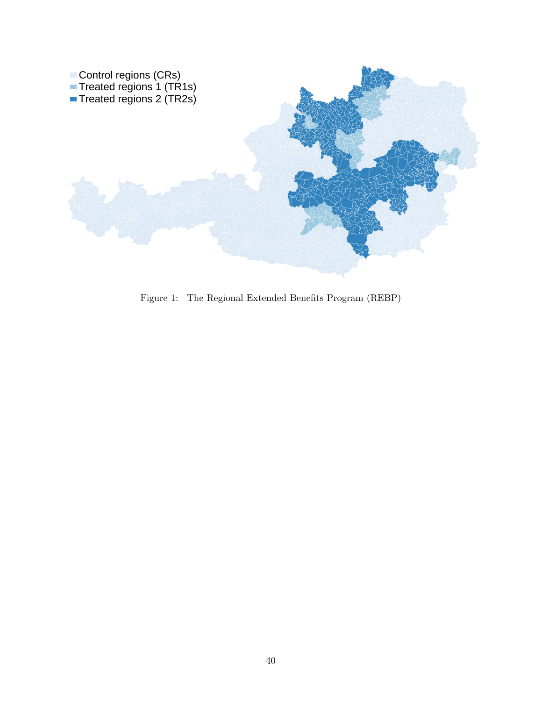

<span id="page-40-0"></span>Figure 1: The Regional Extended Benefits Program (REBP)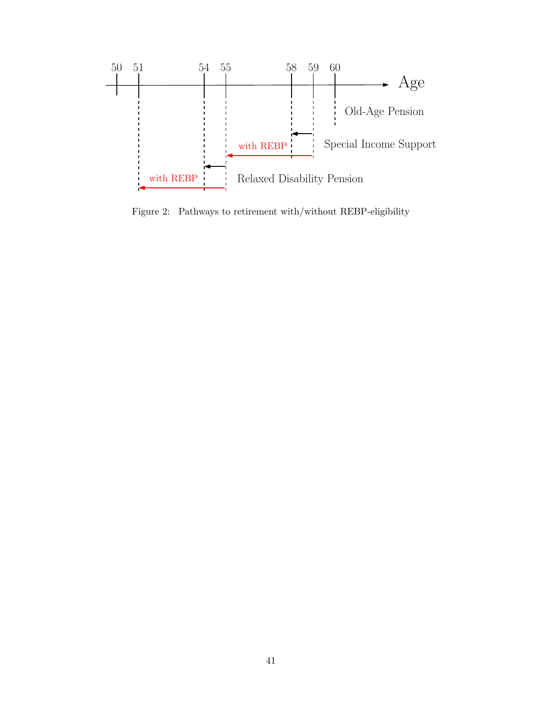

<span id="page-41-0"></span>Figure 2: Pathways to retirement with/without REBP-eligibility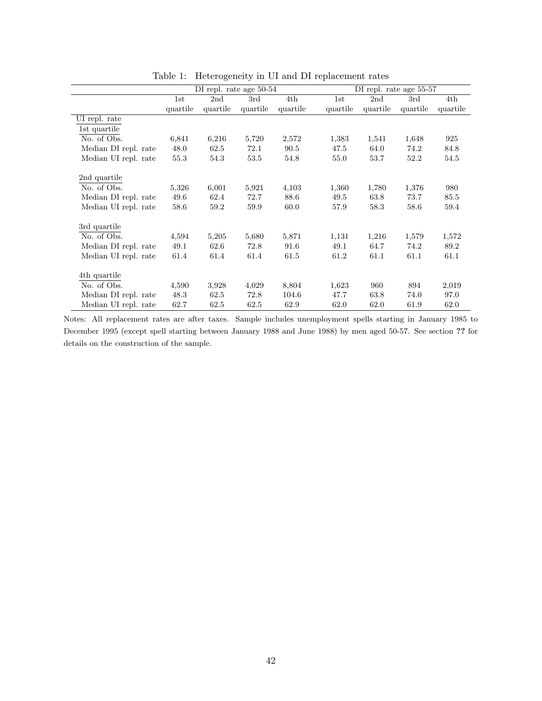|                      | DI repl. rate age 50-54 |          |          |          |          |          | DI repl. rate age 55-57 |          |
|----------------------|-------------------------|----------|----------|----------|----------|----------|-------------------------|----------|
|                      | 1st                     | 2nd      | 3rd      | 4th      | 1st      | 2nd      | 3rd                     | 4th      |
|                      | quartile                | quartile | quartile | quartile | quartile | quartile | quartile                | quartile |
| UI repl. rate        |                         |          |          |          |          |          |                         |          |
| 1st quartile         |                         |          |          |          |          |          |                         |          |
| No. of Obs.          | 6,841                   | 6,216    | 5,720    | 2,572    | 1,383    | 1,541    | 1,648                   | 925      |
| Median DI repl. rate | 48.0                    | 62.5     | 72.1     | 90.5     | 47.5     | 64.0     | 74.2                    | 84.8     |
| Median UI repl. rate | 55.3                    | 54.3     | 53.5     | 54.8     | 55.0     | 53.7     | 52.2                    | 54.5     |
|                      |                         |          |          |          |          |          |                         |          |
| 2nd quartile         |                         |          |          |          |          |          |                         |          |
| No. of Obs.          | 5,326                   | 6,001    | 5,921    | 4,103    | 1,360    | 1,780    | 1,376                   | 980      |
| Median DI repl. rate | 49.6                    | 62.4     | 72.7     | 88.6     | 49.5     | 63.8     | 73.7                    | 85.5     |
| Median UI repl. rate | 58.6                    | 59.2     | 59.9     | 60.0     | 57.9     | 58.3     | 58.6                    | 59.4     |
|                      |                         |          |          |          |          |          |                         |          |
| 3rd quartile         |                         |          |          |          |          |          |                         |          |
| No. of Obs.          | 4,594                   | 5,205    | 5,680    | 5,871    | 1,131    | 1,216    | 1,579                   | 1,572    |
| Median DI repl. rate | 49.1                    | 62.6     | 72.8     | 91.6     | 49.1     | 64.7     | 74.2                    | 89.2     |
| Median UI repl. rate | 61.4                    | 61.4     | 61.4     | 61.5     | 61.2     | 61.1     | 61.1                    | 61.1     |
|                      |                         |          |          |          |          |          |                         |          |
| 4th quartile         |                         |          |          |          |          |          |                         |          |
| No. of Obs.          | 4,590                   | 3,928    | 4,029    | 8,804    | 1,623    | 960      | 894                     | 2,019    |
| Median DI repl. rate | 48.3                    | 62.5     | 72.8     | 104.6    | 47.7     | 63.8     | 74.0                    | 97.0     |
| Median UI repl. rate | 62.7                    | 62.5     | 62.5     | 62.9     | 62.0     | 62.0     | 61.9                    | 62.0     |

<span id="page-42-0"></span>Table 1: Heterogeneity in UI and DI replacement rates

Notes: All replacement rates are after taxes. Sample includes unemployment spells starting in January 1985 to December 1995 (except spell starting between January 1988 and June 1988) by men aged 50-57. See section ?? for details on the construction of the sample.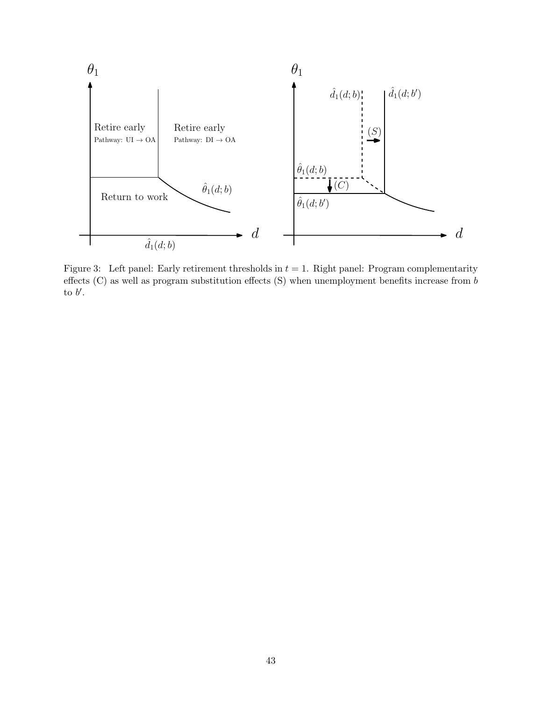

<span id="page-43-0"></span>Figure 3: Left panel: Early retirement thresholds in  $t = 1$ . Right panel: Program complementarity effects (C) as well as program substitution effects (S) when unemployment benefits increase from b to  $b'$ .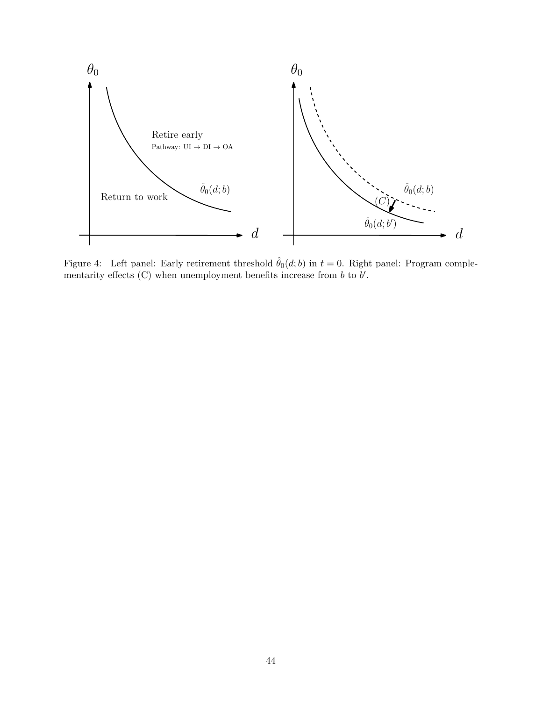

<span id="page-44-0"></span>Figure 4: Left panel: Early retirement threshold  $\hat{\theta}_0(d; b)$  in  $t = 0$ . Right panel: Program complementarity effects  $(C)$  when unemployment benefits increase from  $b$  to  $b'$ .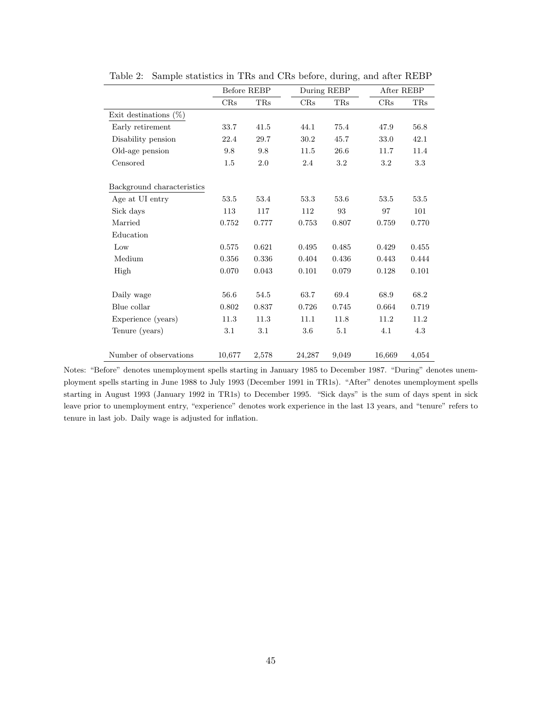|                            | Before REBP |            | During REBP |            |        | After REBP |  |
|----------------------------|-------------|------------|-------------|------------|--------|------------|--|
|                            | CRs         | <b>TRs</b> | CRs         | <b>TRs</b> | CRs    | <b>TRs</b> |  |
| Exit destinations $(\%)$   |             |            |             |            |        |            |  |
| Early retirement           | 33.7        | 41.5       | 44.1        | 75.4       | 47.9   | 56.8       |  |
| Disability pension         | 22.4        | 29.7       | 30.2        | 45.7       | 33.0   | 42.1       |  |
| Old-age pension            | 9.8         | 9.8        | 11.5        | 26.6       | 11.7   | 11.4       |  |
| Censored                   | 1.5         | 2.0        | 2.4         | 3.2        | 3.2    | 3.3        |  |
|                            |             |            |             |            |        |            |  |
| Background characteristics |             |            |             |            |        |            |  |
| Age at UI entry            | 53.5        | 53.4       | 53.3        | 53.6       | 53.5   | 53.5       |  |
| Sick days                  | 113         | 117        | 112         | 93         | 97     | 101        |  |
| Married                    | 0.752       | 0.777      | 0.753       | 0.807      | 0.759  | 0.770      |  |
| Education                  |             |            |             |            |        |            |  |
| Low                        | 0.575       | 0.621      | 0.495       | 0.485      | 0.429  | 0.455      |  |
| Medium                     | 0.356       | 0.336      | 0.404       | 0.436      | 0.443  | 0.444      |  |
| High                       | 0.070       | 0.043      | 0.101       | 0.079      | 0.128  | 0.101      |  |
|                            |             |            |             |            |        |            |  |
| Daily wage                 | 56.6        | 54.5       | 63.7        | 69.4       | 68.9   | 68.2       |  |
| Blue collar                | 0.802       | 0.837      | 0.726       | 0.745      | 0.664  | 0.719      |  |
| Experience (years)         | 11.3        | 11.3       | 11.1        | 11.8       | 11.2   | 11.2       |  |
| Tenure (years)             | 3.1         | $3.1\,$    | 3.6         | 5.1        | 4.1    | 4.3        |  |
|                            |             |            |             |            |        |            |  |
| Number of observations     | 10,677      | 2,578      | 24,287      | 9,049      | 16,669 | 4,054      |  |

<span id="page-45-0"></span>Table 2: Sample statistics in TRs and CRs before, during, and after REBP

Notes: "Before" denotes unemployment spells starting in January 1985 to December 1987. "During" denotes unemployment spells starting in June 1988 to July 1993 (December 1991 in TR1s). "After" denotes unemployment spells starting in August 1993 (January 1992 in TR1s) to December 1995. "Sick days" is the sum of days spent in sick leave prior to unemployment entry, "experience" denotes work experience in the last 13 years, and "tenure" refers to tenure in last job. Daily wage is adjusted for inflation.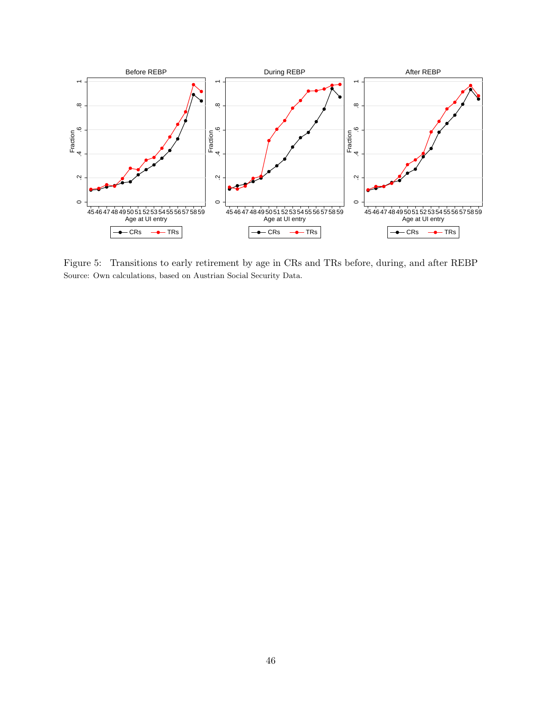

<span id="page-46-0"></span>Figure 5: Transitions to early retirement by age in CRs and TRs before, during, and after REBP Source: Own calculations, based on Austrian Social Security Data.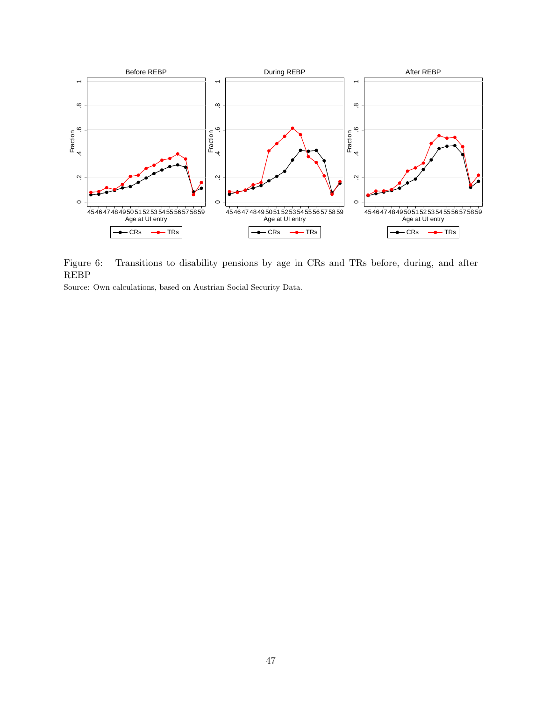

<span id="page-47-0"></span>Figure 6: Transitions to disability pensions by age in CRs and TRs before, during, and after REBP

Source: Own calculations, based on Austrian Social Security Data.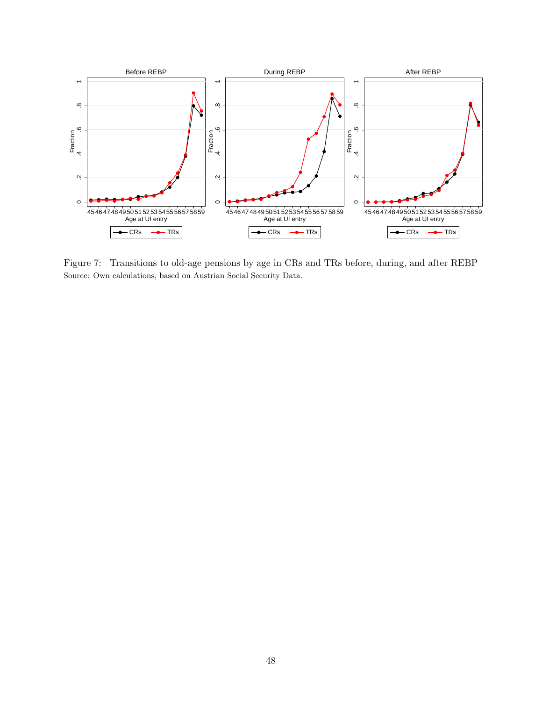

<span id="page-48-0"></span>Figure 7: Transitions to old-age pensions by age in CRs and TRs before, during, and after REBP Source: Own calculations, based on Austrian Social Security Data.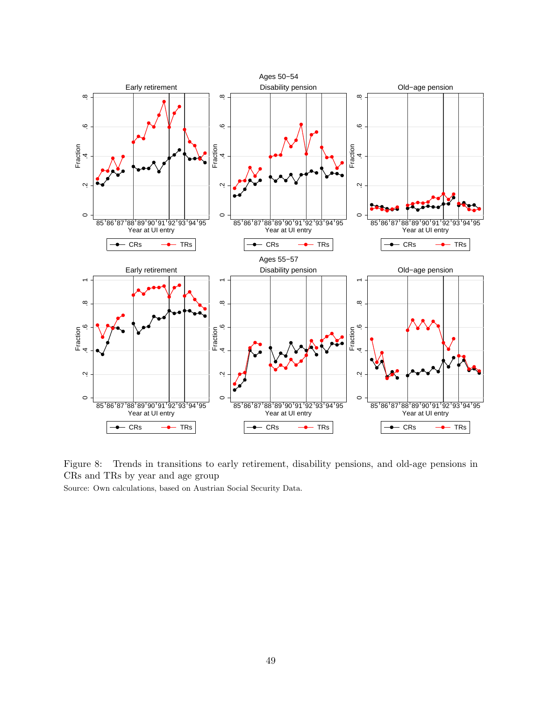

<span id="page-49-0"></span>Figure 8: Trends in transitions to early retirement, disability pensions, and old-age pensions in CRs and TRs by year and age group

Source: Own calculations, based on Austrian Social Security Data.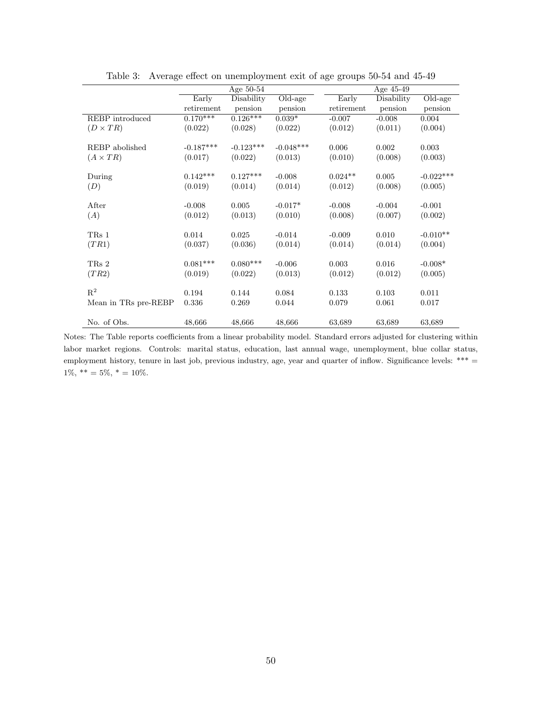|                      | Age $50-54$ |             |                       | Age 45-49  |            |             |
|----------------------|-------------|-------------|-----------------------|------------|------------|-------------|
|                      | Early       | Disability  | $\overline{Old}$ -age | Early      | Disability | Old-age     |
|                      | retirement  | pension     | pension               | retirement | pension    | pension     |
| REBP introduced      | $0.170***$  | $0.126***$  | $0.039*$              | $-0.007$   | $-0.008$   | 0.004       |
| $(D \times TR)$      | (0.022)     | (0.028)     | (0.022)               | (0.012)    | (0.011)    | (0.004)     |
|                      |             |             |                       |            |            |             |
| REBP abolished       | $-0.187***$ | $-0.123***$ | $-0.048***$           | 0.006      | 0.002      | 0.003       |
| $(A \times TR)$      | (0.017)     | (0.022)     | (0.013)               | (0.010)    | (0.008)    | (0.003)     |
|                      |             |             |                       |            |            |             |
| During               | $0.142***$  | $0.127***$  | $-0.008$              | $0.024**$  | 0.005      | $-0.022***$ |
| (D)                  | (0.019)     | (0.014)     | (0.014)               | (0.012)    | (0.008)    | (0.005)     |
|                      |             |             |                       |            |            |             |
| After                | $-0.008$    | 0.005       | $-0.017*$             | $-0.008$   | $-0.004$   | $-0.001$    |
| (A)                  | (0.012)     | (0.013)     | (0.010)               | (0.008)    | (0.007)    | (0.002)     |
|                      |             |             |                       |            |            |             |
| TR <sub>s</sub> 1    | 0.014       | 0.025       | $-0.014$              | $-0.009$   | 0.010      | $-0.010**$  |
| (TR1)                | (0.037)     | (0.036)     | (0.014)               | (0.014)    | (0.014)    | (0.004)     |
|                      |             |             |                       |            |            |             |
| TR <sub>s</sub> 2    | $0.081***$  | $0.080***$  | $-0.006$              | 0.003      | 0.016      | $-0.008*$   |
| (TR2)                | (0.019)     | (0.022)     | (0.013)               | (0.012)    | (0.012)    | (0.005)     |
|                      |             |             |                       |            |            |             |
| $R^2$                | 0.194       | 0.144       | 0.084                 | 0.133      | 0.103      | 0.011       |
| Mean in TRs pre-REBP | 0.336       | 0.269       | 0.044                 | 0.079      | 0.061      | 0.017       |
|                      |             |             |                       |            |            |             |
| No. of Obs.          | 48,666      | 48,666      | 48,666                | 63,689     | 63,689     | 63,689      |

<span id="page-50-0"></span>Table 3: Average effect on unemployment exit of age groups 50-54 and 45-49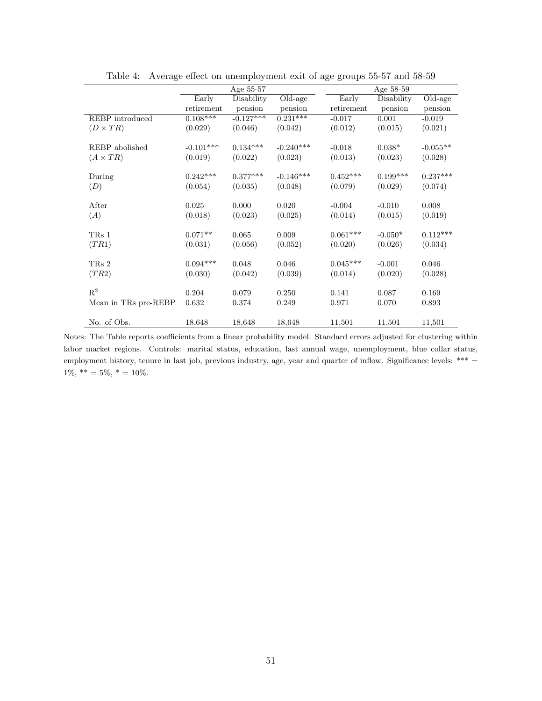|                      | Age 55-57             |             |                       | Age 58-59  |            |                       |  |
|----------------------|-----------------------|-------------|-----------------------|------------|------------|-----------------------|--|
|                      | Early                 | Disability  | $\overline{Old}$ -age | Early      | Disability | $\overline{Old}$ -age |  |
|                      | retirement            | pension     | pension               | retirement | pension    | pension               |  |
| REBP introduced      | $0.\overline{108***}$ | $-0.127***$ | $0.231***$            | $-0.017$   | 0.001      | $-0.019$              |  |
| $(D \times TR)$      | (0.029)               | (0.046)     | (0.042)               | (0.012)    | (0.015)    | (0.021)               |  |
|                      |                       |             |                       |            |            |                       |  |
| REBP abolished       | $-0.101***$           | $0.134***$  | $-0.240***$           | $-0.018$   | $0.038*$   | $-0.055**$            |  |
| $(A \times TR)$      | (0.019)               | (0.022)     | (0.023)               | (0.013)    | (0.023)    | (0.028)               |  |
|                      |                       |             |                       |            |            |                       |  |
| During               | $0.242***$            | $0.377***$  | $-0.146***$           | $0.452***$ | $0.199***$ | $0.237***$            |  |
| (D)                  | (0.054)               | (0.035)     | (0.048)               | (0.079)    | (0.029)    | (0.074)               |  |
|                      |                       |             |                       |            |            |                       |  |
| After                | 0.025                 | 0.000       | 0.020                 | $-0.004$   | $-0.010$   | 0.008                 |  |
| (A)                  | (0.018)               | (0.023)     | (0.025)               | (0.014)    | (0.015)    | (0.019)               |  |
|                      |                       |             |                       |            |            |                       |  |
| TRs 1                | $0.071**$             | 0.065       | 0.009                 | $0.061***$ | $-0.050*$  | $0.112***$            |  |
| (TR1)                | (0.031)               | (0.056)     | (0.052)               | (0.020)    | (0.026)    | (0.034)               |  |
|                      |                       |             |                       |            |            |                       |  |
| TRs 2                | $0.094***$            | 0.048       | 0.046                 | $0.045***$ | $-0.001$   | 0.046                 |  |
| (TR2)                | (0.030)               | (0.042)     | (0.039)               | (0.014)    | (0.020)    | (0.028)               |  |
| $\mathbf{R}^2$       |                       |             |                       |            |            |                       |  |
|                      | 0.204                 | 0.079       | 0.250                 | 0.141      | 0.087      | 0.169                 |  |
| Mean in TRs pre-REBP | 0.632                 | 0.374       | 0.249                 | 0.971      | 0.070      | 0.893                 |  |
|                      |                       |             |                       |            |            |                       |  |
| No. of Obs.          | 18,648                | 18,648      | 18,648                | 11,501     | 11,501     | 11,501                |  |

<span id="page-51-0"></span>Table 4: Average effect on unemployment exit of age groups 55-57 and 58-59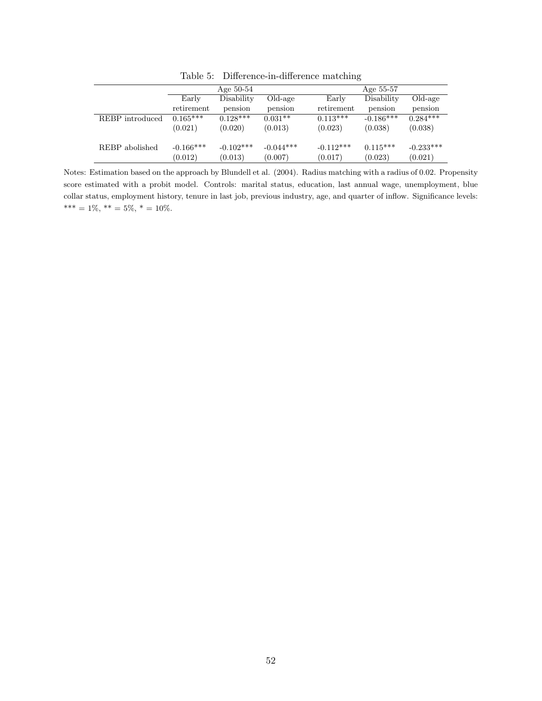|                 |             | Age $50-54$  |             |             | Age 55-57   |             |
|-----------------|-------------|--------------|-------------|-------------|-------------|-------------|
|                 | Early       | Disability   | Old-age     | Early       | Disability  | Old-age     |
|                 | retirement  | pension      | pension     | retirement  | pension     | pension     |
| REBP introduced | $0.165***$  | $0.128***$   | $0.031**$   | $0.113***$  | $-0.186***$ | $0.284***$  |
|                 | (0.021)     | (0.020)      | (0.013)     | (0.023)     | (0.038)     | (0.038)     |
| REBP abolished  | $-0.166***$ | $-0.102$ *** | $-0.044***$ | $-0.112***$ | $0.115***$  | $-0.233***$ |
|                 | (0.012)     | (0.013)      | (0.007)     | (0.017)     | (0.023)     | (0.021)     |

<span id="page-52-0"></span>Table 5: Difference-in-difference matching

Notes: Estimation based on the approach by Blundell et al. (2004). Radius matching with a radius of 0.02. Propensity score estimated with a probit model. Controls: marital status, education, last annual wage, unemployment, blue collar status, employment history, tenure in last job, previous industry, age, and quarter of inflow. Significance levels: \*\*\* = 1%, \*\* = 5%, \* = 10%.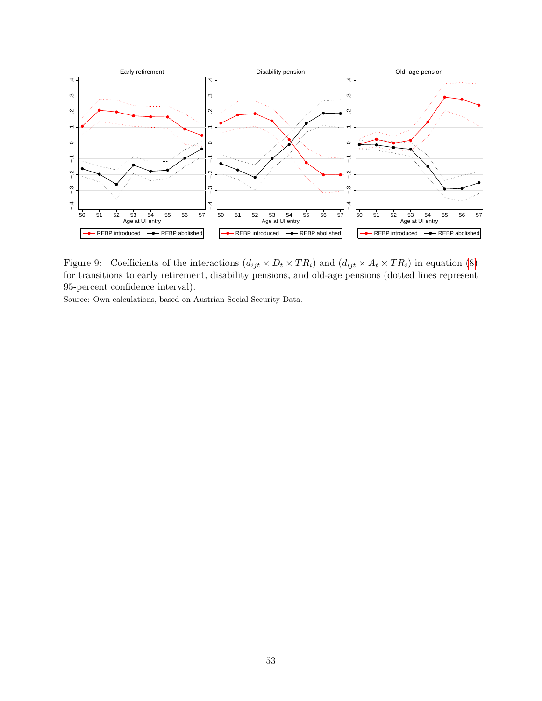

<span id="page-53-0"></span>Figure 9: Coefficients of the interactions  $(d_{ijt} \times D_t \times TR_i)$  and  $(d_{ijt} \times A_t \times TR_i)$  in equation [\(8\)](#page-15-0) for transitions to early retirement, disability pensions, and old-age pensions (dotted lines represent 95-percent confidence interval).

Source: Own calculations, based on Austrian Social Security Data.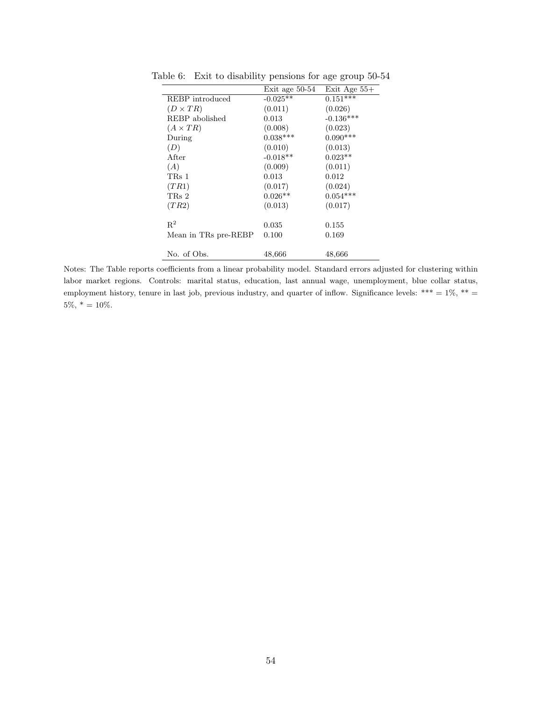<span id="page-54-0"></span>

|                      | Exit age 50-54 | Exit Age $55+$ |
|----------------------|----------------|----------------|
| REBP introduced      | $-0.025**$     | $0.151***$     |
| $(D \times TR)$      | (0.011)        | (0.026)        |
| REBP abolished       | 0.013          | $-0.136***$    |
| $(A \times TR)$      | (0.008)        | (0.023)        |
| During               | $0.038***$     | $0.090***$     |
| (D)                  | (0.010)        | (0.013)        |
| After                | $-0.018**$     | $0.023**$      |
| (A)                  | (0.009)        | (0.011)        |
| TRs 1                | 0.013          | 0.012          |
| (TR1)                | (0.017)        | (0.024)        |
| TRs 2                | $0.026**$      | $0.054***$     |
| (TR2)                | (0.013)        | (0.017)        |
| $R^2$                | 0.035          | 0.155          |
| Mean in TRs pre-REBP | 0.100          | 0.169          |
| No. of Obs.          | 48,666         | 48,666         |

Table 6: Exit to disability pensions for age group 50-54

Notes: The Table reports coefficients from a linear probability model. Standard errors adjusted for clustering within labor market regions. Controls: marital status, education, last annual wage, unemployment, blue collar status, employment history, tenure in last job, previous industry, and quarter of inflow. Significance levels: \*\*\* =  $1\%$ , \*\* =  $5\%, * = 10\%.$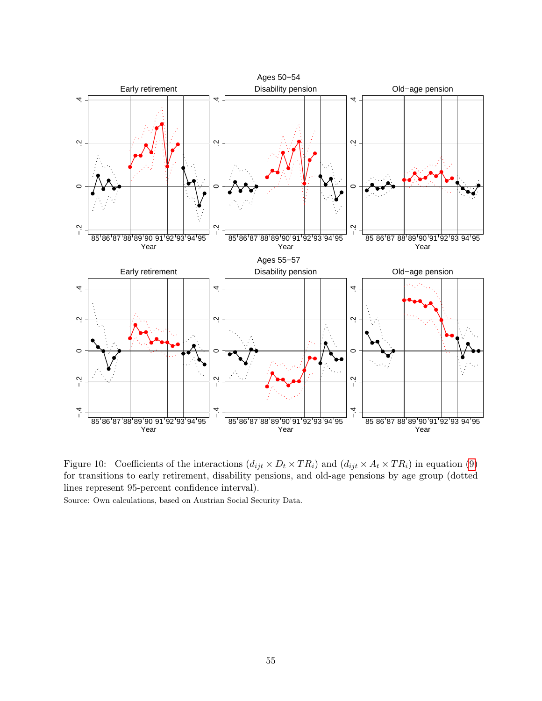

<span id="page-55-0"></span>Figure 10: Coefficients of the interactions  $(d_{ijt} \times D_t \times TR_i)$  and  $(d_{ijt} \times A_t \times TR_i)$  in equation [\(9\)](#page-16-0) for transitions to early retirement, disability pensions, and old-age pensions by age group (dotted lines represent 95-percent confidence interval).

Source: Own calculations, based on Austrian Social Security Data.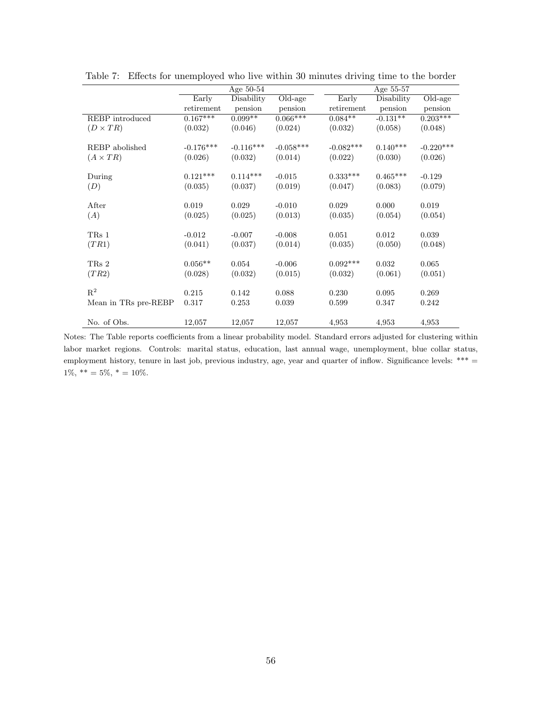|                      | Age $50-54$ |             |             | Age 55-57   |            |             |
|----------------------|-------------|-------------|-------------|-------------|------------|-------------|
|                      | Early       | Disability  | Old-age     | Early       | Disability | Old-age     |
|                      | retirement  | pension     | pension     | retirement  | pension    | pension     |
| REBP introduced      | $0.167***$  | $0.099**$   | $0.066***$  | $0.084**$   | $-0.131**$ | $0.203***$  |
| $(D \times TR)$      | (0.032)     | (0.046)     | (0.024)     | (0.032)     | (0.058)    | (0.048)     |
|                      |             |             |             |             |            |             |
| REBP abolished       | $-0.176***$ | $-0.116***$ | $-0.058***$ | $-0.082***$ | $0.140***$ | $-0.220***$ |
| $(A \times TR)$      | (0.026)     | (0.032)     | (0.014)     | (0.022)     | (0.030)    | (0.026)     |
|                      |             |             |             |             |            |             |
| During               | $0.121***$  | $0.114***$  | $-0.015$    | $0.333***$  | $0.465***$ | $-0.129$    |
| (D)                  | (0.035)     | (0.037)     | (0.019)     | (0.047)     | (0.083)    | (0.079)     |
|                      |             |             |             |             |            |             |
| After                | 0.019       | 0.029       | $-0.010$    | 0.029       | 0.000      | 0.019       |
| (A)                  | (0.025)     | (0.025)     | (0.013)     | (0.035)     | (0.054)    | (0.054)     |
|                      |             |             |             |             |            |             |
| TR <sub>s</sub> 1    | $-0.012$    | $-0.007$    | $-0.008$    | 0.051       | 0.012      | 0.039       |
| (TR1)                | (0.041)     | (0.037)     | (0.014)     | (0.035)     | (0.050)    | (0.048)     |
|                      |             |             |             |             |            |             |
| TRs 2                | $0.056**$   | 0.054       | $-0.006$    | $0.092***$  | 0.032      | 0.065       |
| (TR2)                | (0.028)     | (0.032)     | (0.015)     | (0.032)     | (0.061)    | (0.051)     |
|                      |             |             |             |             |            |             |
| $\mathbf{R}^2$       | 0.215       | 0.142       | 0.088       | 0.230       | 0.095      | 0.269       |
| Mean in TRs pre-REBP | 0.317       | 0.253       | 0.039       | 0.599       | 0.347      | 0.242       |
|                      |             |             |             |             |            |             |
| No. of Obs.          | 12,057      | 12,057      | 12,057      | 4,953       | 4,953      | 4,953       |

<span id="page-56-0"></span>Table 7: Effects for unemployed who live within 30 minutes driving time to the border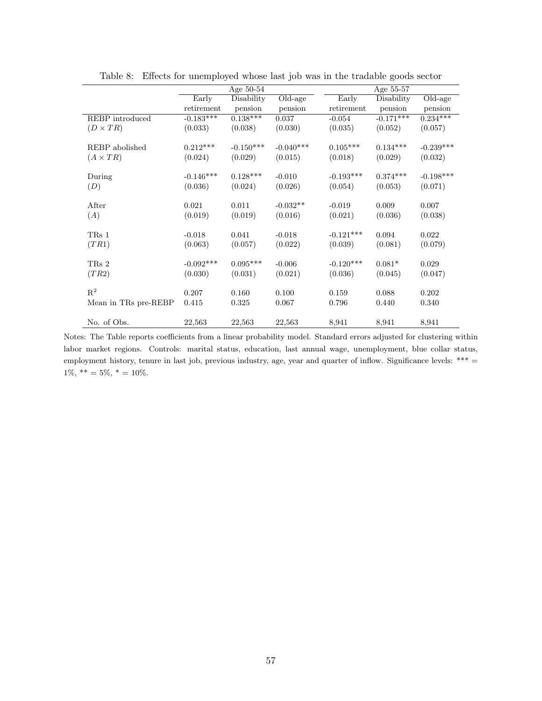|                      | Age $50-54$ |             |                       | Age 55-57   |             |             |
|----------------------|-------------|-------------|-----------------------|-------------|-------------|-------------|
|                      | Early       | Disability  | $\overline{Old}$ -age | Early       | Disability  | Old-age     |
|                      | retirement  | pension     | pension               | retirement  | pension     | pension     |
| REBP introduced      | $-0.183***$ | $0.138***$  | 0.037                 | $-0.054$    | $-0.171***$ | $0.234***$  |
| $(D \times TR)$      | (0.033)     | (0.038)     | (0.030)               | (0.035)     | (0.052)     | (0.057)     |
|                      |             |             |                       |             |             |             |
| REBP abolished       | $0.212***$  | $-0.150***$ | $-0.040***$           | $0.105***$  | $0.134***$  | $-0.239***$ |
| $(A \times TR)$      | (0.024)     | (0.029)     | (0.015)               | (0.018)     | (0.029)     | (0.032)     |
|                      |             |             |                       |             |             |             |
| During               | $-0.146***$ | $0.128***$  | $-0.010$              | $-0.193***$ | $0.374***$  | $-0.198***$ |
| (D)                  | (0.036)     | (0.024)     | (0.026)               | (0.054)     | (0.053)     | (0.071)     |
|                      |             |             |                       |             |             |             |
| After                | 0.021       | 0.011       | $-0.032**$            | $-0.019$    | 0.009       | 0.007       |
| (A)                  | (0.019)     | (0.019)     | (0.016)               | (0.021)     | (0.036)     | (0.038)     |
|                      |             |             |                       |             |             |             |
| TR <sub>s</sub> 1    | $-0.018$    | 0.041       | $-0.018$              | $-0.121***$ | 0.094       | 0.022       |
| (TR1)                | (0.063)     | (0.057)     | (0.022)               | (0.039)     | (0.081)     | (0.079)     |
|                      |             |             |                       |             |             |             |
| TRs 2                | $-0.092***$ | $0.095***$  | $-0.006$              | $-0.120***$ | $0.081*$    | 0.029       |
| (TR2)                | (0.030)     | (0.031)     | (0.021)               | (0.036)     | (0.045)     | (0.047)     |
|                      |             |             |                       |             |             |             |
| $R^2$                | 0.207       | 0.160       | 0.100                 | 0.159       | 0.088       | 0.202       |
| Mean in TRs pre-REBP | 0.415       | 0.325       | 0.067                 | 0.796       | 0.440       | 0.340       |
|                      |             |             |                       |             |             |             |
| No. of Obs.          | 22,563      | 22,563      | 22,563                | 8,941       | 8,941       | 8,941       |

<span id="page-57-0"></span>Table 8: Effects for unemployed whose last job was in the tradable goods sector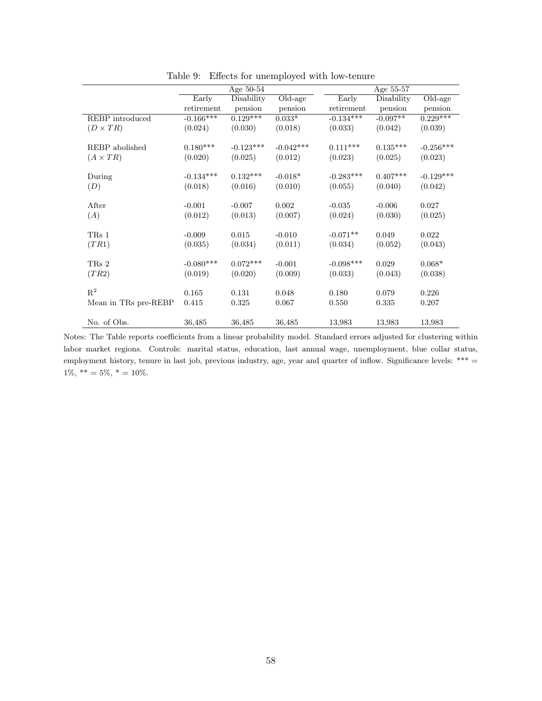|                      | Age 50-54   |             |                                    | Age 55-57   |            |                             |
|----------------------|-------------|-------------|------------------------------------|-------------|------------|-----------------------------|
|                      | Early       | Disability  | $\overline{\text{Old}}\text{-age}$ | Early       | Disability | $\overline{\text{Old-age}}$ |
|                      | retirement  | pension     | pension                            | retirement  | pension    | pension                     |
| REBP introduced      | $-0.166***$ | $0.129***$  | $0.033*$                           | $-0.134***$ | $-0.097**$ | $0.229***$                  |
| $(D \times TR)$      | (0.024)     | (0.030)     | (0.018)                            | (0.033)     | (0.042)    | (0.039)                     |
|                      |             |             |                                    |             |            |                             |
| REBP abolished       | $0.180***$  | $-0.123***$ | $-0.042***$                        | $0.111***$  | $0.135***$ | $-0.256***$                 |
| $(A \times TR)$      | (0.020)     | (0.025)     | (0.012)                            | (0.023)     | (0.025)    | (0.023)                     |
|                      |             |             |                                    |             |            |                             |
| During               | $-0.134***$ | $0.132***$  | $-0.018*$                          | $-0.283***$ | $0.407***$ | $-0.129***$                 |
| (D)                  | (0.018)     | (0.016)     | (0.010)                            | (0.055)     | (0.040)    | (0.042)                     |
|                      |             |             |                                    |             |            |                             |
| After                | $-0.001$    | $-0.007$    | 0.002                              | $-0.035$    | $-0.006$   | 0.027                       |
| (A)                  | (0.012)     | (0.013)     | (0.007)                            | (0.024)     | (0.030)    | (0.025)                     |
|                      |             |             |                                    |             |            |                             |
| TRs 1                | $-0.009$    | 0.015       | $-0.010$                           | $-0.071**$  | 0.049      | 0.022                       |
| (TR1)                | (0.035)     | (0.034)     | (0.011)                            | (0.034)     | (0.052)    | (0.043)                     |
|                      |             |             |                                    |             |            |                             |
| TR <sub>s</sub> 2    | $-0.080***$ | $0.072***$  | $-0.001$                           | $-0.098***$ | 0.029      | $0.068*$                    |
| (TR2)                | (0.019)     | (0.020)     | (0.009)                            | (0.033)     | (0.043)    | (0.038)                     |
| $R^2$                |             |             |                                    |             |            |                             |
|                      | 0.165       | 0.131       | 0.048                              | 0.180       | 0.079      | 0.226                       |
| Mean in TRs pre-REBP | 0.415       | 0.325       | 0.067                              | 0.550       | 0.335      | 0.207                       |
|                      |             |             |                                    |             |            |                             |
| No. of Obs.          | 36,485      | 36,485      | 36,485                             | 13,983      | 13,983     | 13,983                      |

<span id="page-58-0"></span>Table 9: Effects for unemployed with low-tenure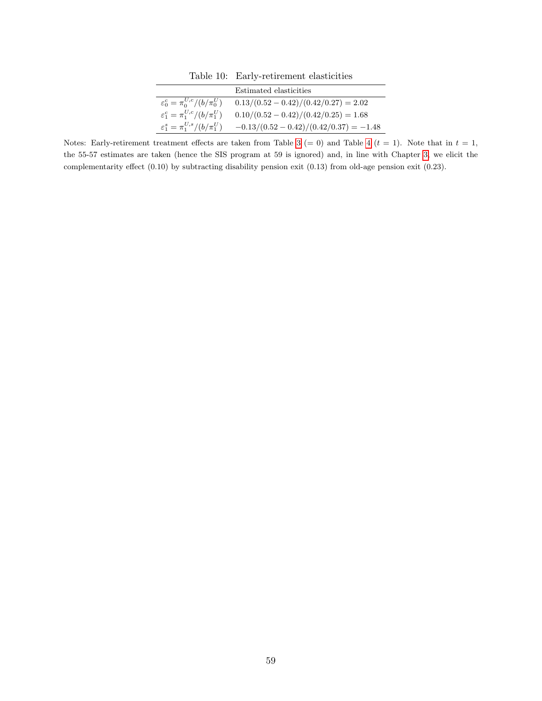<span id="page-59-0"></span>Table 10: Early-retirement elasticities

|                                             | Estimated elasticities                  |
|---------------------------------------------|-----------------------------------------|
| $\varepsilon_0^c = \pi_0^{U,c}/(b/\pi_0^U)$ | $0.13/(0.52-0.42)/(0.42/0.27) = 2.02$   |
| $\varepsilon_1^c = \pi_1^{U,c}/(b/\pi_1^U)$ | $0.10/(0.52-0.42)/(0.42/0.25) = 1.68$   |
| $\varepsilon_1^s = \pi_1^{U,s}/(b/\pi_1^U)$ | $-0.13/(0.52-0.42)/(0.42/0.37) = -1.48$ |

Notes: Early-retirement treatment effects are taken from Table [3](#page-50-0) (= 0) and Table [4](#page-51-0) ( $t = 1$ ). Note that in  $t = 1$ , the 55-57 estimates are taken (hence the SIS program at 59 is ignored) and, in line with Chapter [3,](#page-6-0) we elicit the complementarity effect (0.10) by subtracting disability pension exit (0.13) from old-age pension exit (0.23).